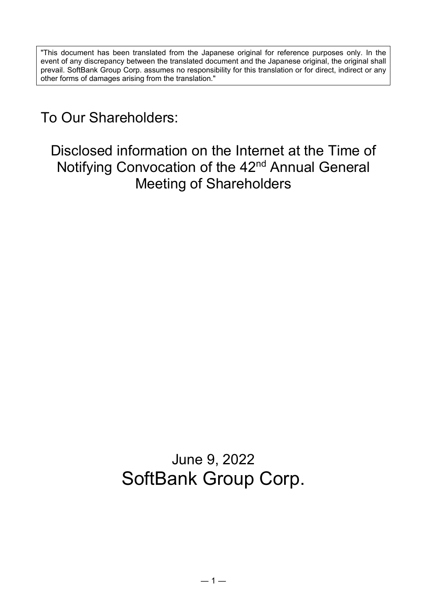"This document has been translated from the Japanese original for reference purposes only. In the event of any discrepancy between the translated document and the Japanese original, the original shall prevail. SoftBank Group Corp. assumes no responsibility for this translation or for direct, indirect or any other forms of damages arising from the translation."

To Our Shareholders:

Disclosed information on the Internet at the Time of Notifying Convocation of the 42<sup>nd</sup> Annual General Meeting of Shareholders

> June 9, 2022 SoftBank Group Corp.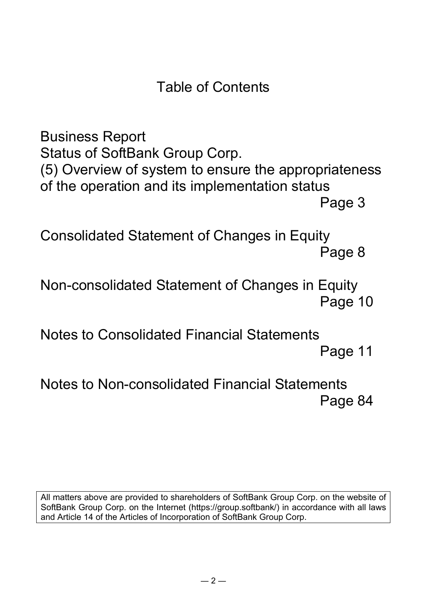Table of Contents

Business Report Status of SoftBank Group Corp. (5) Overview of system to ensure the appropriateness of the operation and its implementation status Page 3

Consolidated Statement of Changes in Equity Page 8

Non-consolidated Statement of Changes in Equity Page 10

Notes to Consolidated Financial Statements

Page 11

Notes to Non-consolidated Financial Statements Page 84

All matters above are provided to shareholders of SoftBank Group Corp. on the website of SoftBank Group Corp. on the Internet (https://group.softbank/) in accordance with all laws and Article 14 of the Articles of Incorporation of SoftBank Group Corp.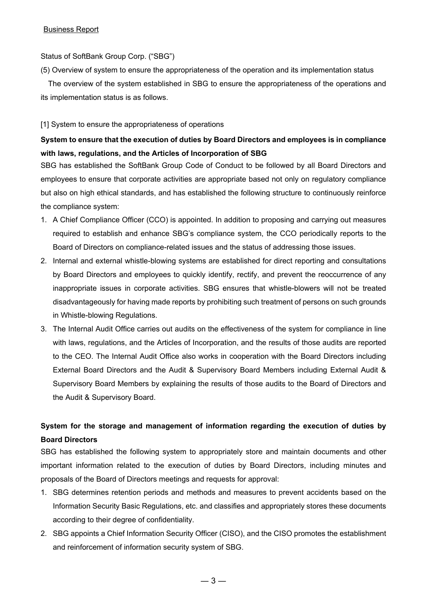# Business Report

Status of SoftBank Group Corp. ("SBG")

(5) Overview of system to ensure the appropriateness of the operation and its implementation status

The overview of the system established in SBG to ensure the appropriateness of the operations and its implementation status is as follows.

[1] System to ensure the appropriateness of operations

# **System to ensure that the execution of duties by Board Directors and employees is in compliance with laws, regulations, and the Articles of Incorporation of SBG**

SBG has established the SoftBank Group Code of Conduct to be followed by all Board Directors and employees to ensure that corporate activities are appropriate based not only on regulatory compliance but also on high ethical standards, and has established the following structure to continuously reinforce the compliance system:

- 1. A Chief Compliance Officer (CCO) is appointed. In addition to proposing and carrying out measures required to establish and enhance SBG's compliance system, the CCO periodically reports to the Board of Directors on compliance-related issues and the status of addressing those issues.
- 2. Internal and external whistle-blowing systems are established for direct reporting and consultations by Board Directors and employees to quickly identify, rectify, and prevent the reoccurrence of any inappropriate issues in corporate activities. SBG ensures that whistle-blowers will not be treated disadvantageously for having made reports by prohibiting such treatment of persons on such grounds in Whistle-blowing Regulations.
- 3. The Internal Audit Office carries out audits on the effectiveness of the system for compliance in line with laws, regulations, and the Articles of Incorporation, and the results of those audits are reported to the CEO. The Internal Audit Office also works in cooperation with the Board Directors including External Board Directors and the Audit & Supervisory Board Members including External Audit & Supervisory Board Members by explaining the results of those audits to the Board of Directors and the Audit & Supervisory Board.

# **System for the storage and management of information regarding the execution of duties by Board Directors**

SBG has established the following system to appropriately store and maintain documents and other important information related to the execution of duties by Board Directors, including minutes and proposals of the Board of Directors meetings and requests for approval:

- 1. SBG determines retention periods and methods and measures to prevent accidents based on the Information Security Basic Regulations, etc. and classifies and appropriately stores these documents according to their degree of confidentiality.
- 2. SBG appoints a Chief Information Security Officer (CISO), and the CISO promotes the establishment and reinforcement of information security system of SBG.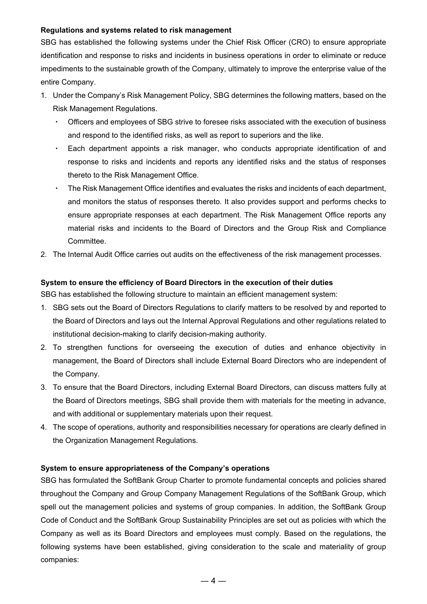# **Regulations and systems related to risk management**

SBG has established the following systems under the Chief Risk Officer (CRO) to ensure appropriate identification and response to risks and incidents in business operations in order to eliminate or reduce impediments to the sustainable growth of the Company, ultimately to improve the enterprise value of the entire Company.

- 1. Under the Company's Risk Management Policy, SBG determines the following matters, based on the Risk Management Regulations.
	- Officers and employees of SBG strive to foresee risks associated with the execution of business and respond to the identified risks, as well as report to superiors and the like.
	- Each department appoints a risk manager, who conducts appropriate identification of and response to risks and incidents and reports any identified risks and the status of responses thereto to the Risk Management Office.
	- The Risk Management Office identifies and evaluates the risks and incidents of each department, and monitors the status of responses thereto. It also provides support and performs checks to ensure appropriate responses at each department. The Risk Management Office reports any material risks and incidents to the Board of Directors and the Group Risk and Compliance Committee.
- 2. The Internal Audit Office carries out audits on the effectiveness of the risk management processes.

# **System to ensure the efficiency of Board Directors in the execution of their duties**

SBG has established the following structure to maintain an efficient management system:

- 1. SBG sets out the Board of Directors Regulations to clarify matters to be resolved by and reported to the Board of Directors and lays out the Internal Approval Regulations and other regulations related to institutional decision-making to clarify decision-making authority.
- 2. To strengthen functions for overseeing the execution of duties and enhance objectivity in management, the Board of Directors shall include External Board Directors who are independent of the Company.
- 3. To ensure that the Board Directors, including External Board Directors, can discuss matters fully at the Board of Directors meetings, SBG shall provide them with materials for the meeting in advance, and with additional or supplementary materials upon their request.
- 4. The scope of operations, authority and responsibilities necessary for operations are clearly defined in the Organization Management Regulations.

# **System to ensure appropriateness of the Company's operations**

SBG has formulated the SoftBank Group Charter to promote fundamental concepts and policies shared throughout the Company and Group Company Management Regulations of the SoftBank Group, which spell out the management policies and systems of group companies. In addition, the SoftBank Group Code of Conduct and the SoftBank Group Sustainability Principles are set out as policies with which the Company as well as its Board Directors and employees must comply. Based on the regulations, the following systems have been established, giving consideration to the scale and materiality of group companies: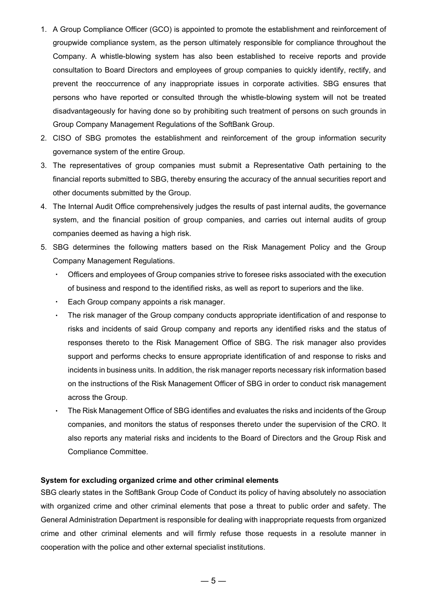- 1. A Group Compliance Officer (GCO) is appointed to promote the establishment and reinforcement of groupwide compliance system, as the person ultimately responsible for compliance throughout the Company. A whistle-blowing system has also been established to receive reports and provide consultation to Board Directors and employees of group companies to quickly identify, rectify, and prevent the reoccurrence of any inappropriate issues in corporate activities. SBG ensures that persons who have reported or consulted through the whistle-blowing system will not be treated disadvantageously for having done so by prohibiting such treatment of persons on such grounds in Group Company Management Regulations of the SoftBank Group.
- 2. CISO of SBG promotes the establishment and reinforcement of the group information security governance system of the entire Group.
- 3. The representatives of group companies must submit a Representative Oath pertaining to the financial reports submitted to SBG, thereby ensuring the accuracy of the annual securities report and other documents submitted by the Group.
- 4. The Internal Audit Office comprehensively judges the results of past internal audits, the governance system, and the financial position of group companies, and carries out internal audits of group companies deemed as having a high risk.
- 5. SBG determines the following matters based on the Risk Management Policy and the Group Company Management Regulations.
	- Officers and employees of Group companies strive to foresee risks associated with the execution of business and respond to the identified risks, as well as report to superiors and the like.
	- ・ Each Group company appoints a risk manager.
	- The risk manager of the Group company conducts appropriate identification of and response to risks and incidents of said Group company and reports any identified risks and the status of responses thereto to the Risk Management Office of SBG. The risk manager also provides support and performs checks to ensure appropriate identification of and response to risks and incidents in business units. In addition, the risk manager reports necessary risk information based on the instructions of the Risk Management Officer of SBG in order to conduct risk management across the Group.
	- ・ The Risk Management Office of SBG identifies and evaluates the risks and incidents of the Group companies, and monitors the status of responses thereto under the supervision of the CRO. It also reports any material risks and incidents to the Board of Directors and the Group Risk and Compliance Committee.

# **System for excluding organized crime and other criminal elements**

SBG clearly states in the SoftBank Group Code of Conduct its policy of having absolutely no association with organized crime and other criminal elements that pose a threat to public order and safety. The General Administration Department is responsible for dealing with inappropriate requests from organized crime and other criminal elements and will firmly refuse those requests in a resolute manner in cooperation with the police and other external specialist institutions.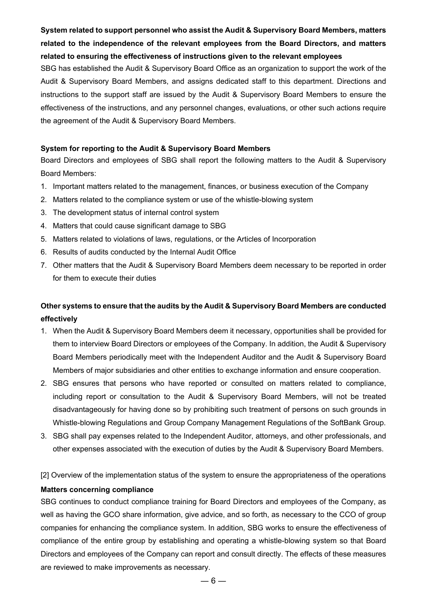# **System related to support personnel who assist the Audit & Supervisory Board Members, matters related to the independence of the relevant employees from the Board Directors, and matters related to ensuring the effectiveness of instructions given to the relevant employees**

SBG has established the Audit & Supervisory Board Office as an organization to support the work of the Audit & Supervisory Board Members, and assigns dedicated staff to this department. Directions and instructions to the support staff are issued by the Audit & Supervisory Board Members to ensure the effectiveness of the instructions, and any personnel changes, evaluations, or other such actions require the agreement of the Audit & Supervisory Board Members.

# **System for reporting to the Audit & Supervisory Board Members**

Board Directors and employees of SBG shall report the following matters to the Audit & Supervisory Board Members:

- 1. Important matters related to the management, finances, or business execution of the Company
- 2. Matters related to the compliance system or use of the whistle-blowing system
- 3. The development status of internal control system
- 4. Matters that could cause significant damage to SBG
- 5. Matters related to violations of laws, regulations, or the Articles of Incorporation
- 6. Results of audits conducted by the Internal Audit Office
- 7. Other matters that the Audit & Supervisory Board Members deem necessary to be reported in order for them to execute their duties

# **Other systems to ensure that the audits by the Audit & Supervisory Board Members are conducted effectively**

- 1. When the Audit & Supervisory Board Members deem it necessary, opportunities shall be provided for them to interview Board Directors or employees of the Company. In addition, the Audit & Supervisory Board Members periodically meet with the Independent Auditor and the Audit & Supervisory Board Members of major subsidiaries and other entities to exchange information and ensure cooperation.
- 2. SBG ensures that persons who have reported or consulted on matters related to compliance, including report or consultation to the Audit & Supervisory Board Members, will not be treated disadvantageously for having done so by prohibiting such treatment of persons on such grounds in Whistle-blowing Regulations and Group Company Management Regulations of the SoftBank Group.
- 3. SBG shall pay expenses related to the Independent Auditor, attorneys, and other professionals, and other expenses associated with the execution of duties by the Audit & Supervisory Board Members.

[2] Overview of the implementation status of the system to ensure the appropriateness of the operations

# **Matters concerning compliance**

SBG continues to conduct compliance training for Board Directors and employees of the Company, as well as having the GCO share information, give advice, and so forth, as necessary to the CCO of group companies for enhancing the compliance system. In addition, SBG works to ensure the effectiveness of compliance of the entire group by establishing and operating a whistle-blowing system so that Board Directors and employees of the Company can report and consult directly. The effects of these measures are reviewed to make improvements as necessary.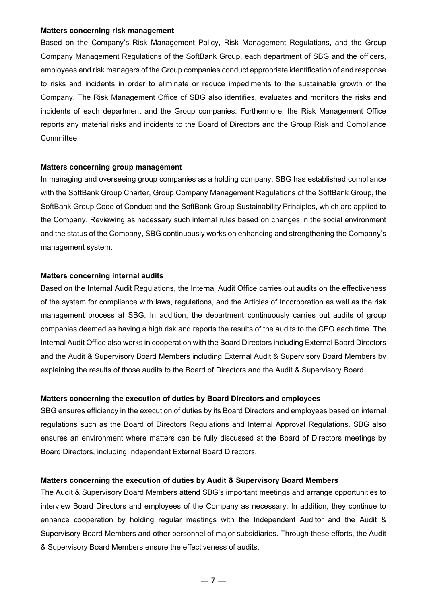## **Matters concerning risk management**

Based on the Company's Risk Management Policy, Risk Management Regulations, and the Group Company Management Regulations of the SoftBank Group, each department of SBG and the officers, employees and risk managers of the Group companies conduct appropriate identification of and response to risks and incidents in order to eliminate or reduce impediments to the sustainable growth of the Company. The Risk Management Office of SBG also identifies, evaluates and monitors the risks and incidents of each department and the Group companies. Furthermore, the Risk Management Office reports any material risks and incidents to the Board of Directors and the Group Risk and Compliance Committee.

## **Matters concerning group management**

In managing and overseeing group companies as a holding company, SBG has established compliance with the SoftBank Group Charter, Group Company Management Regulations of the SoftBank Group, the SoftBank Group Code of Conduct and the SoftBank Group Sustainability Principles, which are applied to the Company. Reviewing as necessary such internal rules based on changes in the social environment and the status of the Company, SBG continuously works on enhancing and strengthening the Company's management system.

#### **Matters concerning internal audits**

Based on the Internal Audit Regulations, the Internal Audit Office carries out audits on the effectiveness of the system for compliance with laws, regulations, and the Articles of Incorporation as well as the risk management process at SBG. In addition, the department continuously carries out audits of group companies deemed as having a high risk and reports the results of the audits to the CEO each time. The Internal Audit Office also works in cooperation with the Board Directors including External Board Directors and the Audit & Supervisory Board Members including External Audit & Supervisory Board Members by explaining the results of those audits to the Board of Directors and the Audit & Supervisory Board.

# **Matters concerning the execution of duties by Board Directors and employees**

SBG ensures efficiency in the execution of duties by its Board Directors and employees based on internal regulations such as the Board of Directors Regulations and Internal Approval Regulations. SBG also ensures an environment where matters can be fully discussed at the Board of Directors meetings by Board Directors, including Independent External Board Directors.

## **Matters concerning the execution of duties by Audit & Supervisory Board Members**

The Audit & Supervisory Board Members attend SBG's important meetings and arrange opportunities to interview Board Directors and employees of the Company as necessary. In addition, they continue to enhance cooperation by holding regular meetings with the Independent Auditor and the Audit & Supervisory Board Members and other personnel of major subsidiaries. Through these efforts, the Audit & Supervisory Board Members ensure the effectiveness of audits.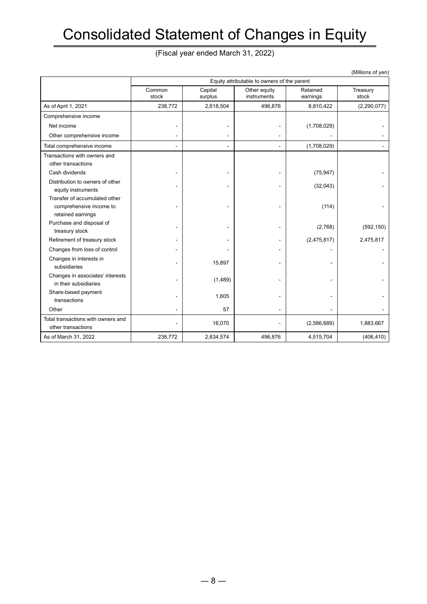# Consolidated Statement of Changes in Equity

(Fiscal year ended March 31, 2022)

|                                                                               |                                             |                    |                             |                      | (Millions of yen) |  |  |
|-------------------------------------------------------------------------------|---------------------------------------------|--------------------|-----------------------------|----------------------|-------------------|--|--|
|                                                                               | Equity attributable to owners of the parent |                    |                             |                      |                   |  |  |
|                                                                               | Common<br>stock                             | Capital<br>surplus | Other equity<br>instruments | Retained<br>earnings | Treasury<br>stock |  |  |
| As of April 1, 2021                                                           | 238,772                                     | 2,618,504          | 496,876                     | 8,810,422            | (2,290,077)       |  |  |
| Comprehensive income                                                          |                                             |                    |                             |                      |                   |  |  |
| Net income                                                                    |                                             | $\blacksquare$     |                             | (1,708,029)          |                   |  |  |
| Other comprehensive income                                                    |                                             |                    |                             |                      |                   |  |  |
| Total comprehensive income                                                    |                                             | $\blacksquare$     |                             | (1,708,029)          |                   |  |  |
| Transactions with owners and<br>other transactions                            |                                             |                    |                             |                      |                   |  |  |
| Cash dividends                                                                |                                             |                    |                             | (75, 947)            |                   |  |  |
| Distribution to owners of other<br>equity instruments                         |                                             |                    |                             | (32,043)             |                   |  |  |
| Transfer of accumulated other<br>comprehensive income to<br>retained earnings |                                             |                    |                             | (114)                |                   |  |  |
| Purchase and disposal of<br>treasury stock                                    |                                             |                    |                             | (2,768)              | (592, 150)        |  |  |
| Retirement of treasury stock                                                  |                                             |                    |                             | (2,475,817)          | 2,475,817         |  |  |
| Changes from loss of control                                                  |                                             |                    |                             |                      |                   |  |  |
| Changes in interests in<br>subsidiaries                                       |                                             | 15,897             |                             |                      |                   |  |  |
| Changes in associates' interests<br>in their subsidiaries                     |                                             | (1, 489)           |                             |                      |                   |  |  |
| Share-based payment<br>transactions                                           |                                             | 1,605              |                             |                      |                   |  |  |
| Other                                                                         |                                             | 57                 |                             |                      |                   |  |  |
| Total transactions with owners and<br>other transactions                      |                                             | 16,070             |                             | (2,586,689)          | 1,883,667         |  |  |
| As of March 31, 2022                                                          | 238,772                                     | 2,634,574          | 496,876                     | 4,515,704            | (406, 410)        |  |  |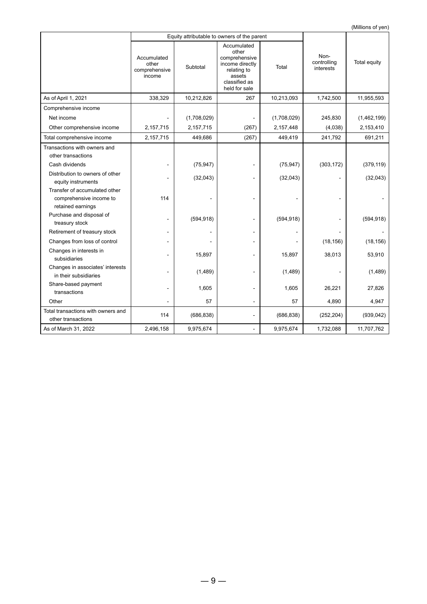|                                                                               | Equity attributable to owners of the parent     |             |                                                                                                                     |             |                                  |              |
|-------------------------------------------------------------------------------|-------------------------------------------------|-------------|---------------------------------------------------------------------------------------------------------------------|-------------|----------------------------------|--------------|
|                                                                               | Accumulated<br>other<br>comprehensive<br>income | Subtotal    | Accumulated<br>other<br>comprehensive<br>income directly<br>relating to<br>assets<br>classified as<br>held for sale | Total       | Non-<br>controlling<br>interests | Total equity |
| As of April 1, 2021                                                           | 338,329                                         | 10,212,826  | 267                                                                                                                 | 10,213,093  | 1,742,500                        | 11,955,593   |
| Comprehensive income                                                          |                                                 |             |                                                                                                                     |             |                                  |              |
| Net income                                                                    |                                                 | (1,708,029) |                                                                                                                     | (1,708,029) | 245,830                          | (1,462,199)  |
| Other comprehensive income                                                    | 2,157,715                                       | 2,157,715   | (267)                                                                                                               | 2,157,448   | (4,038)                          | 2,153,410    |
| Total comprehensive income                                                    | 2,157,715                                       | 449,686     | (267)                                                                                                               | 449,419     | 241,792                          | 691,211      |
| Transactions with owners and<br>other transactions                            |                                                 |             |                                                                                                                     |             |                                  |              |
| Cash dividends                                                                |                                                 | (75, 947)   |                                                                                                                     | (75, 947)   | (303, 172)                       | (379, 119)   |
| Distribution to owners of other<br>equity instruments                         |                                                 | (32,043)    |                                                                                                                     | (32,043)    |                                  | (32,043)     |
| Transfer of accumulated other<br>comprehensive income to<br>retained earnings | 114                                             |             |                                                                                                                     |             |                                  |              |
| Purchase and disposal of<br>treasury stock                                    |                                                 | (594, 918)  |                                                                                                                     | (594, 918)  |                                  | (594, 918)   |
| Retirement of treasury stock                                                  |                                                 |             |                                                                                                                     |             |                                  |              |
| Changes from loss of control                                                  |                                                 |             |                                                                                                                     |             | (18, 156)                        | (18, 156)    |
| Changes in interests in<br>subsidiaries                                       |                                                 | 15,897      |                                                                                                                     | 15,897      | 38,013                           | 53,910       |
| Changes in associates' interests<br>in their subsidiaries                     |                                                 | (1, 489)    |                                                                                                                     | (1,489)     |                                  | (1, 489)     |
| Share-based payment<br>transactions                                           |                                                 | 1,605       |                                                                                                                     | 1,605       | 26,221                           | 27,826       |
| Other                                                                         |                                                 | 57          |                                                                                                                     | 57          | 4,890                            | 4,947        |
| Total transactions with owners and<br>other transactions                      | 114                                             | (686, 838)  |                                                                                                                     | (686, 838)  | (252, 204)                       | (939, 042)   |
| As of March 31, 2022                                                          | 2,496,158                                       | 9,975,674   |                                                                                                                     | 9,975,674   | 1,732,088                        | 11,707,762   |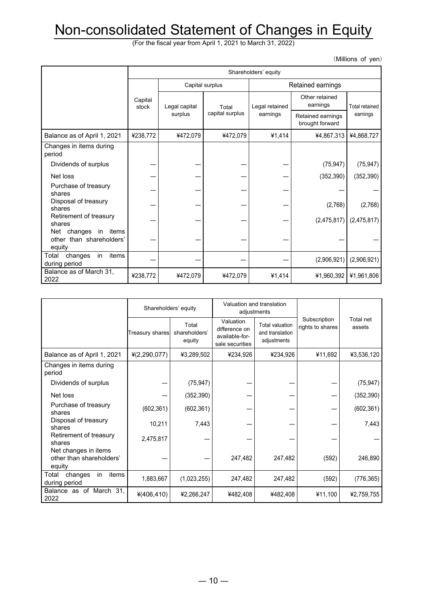# Non-consolidated Statement of Changes in Equity

(For the fiscal year from April 1, 2021 to March 31, 2022)

(Millions of yen)

|                                                            | Shareholders' equity |                          |                          |                            |                                      |                                   |
|------------------------------------------------------------|----------------------|--------------------------|--------------------------|----------------------------|--------------------------------------|-----------------------------------|
|                                                            |                      | Capital surplus          |                          |                            | Retained earnings                    |                                   |
|                                                            | Capital<br>stock     | Legal capital<br>surplus | Total<br>capital surplus | Legal retained<br>earnings | Other retained<br>earnings           | <b>Total retained</b><br>earnings |
|                                                            |                      |                          |                          |                            | Retained earnings<br>brought forward |                                   |
| Balance as of April 1, 2021                                | ¥238,772             | ¥472,079                 | ¥472,079                 | ¥1,414                     | ¥4,867,313                           | ¥4,868,727                        |
| Changes in items during<br>period                          |                      |                          |                          |                            |                                      |                                   |
| Dividends of surplus                                       |                      |                          |                          |                            | (75, 947)                            | (75, 947)                         |
| Net loss                                                   |                      |                          |                          |                            | (352, 390)                           | (352, 390)                        |
| Purchase of treasury<br>shares                             |                      |                          |                          |                            |                                      |                                   |
| Disposal of treasury<br>shares                             |                      |                          |                          |                            | (2,768)                              | (2,768)                           |
| Retirement of treasury<br>shares                           |                      |                          |                          |                            | (2,475,817)                          | (2,475,817)                       |
| Net changes in items<br>other than shareholders'<br>equity |                      |                          |                          |                            |                                      |                                   |
| items<br>Total<br>changes<br>in<br>during period           |                      |                          |                          |                            | (2,906,921)                          | (2,906,921)                       |
| Balance as of March 31,<br>2022                            | ¥238,772             | ¥472,079                 | ¥472,079                 | ¥1,414                     | ¥1,960,392                           | ¥1,961,806                        |

|                                                            | Shareholders' equity |                                  | Valuation and translation<br>adjustments                        |                                                   |                                  |                     |
|------------------------------------------------------------|----------------------|----------------------------------|-----------------------------------------------------------------|---------------------------------------------------|----------------------------------|---------------------|
|                                                            | Treasury shares      | Total<br>shareholders'<br>equity | Valuation<br>difference on<br>available-for-<br>sale securities | Total valuation<br>and translation<br>adjustments | Subscription<br>rights to shares | Total net<br>assets |
| Balance as of April 1, 2021                                | 4(2,290,077)         | ¥3,289,502                       | ¥234,926                                                        | ¥234,926                                          | ¥11,692                          | ¥3,536,120          |
| Changes in items during<br>period                          |                      |                                  |                                                                 |                                                   |                                  |                     |
| Dividends of surplus                                       |                      | (75, 947)                        |                                                                 |                                                   |                                  | (75, 947)           |
| Net loss                                                   |                      | (352, 390)                       |                                                                 |                                                   |                                  | (352, 390)          |
| Purchase of treasury<br>shares                             | (602, 361)           | (602, 361)                       |                                                                 |                                                   |                                  | (602, 361)          |
| Disposal of treasury<br>shares                             | 10,211               | 7,443                            |                                                                 |                                                   |                                  | 7,443               |
| Retirement of treasury<br>shares                           | 2,475,817            |                                  |                                                                 |                                                   |                                  |                     |
| Net changes in items<br>other than shareholders'<br>equity |                      |                                  | 247,482                                                         | 247,482                                           | (592)                            | 246,890             |
| changes<br>items<br>Total<br>in.<br>during period          | 1,883,667            | (1,023,255)                      | 247,482                                                         | 247,482                                           | (592)                            | (776, 365)          |
| Balance as of March 31,<br>2022                            | $*(406, 410)$        | ¥2,266,247                       | ¥482,408                                                        | ¥482,408                                          | ¥11,100                          | ¥2,759,755          |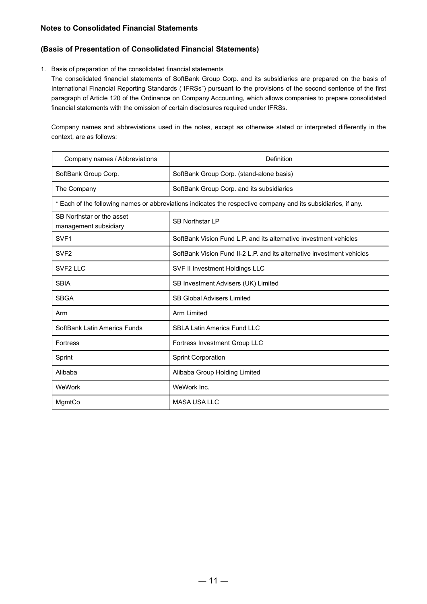# **Notes to Consolidated Financial Statements**

# **(Basis of Presentation of Consolidated Financial Statements)**

1. Basis of preparation of the consolidated financial statements

The consolidated financial statements of SoftBank Group Corp. and its subsidiaries are prepared on the basis of International Financial Reporting Standards ("IFRSs") pursuant to the provisions of the second sentence of the first paragraph of Article 120 of the Ordinance on Company Accounting, which allows companies to prepare consolidated financial statements with the omission of certain disclosures required under IFRSs.

Company names and abbreviations used in the notes, except as otherwise stated or interpreted differently in the context, are as follows:

| Company names / Abbreviations                                                                                 | Definition                                                             |  |
|---------------------------------------------------------------------------------------------------------------|------------------------------------------------------------------------|--|
| SoftBank Group Corp.                                                                                          | SoftBank Group Corp. (stand-alone basis)                               |  |
| The Company                                                                                                   | SoftBank Group Corp. and its subsidiaries                              |  |
| * Each of the following names or abbreviations indicates the respective company and its subsidiaries, if any. |                                                                        |  |
| SB Northstar or the asset<br>management subsidiary                                                            | <b>SB Northstar LP</b>                                                 |  |
| SVF <sub>1</sub>                                                                                              | SoftBank Vision Fund L.P. and its alternative investment vehicles      |  |
| SVF <sub>2</sub>                                                                                              | SoftBank Vision Fund II-2 L.P. and its alternative investment vehicles |  |
| SVF <sub>2</sub> LLC                                                                                          | SVF II Investment Holdings LLC                                         |  |
| <b>SBIA</b>                                                                                                   | SB Investment Advisers (UK) Limited                                    |  |
| <b>SBGA</b>                                                                                                   | <b>SB Global Advisers Limited</b>                                      |  |
| Arm                                                                                                           | Arm Limited                                                            |  |
| SoftBank Latin America Funds                                                                                  | <b>SBLA Latin America Fund LLC</b>                                     |  |
| <b>Fortress</b>                                                                                               | Fortress Investment Group LLC                                          |  |
| Sprint                                                                                                        | <b>Sprint Corporation</b>                                              |  |
| Alibaba                                                                                                       | Alibaba Group Holding Limited                                          |  |
| WeWork                                                                                                        | WeWork Inc.                                                            |  |
| MgmtCo                                                                                                        | <b>MASA USA LLC</b>                                                    |  |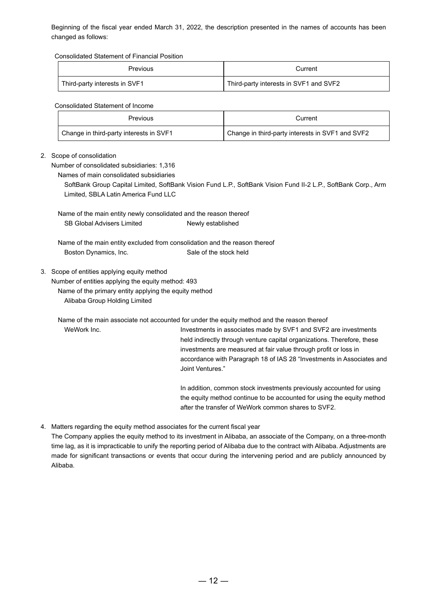Beginning of the fiscal year ended March 31, 2022, the description presented in the names of accounts has been changed as follows:

Consolidated Statement of Financial Position

| Previous                      | 2urrent                                |
|-------------------------------|----------------------------------------|
| Third-party interests in SVF1 | Third-party interests in SVF1 and SVF2 |

## Consolidated Statement of Income

| Previous                                | Current                                          |
|-----------------------------------------|--------------------------------------------------|
| Change in third-party interests in SVF1 | Change in third-party interests in SVF1 and SVF2 |

#### 2. Scope of consolidation

Number of consolidated subsidiaries: 1,316

Names of main consolidated subsidiaries

SoftBank Group Capital Limited, SoftBank Vision Fund L.P., SoftBank Vision Fund II-2 L.P., SoftBank Corp., Arm Limited, SBLA Latin America Fund LLC

- Name of the main entity newly consolidated and the reason thereof SB Global Advisers Limited Newly established
- Name of the main entity excluded from consolidation and the reason thereof Boston Dynamics, Inc. Sale of the stock held
- 3. Scope of entities applying equity method

Number of entities applying the equity method: 493 Name of the primary entity applying the equity method

Alibaba Group Holding Limited

Name of the main associate not accounted for under the equity method and the reason thereof

WeWork Inc. The Superstanding investments in associates made by SVF1 and SVF2 are investments held indirectly through venture capital organizations. Therefore, these investments are measured at fair value through profit or loss in accordance with Paragraph 18 of IAS 28 "Investments in Associates and Joint Ventures."

> In addition, common stock investments previously accounted for using the equity method continue to be accounted for using the equity method after the transfer of WeWork common shares to SVF2.

4. Matters regarding the equity method associates for the current fiscal year

The Company applies the equity method to its investment in Alibaba, an associate of the Company, on a three-month time lag, as it is impracticable to unify the reporting period of Alibaba due to the contract with Alibaba. Adjustments are made for significant transactions or events that occur during the intervening period and are publicly announced by Alibaba.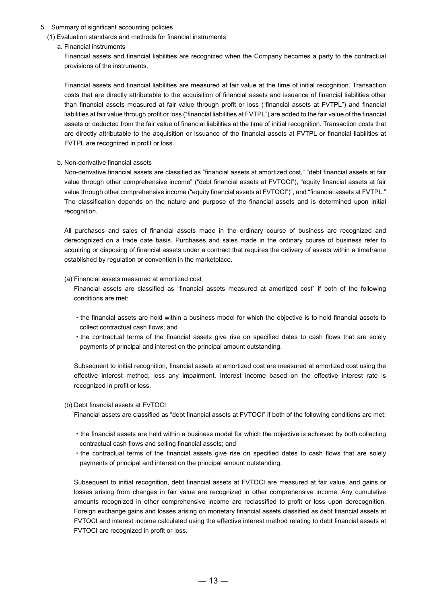- 5. Summary of significant accounting policies
	- (1) Evaluation standards and methods for financial instruments
	- a. Financial instruments

Financial assets and financial liabilities are recognized when the Company becomes a party to the contractual provisions of the instruments.

Financial assets and financial liabilities are measured at fair value at the time of initial recognition. Transaction costs that are directly attributable to the acquisition of financial assets and issuance of financial liabilities other than financial assets measured at fair value through profit or loss ("financial assets at FVTPL") and financial liabilities at fair value through profit or loss ("financial liabilities at FVTPL") are added to the fair value of the financial assets or deducted from the fair value of financial liabilities at the time of initial recognition. Transaction costs that are directly attributable to the acquisition or issuance of the financial assets at FVTPL or financial liabilities at FVTPL are recognized in profit or loss.

#### b. Non-derivative financial assets

Non-derivative financial assets are classified as "financial assets at amortized cost," "debt financial assets at fair value through other comprehensive income" ("debt financial assets at FVTOCI"), "equity financial assets at fair value through other comprehensive income ("equity financial assets at FVTOCI")", and "financial assets at FVTPL." The classification depends on the nature and purpose of the financial assets and is determined upon initial recognition.

All purchases and sales of financial assets made in the ordinary course of business are recognized and derecognized on a trade date basis. Purchases and sales made in the ordinary course of business refer to acquiring or disposing of financial assets under a contract that requires the delivery of assets within a timeframe established by regulation or convention in the marketplace.

#### (a) Financial assets measured at amortized cost

Financial assets are classified as "financial assets measured at amortized cost" if both of the following conditions are met:

- ・the financial assets are held within a business model for which the objective is to hold financial assets to collect contractual cash flows; and
- ・the contractual terms of the financial assets give rise on specified dates to cash flows that are solely payments of principal and interest on the principal amount outstanding.

Subsequent to initial recognition, financial assets at amortized cost are measured at amortized cost using the effective interest method, less any impairment. Interest income based on the effective interest rate is recognized in profit or loss.

#### (b) Debt financial assets at FVTOCI

Financial assets are classified as "debt financial assets at FVTOCI" if both of the following conditions are met:

- ・the financial assets are held within a business model for which the objective is achieved by both collecting contractual cash flows and selling financial assets; and
- ・the contractual terms of the financial assets give rise on specified dates to cash flows that are solely payments of principal and interest on the principal amount outstanding.

Subsequent to initial recognition, debt financial assets at FVTOCI are measured at fair value, and gains or losses arising from changes in fair value are recognized in other comprehensive income. Any cumulative amounts recognized in other comprehensive income are reclassified to profit or loss upon derecognition. Foreign exchange gains and losses arising on monetary financial assets classified as debt financial assets at FVTOCI and interest income calculated using the effective interest method relating to debt financial assets at FVTOCI are recognized in profit or loss.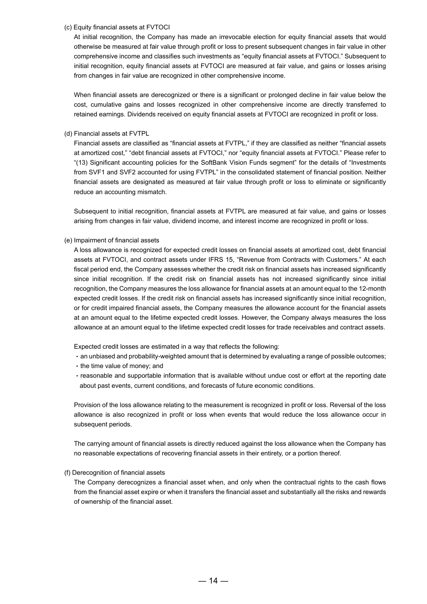#### (c) Equity financial assets at FVTOCI

At initial recognition, the Company has made an irrevocable election for equity financial assets that would otherwise be measured at fair value through profit or loss to present subsequent changes in fair value in other comprehensive income and classifies such investments as "equity financial assets at FVTOCI." Subsequent to initial recognition, equity financial assets at FVTOCI are measured at fair value, and gains or losses arising from changes in fair value are recognized in other comprehensive income.

When financial assets are derecognized or there is a significant or prolonged decline in fair value below the cost, cumulative gains and losses recognized in other comprehensive income are directly transferred to retained earnings. Dividends received on equity financial assets at FVTOCI are recognized in profit or loss.

#### (d) Financial assets at FVTPL

Financial assets are classified as "financial assets at FVTPL," if they are classified as neither "financial assets at amortized cost," "debt financial assets at FVTOCI," nor "equity financial assets at FVTOCI." Please refer to "(13) Significant accounting policies for the SoftBank Vision Funds segment" for the details of "Investments from SVF1 and SVF2 accounted for using FVTPL" in the consolidated statement of financial position. Neither financial assets are designated as measured at fair value through profit or loss to eliminate or significantly reduce an accounting mismatch.

Subsequent to initial recognition, financial assets at FVTPL are measured at fair value, and gains or losses arising from changes in fair value, dividend income, and interest income are recognized in profit or loss.

#### (e) Impairment of financial assets

A loss allowance is recognized for expected credit losses on financial assets at amortized cost, debt financial assets at FVTOCI, and contract assets under IFRS 15, "Revenue from Contracts with Customers." At each fiscal period end, the Company assesses whether the credit risk on financial assets has increased significantly since initial recognition. If the credit risk on financial assets has not increased significantly since initial recognition, the Company measures the loss allowance for financial assets at an amount equal to the 12-month expected credit losses. If the credit risk on financial assets has increased significantly since initial recognition, or for credit impaired financial assets, the Company measures the allowance account for the financial assets at an amount equal to the lifetime expected credit losses. However, the Company always measures the loss allowance at an amount equal to the lifetime expected credit losses for trade receivables and contract assets.

Expected credit losses are estimated in a way that reflects the following:

- ・an unbiased and probability-weighted amount that is determined by evaluating a range of possible outcomes;
- ・the time value of money; and
- ・reasonable and supportable information that is available without undue cost or effort at the reporting date about past events, current conditions, and forecasts of future economic conditions.

Provision of the loss allowance relating to the measurement is recognized in profit or loss. Reversal of the loss allowance is also recognized in profit or loss when events that would reduce the loss allowance occur in subsequent periods.

The carrying amount of financial assets is directly reduced against the loss allowance when the Company has no reasonable expectations of recovering financial assets in their entirety, or a portion thereof.

#### (f) Derecognition of financial assets

The Company derecognizes a financial asset when, and only when the contractual rights to the cash flows from the financial asset expire or when it transfers the financial asset and substantially all the risks and rewards of ownership of the financial asset.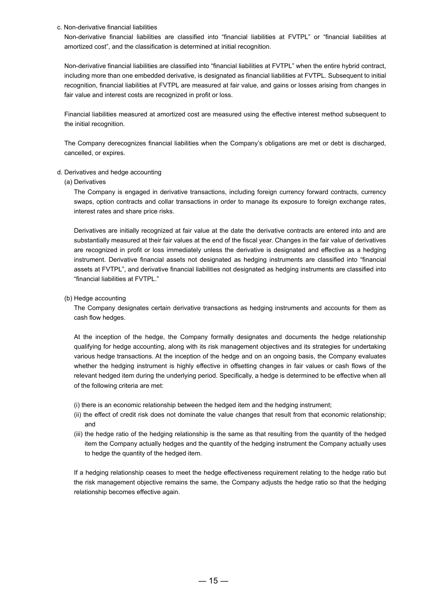c. Non-derivative financial liabilities

Non-derivative financial liabilities are classified into "financial liabilities at FVTPL" or "financial liabilities at amortized cost", and the classification is determined at initial recognition.

Non-derivative financial liabilities are classified into "financial liabilities at FVTPL" when the entire hybrid contract, including more than one embedded derivative, is designated as financial liabilities at FVTPL. Subsequent to initial recognition, financial liabilities at FVTPL are measured at fair value, and gains or losses arising from changes in fair value and interest costs are recognized in profit or loss.

Financial liabilities measured at amortized cost are measured using the effective interest method subsequent to the initial recognition.

The Company derecognizes financial liabilities when the Company's obligations are met or debt is discharged, cancelled, or expires.

#### d. Derivatives and hedge accounting

(a) Derivatives

The Company is engaged in derivative transactions, including foreign currency forward contracts, currency swaps, option contracts and collar transactions in order to manage its exposure to foreign exchange rates, interest rates and share price risks.

Derivatives are initially recognized at fair value at the date the derivative contracts are entered into and are substantially measured at their fair values at the end of the fiscal year. Changes in the fair value of derivatives are recognized in profit or loss immediately unless the derivative is designated and effective as a hedging instrument. Derivative financial assets not designated as hedging instruments are classified into "financial assets at FVTPL", and derivative financial liabilities not designated as hedging instruments are classified into "financial liabilities at FVTPL."

#### (b) Hedge accounting

The Company designates certain derivative transactions as hedging instruments and accounts for them as cash flow hedges.

At the inception of the hedge, the Company formally designates and documents the hedge relationship qualifying for hedge accounting, along with its risk management objectives and its strategies for undertaking various hedge transactions. At the inception of the hedge and on an ongoing basis, the Company evaluates whether the hedging instrument is highly effective in offsetting changes in fair values or cash flows of the relevant hedged item during the underlying period. Specifically, a hedge is determined to be effective when all of the following criteria are met:

(i) there is an economic relationship between the hedged item and the hedging instrument;

- (ii) the effect of credit risk does not dominate the value changes that result from that economic relationship; and
- (iii) the hedge ratio of the hedging relationship is the same as that resulting from the quantity of the hedged item the Company actually hedges and the quantity of the hedging instrument the Company actually uses to hedge the quantity of the hedged item.

If a hedging relationship ceases to meet the hedge effectiveness requirement relating to the hedge ratio but the risk management objective remains the same, the Company adjusts the hedge ratio so that the hedging relationship becomes effective again.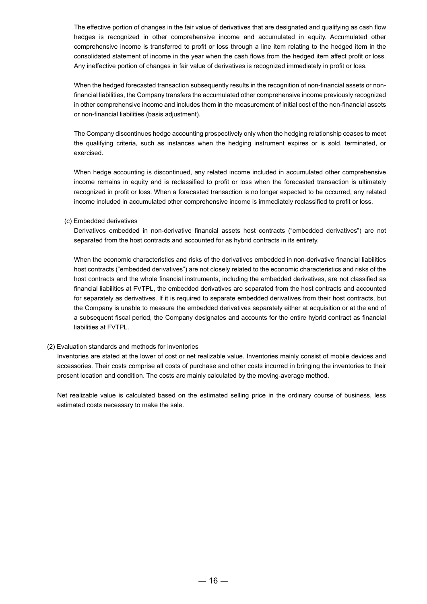The effective portion of changes in the fair value of derivatives that are designated and qualifying as cash flow hedges is recognized in other comprehensive income and accumulated in equity. Accumulated other comprehensive income is transferred to profit or loss through a line item relating to the hedged item in the consolidated statement of income in the year when the cash flows from the hedged item affect profit or loss. Any ineffective portion of changes in fair value of derivatives is recognized immediately in profit or loss.

When the hedged forecasted transaction subsequently results in the recognition of non-financial assets or nonfinancial liabilities, the Company transfers the accumulated other comprehensive income previously recognized in other comprehensive income and includes them in the measurement of initial cost of the non-financial assets or non-financial liabilities (basis adjustment).

The Company discontinues hedge accounting prospectively only when the hedging relationship ceases to meet the qualifying criteria, such as instances when the hedging instrument expires or is sold, terminated, or exercised.

When hedge accounting is discontinued, any related income included in accumulated other comprehensive income remains in equity and is reclassified to profit or loss when the forecasted transaction is ultimately recognized in profit or loss. When a forecasted transaction is no longer expected to be occurred, any related income included in accumulated other comprehensive income is immediately reclassified to profit or loss.

#### (c) Embedded derivatives

Derivatives embedded in non-derivative financial assets host contracts ("embedded derivatives") are not separated from the host contracts and accounted for as hybrid contracts in its entirety.

When the economic characteristics and risks of the derivatives embedded in non-derivative financial liabilities host contracts ("embedded derivatives") are not closely related to the economic characteristics and risks of the host contracts and the whole financial instruments, including the embedded derivatives, are not classified as financial liabilities at FVTPL, the embedded derivatives are separated from the host contracts and accounted for separately as derivatives. If it is required to separate embedded derivatives from their host contracts, but the Company is unable to measure the embedded derivatives separately either at acquisition or at the end of a subsequent fiscal period, the Company designates and accounts for the entire hybrid contract as financial liabilities at FVTPL.

#### (2) Evaluation standards and methods for inventories

Inventories are stated at the lower of cost or net realizable value. Inventories mainly consist of mobile devices and accessories. Their costs comprise all costs of purchase and other costs incurred in bringing the inventories to their present location and condition. The costs are mainly calculated by the moving-average method.

Net realizable value is calculated based on the estimated selling price in the ordinary course of business, less estimated costs necessary to make the sale.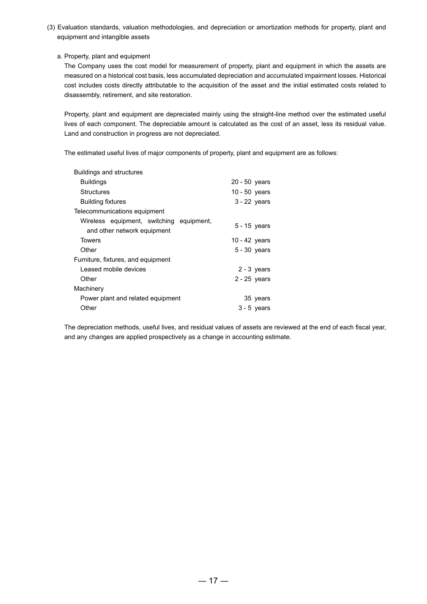(3) Evaluation standards, valuation methodologies, and depreciation or amortization methods for property, plant and equipment and intangible assets

a. Property, plant and equipment

The Company uses the cost model for measurement of property, plant and equipment in which the assets are measured on a historical cost basis, less accumulated depreciation and accumulated impairment losses. Historical cost includes costs directly attributable to the acquisition of the asset and the initial estimated costs related to disassembly, retirement, and site restoration.

Property, plant and equipment are depreciated mainly using the straight-line method over the estimated useful lives of each component. The depreciable amount is calculated as the cost of an asset, less its residual value. Land and construction in progress are not depreciated.

The estimated useful lives of major components of property, plant and equipment are as follows:

| <b>Buildings and structures</b>                                         |                |
|-------------------------------------------------------------------------|----------------|
| <b>Buildings</b>                                                        | 20 - 50 years  |
| Structures                                                              | 10 - 50 years  |
| <b>Building fixtures</b>                                                | $3 - 22$ years |
| Telecommunications equipment                                            |                |
| Wireless equipment, switching equipment,<br>and other network equipment | $5 - 15$ years |
| <b>Towers</b>                                                           | 10 - 42 years  |
| Other                                                                   | $5 - 30$ years |
| Furniture, fixtures, and equipment                                      |                |
| I eased mobile devices                                                  | $2 - 3$ years  |
| Other                                                                   | $2 - 25$ years |
| Machinery                                                               |                |
| Power plant and related equipment                                       | 35 years       |
| Other                                                                   | $3 - 5$ years  |

The depreciation methods, useful lives, and residual values of assets are reviewed at the end of each fiscal year, and any changes are applied prospectively as a change in accounting estimate.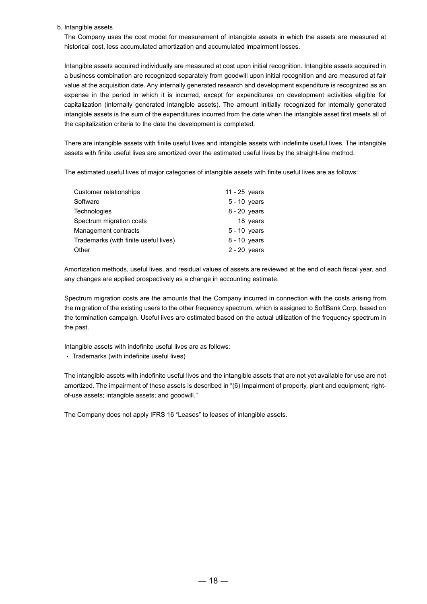b. Intangible assets

The Company uses the cost model for measurement of intangible assets in which the assets are measured at historical cost, less accumulated amortization and accumulated impairment losses.

Intangible assets acquired individually are measured at cost upon initial recognition. Intangible assets acquired in a business combination are recognized separately from goodwill upon initial recognition and are measured at fair value at the acquisition date. Any internally generated research and development expenditure is recognized as an expense in the period in which it is incurred, except for expenditures on development activities eligible for capitalization (internally generated intangible assets). The amount initially recognized for internally generated intangible assets is the sum of the expenditures incurred from the date when the intangible asset first meets all of the capitalization criteria to the date the development is completed.

There are intangible assets with finite useful lives and intangible assets with indefinite useful lives. The intangible assets with finite useful lives are amortized over the estimated useful lives by the straight-line method.

The estimated useful lives of major categories of intangible assets with finite useful lives are as follows:

| Customer relationships                | 11 - $25$ years |
|---------------------------------------|-----------------|
| Software                              | $5 - 10$ years  |
| <b>Technologies</b>                   | $8 - 20$ years  |
| Spectrum migration costs              | 18 years        |
| Management contracts                  | $5 - 10$ years  |
| Trademarks (with finite useful lives) | $8 - 10$ years  |
| Other                                 | $2 - 20$ years  |

Amortization methods, useful lives, and residual values of assets are reviewed at the end of each fiscal year, and any changes are applied prospectively as a change in accounting estimate.

Spectrum migration costs are the amounts that the Company incurred in connection with the costs arising from the migration of the existing users to the other frequency spectrum, which is assigned to SoftBank Corp, based on the termination campaign. Useful lives are estimated based on the actual utilization of the frequency spectrum in the past.

Intangible assets with indefinite useful lives are as follows:

・ Trademarks (with indefinite useful lives)

The intangible assets with indefinite useful lives and the intangible assets that are not yet available for use are not amortized. The impairment of these assets is described in "(6) Impairment of property, plant and equipment; rightof-use assets; intangible assets; and goodwill."

The Company does not apply IFRS 16 "Leases" to leases of intangible assets.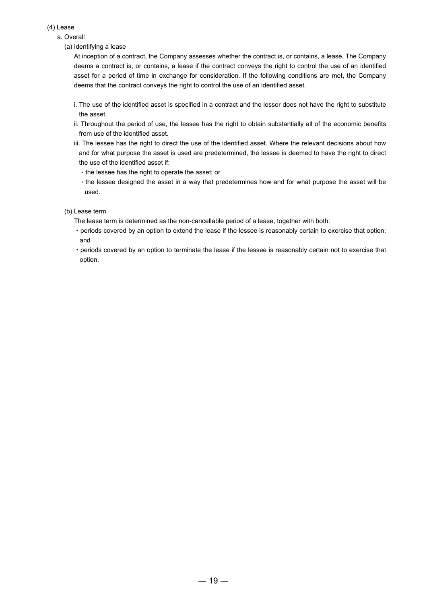## (4) Lease

# a. Overall

(a) Identifying a lease

At inception of a contract, the Company assesses whether the contract is, or contains, a lease. The Company deems a contract is, or contains, a lease if the contract conveys the right to control the use of an identified asset for a period of time in exchange for consideration. If the following conditions are met, the Company deems that the contract conveys the right to control the use of an identified asset.

- i. The use of the identified asset is specified in a contract and the lessor does not have the right to substitute the asset.
- ii. Throughout the period of use, the lessee has the right to obtain substantially all of the economic benefits from use of the identified asset.
- iii. The lessee has the right to direct the use of the identified asset. Where the relevant decisions about how and for what purpose the asset is used are predetermined, the lessee is deemed to have the right to direct the use of the identified asset if:
	- ・the lessee has the right to operate the asset; or
	- ・the lessee designed the asset in a way that predetermines how and for what purpose the asset will be used.
- (b) Lease term
	- The lease term is determined as the non-cancellable period of a lease, together with both:
	- ・periods covered by an option to extend the lease if the lessee is reasonably certain to exercise that option; and
	- ・periods covered by an option to terminate the lease if the lessee is reasonably certain not to exercise that option.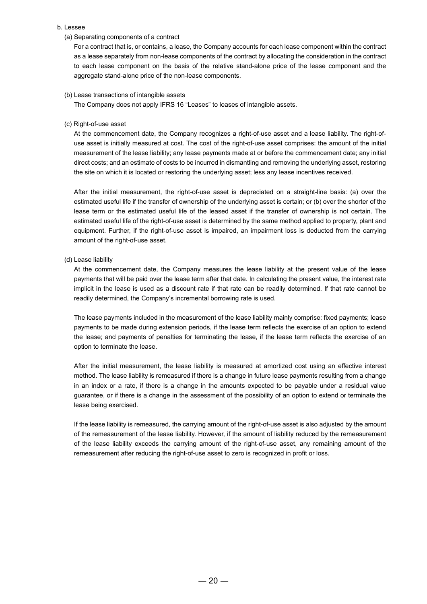#### b. Lessee

(a) Separating components of a contract

For a contract that is, or contains, a lease, the Company accounts for each lease component within the contract as a lease separately from non-lease components of the contract by allocating the consideration in the contract to each lease component on the basis of the relative stand-alone price of the lease component and the aggregate stand-alone price of the non-lease components.

#### (b) Lease transactions of intangible assets

The Company does not apply IFRS 16 "Leases" to leases of intangible assets.

(c) Right-of-use asset

At the commencement date, the Company recognizes a right-of-use asset and a lease liability. The right-ofuse asset is initially measured at cost. The cost of the right-of-use asset comprises: the amount of the initial measurement of the lease liability; any lease payments made at or before the commencement date; any initial direct costs; and an estimate of costs to be incurred in dismantling and removing the underlying asset, restoring the site on which it is located or restoring the underlying asset; less any lease incentives received.

After the initial measurement, the right-of-use asset is depreciated on a straight-line basis: (a) over the estimated useful life if the transfer of ownership of the underlying asset is certain; or (b) over the shorter of the lease term or the estimated useful life of the leased asset if the transfer of ownership is not certain. The estimated useful life of the right-of-use asset is determined by the same method applied to property, plant and equipment. Further, if the right-of-use asset is impaired, an impairment loss is deducted from the carrying amount of the right-of-use asset.

(d) Lease liability

At the commencement date, the Company measures the lease liability at the present value of the lease payments that will be paid over the lease term after that date. In calculating the present value, the interest rate implicit in the lease is used as a discount rate if that rate can be readily determined. If that rate cannot be readily determined, the Company's incremental borrowing rate is used.

The lease payments included in the measurement of the lease liability mainly comprise: fixed payments; lease payments to be made during extension periods, if the lease term reflects the exercise of an option to extend the lease; and payments of penalties for terminating the lease, if the lease term reflects the exercise of an option to terminate the lease.

After the initial measurement, the lease liability is measured at amortized cost using an effective interest method. The lease liability is remeasured if there is a change in future lease payments resulting from a change in an index or a rate, if there is a change in the amounts expected to be payable under a residual value guarantee, or if there is a change in the assessment of the possibility of an option to extend or terminate the lease being exercised.

If the lease liability is remeasured, the carrying amount of the right-of-use asset is also adjusted by the amount of the remeasurement of the lease liability. However, if the amount of liability reduced by the remeasurement of the lease liability exceeds the carrying amount of the right-of-use asset, any remaining amount of the remeasurement after reducing the right-of-use asset to zero is recognized in profit or loss.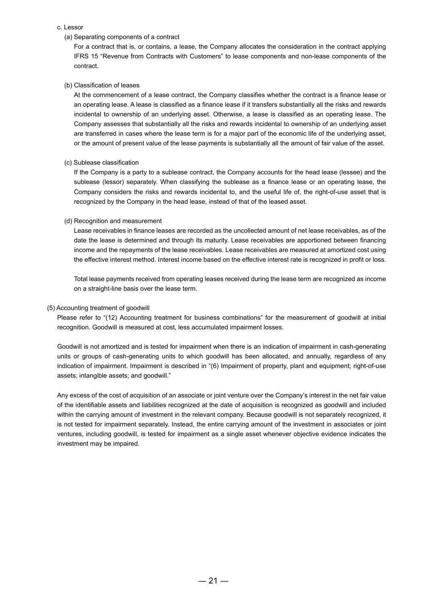#### c. Lessor

(a) Separating components of a contract

For a contract that is, or contains, a lease, the Company allocates the consideration in the contract applying IFRS 15 "Revenue from Contracts with Customers" to lease components and non-lease components of the contract.

#### (b) Classification of leases

At the commencement of a lease contract, the Company classifies whether the contract is a finance lease or an operating lease. A lease is classified as a finance lease if it transfers substantially all the risks and rewards incidental to ownership of an underlying asset. Otherwise, a lease is classified as an operating lease. The Company assesses that substantially all the risks and rewards incidental to ownership of an underlying asset are transferred in cases where the lease term is for a major part of the economic life of the underlying asset, or the amount of present value of the lease payments is substantially all the amount of fair value of the asset.

#### (c) Sublease classification

If the Company is a party to a sublease contract, the Company accounts for the head lease (lessee) and the sublease (lessor) separately. When classifying the sublease as a finance lease or an operating lease, the Company considers the risks and rewards incidental to, and the useful life of, the right-of-use asset that is recognized by the Company in the head lease, instead of that of the leased asset.

#### (d) Recognition and measurement

Lease receivables in finance leases are recorded as the uncollected amount of net lease receivables, as of the date the lease is determined and through its maturity. Lease receivables are apportioned between financing income and the repayments of the lease receivables. Lease receivables are measured at amortized cost using the effective interest method. Interest income based on the effective interest rate is recognized in profit or loss.

Total lease payments received from operating leases received during the lease term are recognized as income on a straight-line basis over the lease term.

#### (5) Accounting treatment of goodwill

Please refer to "(12) Accounting treatment for business combinations" for the measurement of goodwill at initial recognition. Goodwill is measured at cost, less accumulated impairment losses.

Goodwill is not amortized and is tested for impairment when there is an indication of impairment in cash-generating units or groups of cash-generating units to which goodwill has been allocated, and annually, regardless of any indication of impairment. Impairment is described in "(6) Impairment of property, plant and equipment; right-of-use assets; intangible assets; and goodwill."

Any excess of the cost of acquisition of an associate or joint venture over the Company's interest in the net fair value of the identifiable assets and liabilities recognized at the date of acquisition is recognized as goodwill and included within the carrying amount of investment in the relevant company. Because goodwill is not separately recognized, it is not tested for impairment separately. Instead, the entire carrying amount of the investment in associates or joint ventures, including goodwill, is tested for impairment as a single asset whenever objective evidence indicates the investment may be impaired.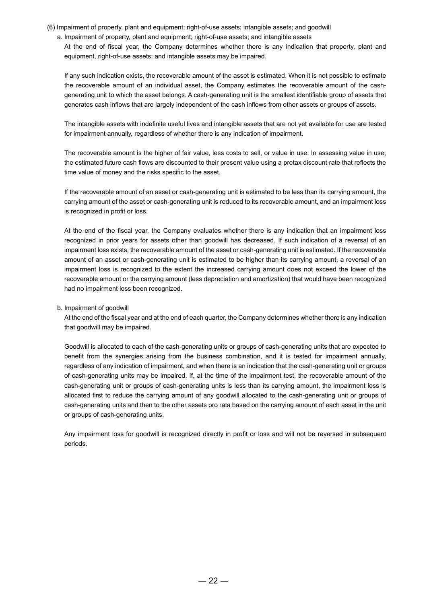- (6) Impairment of property, plant and equipment; right-of-use assets; intangible assets; and goodwill
	- a. Impairment of property, plant and equipment; right-of-use assets; and intangible assets

At the end of fiscal year, the Company determines whether there is any indication that property, plant and equipment, right-of-use assets; and intangible assets may be impaired.

If any such indication exists, the recoverable amount of the asset is estimated. When it is not possible to estimate the recoverable amount of an individual asset, the Company estimates the recoverable amount of the cashgenerating unit to which the asset belongs. A cash-generating unit is the smallest identifiable group of assets that generates cash inflows that are largely independent of the cash inflows from other assets or groups of assets.

The intangible assets with indefinite useful lives and intangible assets that are not yet available for use are tested for impairment annually, regardless of whether there is any indication of impairment.

The recoverable amount is the higher of fair value, less costs to sell, or value in use. In assessing value in use, the estimated future cash flows are discounted to their present value using a pretax discount rate that reflects the time value of money and the risks specific to the asset.

If the recoverable amount of an asset or cash-generating unit is estimated to be less than its carrying amount, the carrying amount of the asset or cash-generating unit is reduced to its recoverable amount, and an impairment loss is recognized in profit or loss.

At the end of the fiscal year, the Company evaluates whether there is any indication that an impairment loss recognized in prior years for assets other than goodwill has decreased. If such indication of a reversal of an impairment loss exists, the recoverable amount of the asset or cash-generating unit is estimated. If the recoverable amount of an asset or cash-generating unit is estimated to be higher than its carrying amount, a reversal of an impairment loss is recognized to the extent the increased carrying amount does not exceed the lower of the recoverable amount or the carrying amount (less depreciation and amortization) that would have been recognized had no impairment loss been recognized.

b. Impairment of goodwill

At the end of the fiscal year and at the end of each quarter, the Company determines whether there is any indication that goodwill may be impaired.

Goodwill is allocated to each of the cash-generating units or groups of cash-generating units that are expected to benefit from the synergies arising from the business combination, and it is tested for impairment annually, regardless of any indication of impairment, and when there is an indication that the cash-generating unit or groups of cash-generating units may be impaired. If, at the time of the impairment test, the recoverable amount of the cash-generating unit or groups of cash-generating units is less than its carrying amount, the impairment loss is allocated first to reduce the carrying amount of any goodwill allocated to the cash-generating unit or groups of cash-generating units and then to the other assets pro rata based on the carrying amount of each asset in the unit or groups of cash-generating units.

Any impairment loss for goodwill is recognized directly in profit or loss and will not be reversed in subsequent periods.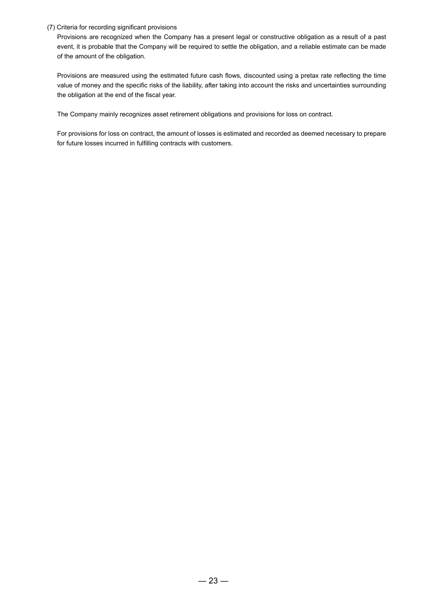#### (7) Criteria for recording significant provisions

Provisions are recognized when the Company has a present legal or constructive obligation as a result of a past event, it is probable that the Company will be required to settle the obligation, and a reliable estimate can be made of the amount of the obligation.

Provisions are measured using the estimated future cash flows, discounted using a pretax rate reflecting the time value of money and the specific risks of the liability, after taking into account the risks and uncertainties surrounding the obligation at the end of the fiscal year.

The Company mainly recognizes asset retirement obligations and provisions for loss on contract.

For provisions for loss on contract, the amount of losses is estimated and recorded as deemed necessary to prepare for future losses incurred in fulfilling contracts with customers.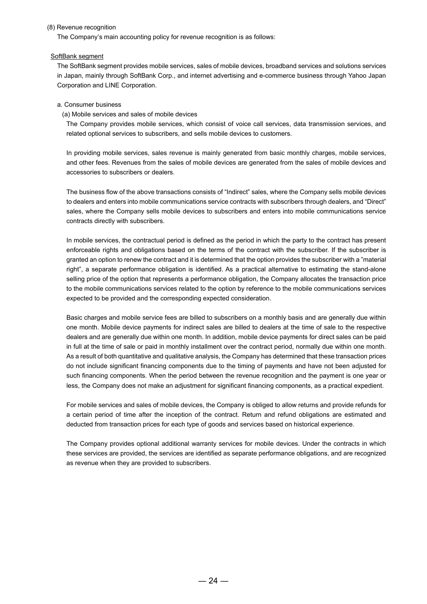#### (8) Revenue recognition

The Company's main accounting policy for revenue recognition is as follows:

#### SoftBank segment

The SoftBank segment provides mobile services, sales of mobile devices, broadband services and solutions services in Japan, mainly through SoftBank Corp., and internet advertising and e-commerce business through Yahoo Japan Corporation and LINE Corporation.

#### a. Consumer business

(a) Mobile services and sales of mobile devices

The Company provides mobile services, which consist of voice call services, data transmission services, and related optional services to subscribers, and sells mobile devices to customers.

In providing mobile services, sales revenue is mainly generated from basic monthly charges, mobile services, and other fees. Revenues from the sales of mobile devices are generated from the sales of mobile devices and accessories to subscribers or dealers.

The business flow of the above transactions consists of "Indirect" sales, where the Company sells mobile devices to dealers and enters into mobile communications service contracts with subscribers through dealers, and "Direct" sales, where the Company sells mobile devices to subscribers and enters into mobile communications service contracts directly with subscribers.

In mobile services, the contractual period is defined as the period in which the party to the contract has present enforceable rights and obligations based on the terms of the contract with the subscriber. If the subscriber is granted an option to renew the contract and it is determined that the option provides the subscriber with a "material right", a separate performance obligation is identified. As a practical alternative to estimating the stand-alone selling price of the option that represents a performance obligation, the Company allocates the transaction price to the mobile communications services related to the option by reference to the mobile communications services expected to be provided and the corresponding expected consideration.

Basic charges and mobile service fees are billed to subscribers on a monthly basis and are generally due within one month. Mobile device payments for indirect sales are billed to dealers at the time of sale to the respective dealers and are generally due within one month. In addition, mobile device payments for direct sales can be paid in full at the time of sale or paid in monthly installment over the contract period, normally due within one month. As a result of both quantitative and qualitative analysis, the Company has determined that these transaction prices do not include significant financing components due to the timing of payments and have not been adjusted for such financing components. When the period between the revenue recognition and the payment is one year or less, the Company does not make an adjustment for significant financing components, as a practical expedient.

For mobile services and sales of mobile devices, the Company is obliged to allow returns and provide refunds for a certain period of time after the inception of the contract. Return and refund obligations are estimated and deducted from transaction prices for each type of goods and services based on historical experience.

The Company provides optional additional warranty services for mobile devices. Under the contracts in which these services are provided, the services are identified as separate performance obligations, and are recognized as revenue when they are provided to subscribers.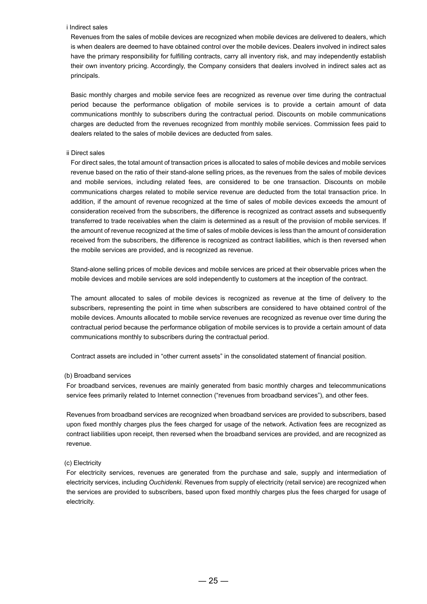#### i Indirect sales

Revenues from the sales of mobile devices are recognized when mobile devices are delivered to dealers, which is when dealers are deemed to have obtained control over the mobile devices. Dealers involved in indirect sales have the primary responsibility for fulfilling contracts, carry all inventory risk, and may independently establish their own inventory pricing. Accordingly, the Company considers that dealers involved in indirect sales act as principals.

Basic monthly charges and mobile service fees are recognized as revenue over time during the contractual period because the performance obligation of mobile services is to provide a certain amount of data communications monthly to subscribers during the contractual period. Discounts on mobile communications charges are deducted from the revenues recognized from monthly mobile services. Commission fees paid to dealers related to the sales of mobile devices are deducted from sales.

#### ii Direct sales

For direct sales, the total amount of transaction prices is allocated to sales of mobile devices and mobile services revenue based on the ratio of their stand-alone selling prices, as the revenues from the sales of mobile devices and mobile services, including related fees, are considered to be one transaction. Discounts on mobile communications charges related to mobile service revenue are deducted from the total transaction price. In addition, if the amount of revenue recognized at the time of sales of mobile devices exceeds the amount of consideration received from the subscribers, the difference is recognized as contract assets and subsequently transferred to trade receivables when the claim is determined as a result of the provision of mobile services. If the amount of revenue recognized at the time of sales of mobile devices is less than the amount of consideration received from the subscribers, the difference is recognized as contract liabilities, which is then reversed when the mobile services are provided, and is recognized as revenue.

Stand-alone selling prices of mobile devices and mobile services are priced at their observable prices when the mobile devices and mobile services are sold independently to customers at the inception of the contract.

The amount allocated to sales of mobile devices is recognized as revenue at the time of delivery to the subscribers, representing the point in time when subscribers are considered to have obtained control of the mobile devices. Amounts allocated to mobile service revenues are recognized as revenue over time during the contractual period because the performance obligation of mobile services is to provide a certain amount of data communications monthly to subscribers during the contractual period.

Contract assets are included in "other current assets" in the consolidated statement of financial position.

#### (b) Broadband services

For broadband services, revenues are mainly generated from basic monthly charges and telecommunications service fees primarily related to Internet connection ("revenues from broadband services"), and other fees.

Revenues from broadband services are recognized when broadband services are provided to subscribers, based upon fixed monthly charges plus the fees charged for usage of the network. Activation fees are recognized as contract liabilities upon receipt, then reversed when the broadband services are provided, and are recognized as revenue.

#### (c) Electricity

For electricity services, revenues are generated from the purchase and sale, supply and intermediation of electricity services, including *Ouchidenki*. Revenues from supply of electricity (retail service) are recognized when the services are provided to subscribers, based upon fixed monthly charges plus the fees charged for usage of electricity.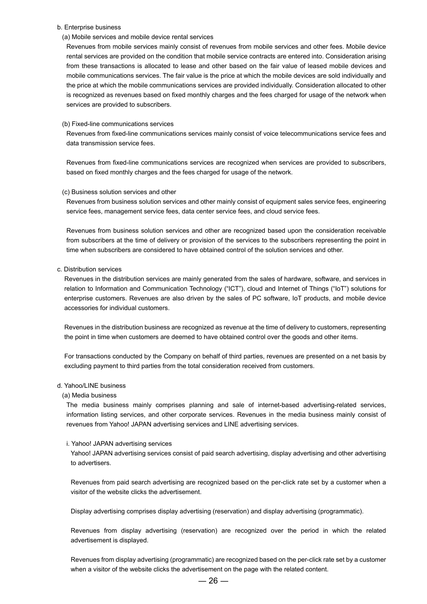#### b. Enterprise business

#### (a) Mobile services and mobile device rental services

Revenues from mobile services mainly consist of revenues from mobile services and other fees. Mobile device rental services are provided on the condition that mobile service contracts are entered into. Consideration arising from these transactions is allocated to lease and other based on the fair value of leased mobile devices and mobile communications services. The fair value is the price at which the mobile devices are sold individually and the price at which the mobile communications services are provided individually. Consideration allocated to other is recognized as revenues based on fixed monthly charges and the fees charged for usage of the network when services are provided to subscribers.

#### (b) Fixed-line communications services

Revenues from fixed-line communications services mainly consist of voice telecommunications service fees and data transmission service fees.

Revenues from fixed-line communications services are recognized when services are provided to subscribers, based on fixed monthly charges and the fees charged for usage of the network.

#### (c) Business solution services and other

Revenues from business solution services and other mainly consist of equipment sales service fees, engineering service fees, management service fees, data center service fees, and cloud service fees.

Revenues from business solution services and other are recognized based upon the consideration receivable from subscribers at the time of delivery or provision of the services to the subscribers representing the point in time when subscribers are considered to have obtained control of the solution services and other.

#### c. Distribution services

Revenues in the distribution services are mainly generated from the sales of hardware, software, and services in relation to Information and Communication Technology ("ICT"), cloud and Internet of Things ("IoT") solutions for enterprise customers. Revenues are also driven by the sales of PC software, IoT products, and mobile device accessories for individual customers.

Revenues in the distribution business are recognized as revenue at the time of delivery to customers, representing the point in time when customers are deemed to have obtained control over the goods and other items.

For transactions conducted by the Company on behalf of third parties, revenues are presented on a net basis by excluding payment to third parties from the total consideration received from customers.

#### d. Yahoo/LINE business

#### (a) Media business

The media business mainly comprises planning and sale of internet-based advertising-related services, information listing services, and other corporate services. Revenues in the media business mainly consist of revenues from Yahoo! JAPAN advertising services and LINE advertising services.

#### i. Yahoo! JAPAN advertising services

Yahoo! JAPAN advertising services consist of paid search advertising, display advertising and other advertising to advertisers.

Revenues from paid search advertising are recognized based on the per-click rate set by a customer when a visitor of the website clicks the advertisement.

Display advertising comprises display advertising (reservation) and display advertising (programmatic).

Revenues from display advertising (reservation) are recognized over the period in which the related advertisement is displayed.

Revenues from display advertising (programmatic) are recognized based on the per-click rate set by a customer when a visitor of the website clicks the advertisement on the page with the related content.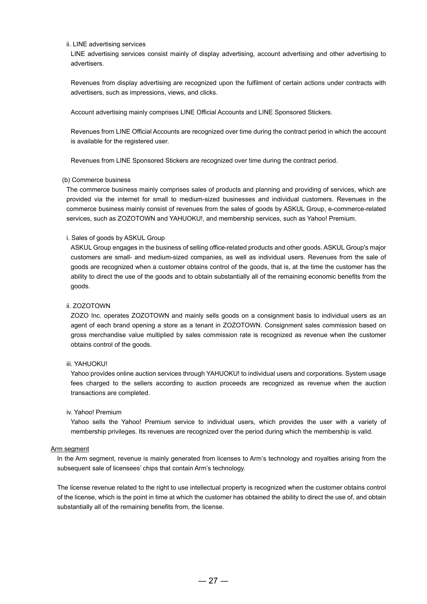ii. LINE advertising services

LINE advertising services consist mainly of display advertising, account advertising and other advertising to advertisers.

Revenues from display advertising are recognized upon the fulfilment of certain actions under contracts with advertisers, such as impressions, views, and clicks.

Account advertising mainly comprises LINE Official Accounts and LINE Sponsored Stickers.

Revenues from LINE Official Accounts are recognized over time during the contract period in which the account is available for the registered user.

Revenues from LINE Sponsored Stickers are recognized over time during the contract period.

#### (b) Commerce business

The commerce business mainly comprises sales of products and planning and providing of services, which are provided via the internet for small to medium-sized businesses and individual customers. Revenues in the commerce business mainly consist of revenues from the sales of goods by ASKUL Group, e-commerce-related services, such as ZOZOTOWN and YAHUOKU!, and membership services, such as Yahoo! Premium.

#### i. Sales of goods by ASKUL Group

ASKUL Group engages in the business of selling office-related products and other goods. ASKUL Group's major customers are small- and medium-sized companies, as well as individual users. Revenues from the sale of goods are recognized when a customer obtains control of the goods, that is, at the time the customer has the ability to direct the use of the goods and to obtain substantially all of the remaining economic benefits from the goods.

#### ii. ZOZOTOWN

ZOZO Inc. operates ZOZOTOWN and mainly sells goods on a consignment basis to individual users as an agent of each brand opening a store as a tenant in ZOZOTOWN. Consignment sales commission based on gross merchandise value multiplied by sales commission rate is recognized as revenue when the customer obtains control of the goods.

#### iii. YAHUOKU!

Yahoo provides online auction services through YAHUOKU! to individual users and corporations. System usage fees charged to the sellers according to auction proceeds are recognized as revenue when the auction transactions are completed.

#### iv. Yahoo! Premium

Yahoo sells the Yahoo! Premium service to individual users, which provides the user with a variety of membership privileges. Its revenues are recognized over the period during which the membership is valid.

#### Arm segment

In the Arm segment, revenue is mainly generated from licenses to Arm's technology and royalties arising from the subsequent sale of licensees' chips that contain Arm's technology.

The license revenue related to the right to use intellectual property is recognized when the customer obtains control of the license, which is the point in time at which the customer has obtained the ability to direct the use of, and obtain substantially all of the remaining benefits from, the license.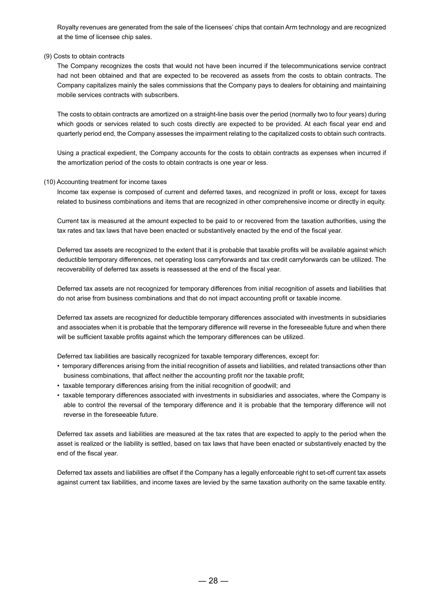Royalty revenues are generated from the sale of the licensees' chips that contain Arm technology and are recognized at the time of licensee chip sales.

#### (9) Costs to obtain contracts

The Company recognizes the costs that would not have been incurred if the telecommunications service contract had not been obtained and that are expected to be recovered as assets from the costs to obtain contracts. The Company capitalizes mainly the sales commissions that the Company pays to dealers for obtaining and maintaining mobile services contracts with subscribers.

The costs to obtain contracts are amortized on a straight-line basis over the period (normally two to four years) during which goods or services related to such costs directly are expected to be provided. At each fiscal year end and quarterly period end, the Company assesses the impairment relating to the capitalized costs to obtain such contracts.

Using a practical expedient, the Company accounts for the costs to obtain contracts as expenses when incurred if the amortization period of the costs to obtain contracts is one year or less.

#### (10) Accounting treatment for income taxes

Income tax expense is composed of current and deferred taxes, and recognized in profit or loss, except for taxes related to business combinations and items that are recognized in other comprehensive income or directly in equity.

Current tax is measured at the amount expected to be paid to or recovered from the taxation authorities, using the tax rates and tax laws that have been enacted or substantively enacted by the end of the fiscal year.

Deferred tax assets are recognized to the extent that it is probable that taxable profits will be available against which deductible temporary differences, net operating loss carryforwards and tax credit carryforwards can be utilized. The recoverability of deferred tax assets is reassessed at the end of the fiscal year.

Deferred tax assets are not recognized for temporary differences from initial recognition of assets and liabilities that do not arise from business combinations and that do not impact accounting profit or taxable income.

Deferred tax assets are recognized for deductible temporary differences associated with investments in subsidiaries and associates when it is probable that the temporary difference will reverse in the foreseeable future and when there will be sufficient taxable profits against which the temporary differences can be utilized.

Deferred tax liabilities are basically recognized for taxable temporary differences, except for:

- temporary differences arising from the initial recognition of assets and liabilities, and related transactions other than business combinations, that affect neither the accounting profit nor the taxable profit;
- taxable temporary differences arising from the initial recognition of goodwill; and
- taxable temporary differences associated with investments in subsidiaries and associates, where the Company is able to control the reversal of the temporary difference and it is probable that the temporary difference will not reverse in the foreseeable future.

Deferred tax assets and liabilities are measured at the tax rates that are expected to apply to the period when the asset is realized or the liability is settled, based on tax laws that have been enacted or substantively enacted by the end of the fiscal year.

Deferred tax assets and liabilities are offset if the Company has a legally enforceable right to set-off current tax assets against current tax liabilities, and income taxes are levied by the same taxation authority on the same taxable entity.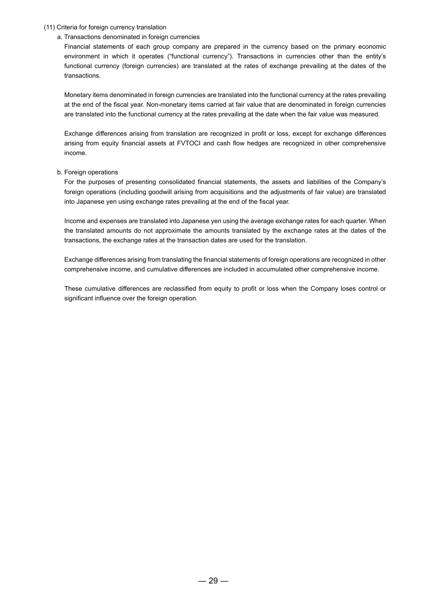#### (11) Criteria for foreign currency translation

#### a. Transactions denominated in foreign currencies

Financial statements of each group company are prepared in the currency based on the primary economic environment in which it operates ("functional currency"). Transactions in currencies other than the entity's functional currency (foreign currencies) are translated at the rates of exchange prevailing at the dates of the transactions.

Monetary items denominated in foreign currencies are translated into the functional currency at the rates prevailing at the end of the fiscal year. Non-monetary items carried at fair value that are denominated in foreign currencies are translated into the functional currency at the rates prevailing at the date when the fair value was measured.

Exchange differences arising from translation are recognized in profit or loss, except for exchange differences arising from equity financial assets at FVTOCI and cash flow hedges are recognized in other comprehensive income.

#### b. Foreign operations

For the purposes of presenting consolidated financial statements, the assets and liabilities of the Company's foreign operations (including goodwill arising from acquisitions and the adjustments of fair value) are translated into Japanese yen using exchange rates prevailing at the end of the fiscal year.

Income and expenses are translated into Japanese yen using the average exchange rates for each quarter. When the translated amounts do not approximate the amounts translated by the exchange rates at the dates of the transactions, the exchange rates at the transaction dates are used for the translation.

Exchange differences arising from translating the financial statements of foreign operations are recognized in other comprehensive income, and cumulative differences are included in accumulated other comprehensive income.

These cumulative differences are reclassified from equity to profit or loss when the Company loses control or significant influence over the foreign operation.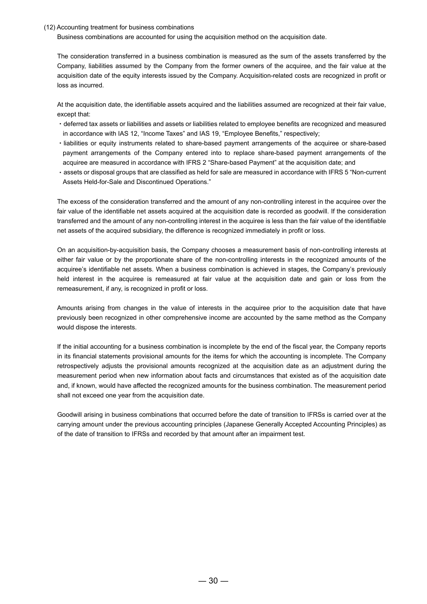#### (12) Accounting treatment for business combinations

Business combinations are accounted for using the acquisition method on the acquisition date.

The consideration transferred in a business combination is measured as the sum of the assets transferred by the Company, liabilities assumed by the Company from the former owners of the acquiree, and the fair value at the acquisition date of the equity interests issued by the Company. Acquisition-related costs are recognized in profit or loss as incurred.

At the acquisition date, the identifiable assets acquired and the liabilities assumed are recognized at their fair value, except that:

- ・deferred tax assets or liabilities and assets or liabilities related to employee benefits are recognized and measured in accordance with IAS 12, "Income Taxes" and IAS 19, "Employee Benefits," respectively;
- ・liabilities or equity instruments related to share-based payment arrangements of the acquiree or share-based payment arrangements of the Company entered into to replace share-based payment arrangements of the acquiree are measured in accordance with IFRS 2 "Share-based Payment" at the acquisition date; and
- ・assets or disposal groups that are classified as held for sale are measured in accordance with IFRS 5 "Non-current Assets Held-for-Sale and Discontinued Operations."

The excess of the consideration transferred and the amount of any non-controlling interest in the acquiree over the fair value of the identifiable net assets acquired at the acquisition date is recorded as goodwill. If the consideration transferred and the amount of any non-controlling interest in the acquiree is less than the fair value of the identifiable net assets of the acquired subsidiary, the difference is recognized immediately in profit or loss.

On an acquisition-by-acquisition basis, the Company chooses a measurement basis of non-controlling interests at either fair value or by the proportionate share of the non-controlling interests in the recognized amounts of the acquiree's identifiable net assets. When a business combination is achieved in stages, the Company's previously held interest in the acquiree is remeasured at fair value at the acquisition date and gain or loss from the remeasurement, if any, is recognized in profit or loss.

Amounts arising from changes in the value of interests in the acquiree prior to the acquisition date that have previously been recognized in other comprehensive income are accounted by the same method as the Company would dispose the interests.

If the initial accounting for a business combination is incomplete by the end of the fiscal year, the Company reports in its financial statements provisional amounts for the items for which the accounting is incomplete. The Company retrospectively adjusts the provisional amounts recognized at the acquisition date as an adjustment during the measurement period when new information about facts and circumstances that existed as of the acquisition date and, if known, would have affected the recognized amounts for the business combination. The measurement period shall not exceed one year from the acquisition date.

Goodwill arising in business combinations that occurred before the date of transition to IFRSs is carried over at the carrying amount under the previous accounting principles (Japanese Generally Accepted Accounting Principles) as of the date of transition to IFRSs and recorded by that amount after an impairment test.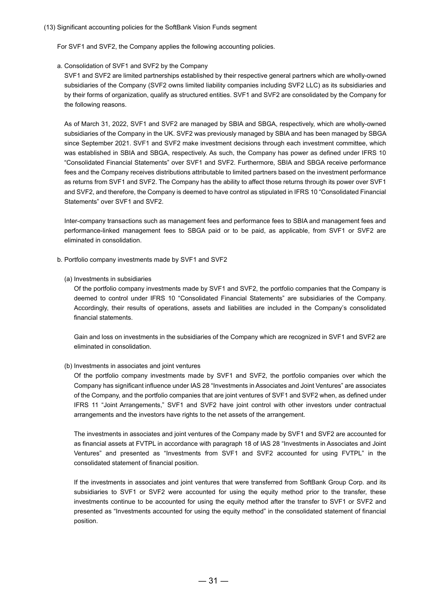#### (13) Significant accounting policies for the SoftBank Vision Funds segment

For SVF1 and SVF2, the Company applies the following accounting policies.

#### a. Consolidation of SVF1 and SVF2 by the Company

SVF1 and SVF2 are limited partnerships established by their respective general partners which are wholly-owned subsidiaries of the Company (SVF2 owns limited liability companies including SVF2 LLC) as its subsidiaries and by their forms of organization, qualify as structured entities. SVF1 and SVF2 are consolidated by the Company for the following reasons.

As of March 31, 2022, SVF1 and SVF2 are managed by SBIA and SBGA, respectively, which are wholly-owned subsidiaries of the Company in the UK. SVF2 was previously managed by SBIA and has been managed by SBGA since September 2021. SVF1 and SVF2 make investment decisions through each investment committee, which was established in SBIA and SBGA, respectively. As such, the Company has power as defined under IFRS 10 "Consolidated Financial Statements" over SVF1 and SVF2. Furthermore, SBIA and SBGA receive performance fees and the Company receives distributions attributable to limited partners based on the investment performance as returns from SVF1 and SVF2. The Company has the ability to affect those returns through its power over SVF1 and SVF2, and therefore, the Company is deemed to have control as stipulated in IFRS 10 "Consolidated Financial Statements" over SVF1 and SVF2.

Inter-company transactions such as management fees and performance fees to SBIA and management fees and performance-linked management fees to SBGA paid or to be paid, as applicable, from SVF1 or SVF2 are eliminated in consolidation.

- b. Portfolio company investments made by SVF1 and SVF2
	- (a) Investments in subsidiaries

Of the portfolio company investments made by SVF1 and SVF2, the portfolio companies that the Company is deemed to control under IFRS 10 "Consolidated Financial Statements" are subsidiaries of the Company. Accordingly, their results of operations, assets and liabilities are included in the Company's consolidated financial statements.

Gain and loss on investments in the subsidiaries of the Company which are recognized in SVF1 and SVF2 are eliminated in consolidation.

#### (b) Investments in associates and joint ventures

Of the portfolio company investments made by SVF1 and SVF2, the portfolio companies over which the Company has significant influence under IAS 28 "Investments in Associates and Joint Ventures" are associates of the Company, and the portfolio companies that are joint ventures of SVF1 and SVF2 when, as defined under IFRS 11 "Joint Arrangements," SVF1 and SVF2 have joint control with other investors under contractual arrangements and the investors have rights to the net assets of the arrangement.

The investments in associates and joint ventures of the Company made by SVF1 and SVF2 are accounted for as financial assets at FVTPL in accordance with paragraph 18 of IAS 28 "Investments in Associates and Joint Ventures" and presented as "Investments from SVF1 and SVF2 accounted for using FVTPL" in the consolidated statement of financial position.

If the investments in associates and joint ventures that were transferred from SoftBank Group Corp. and its subsidiaries to SVF1 or SVF2 were accounted for using the equity method prior to the transfer, these investments continue to be accounted for using the equity method after the transfer to SVF1 or SVF2 and presented as "Investments accounted for using the equity method" in the consolidated statement of financial position.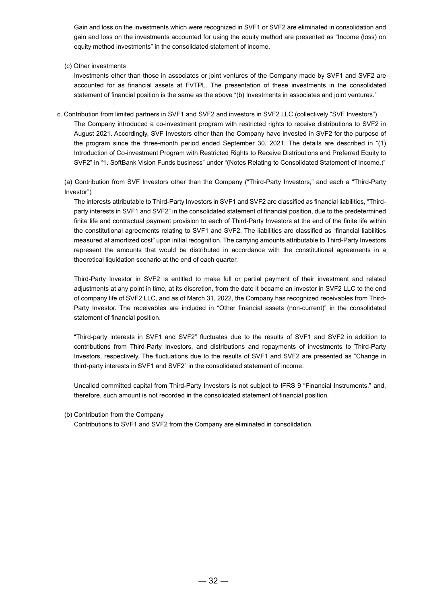Gain and loss on the investments which were recognized in SVF1 or SVF2 are eliminated in consolidation and gain and loss on the investments accounted for using the equity method are presented as "Income (loss) on equity method investments" in the consolidated statement of income.

(c) Other investments

Investments other than those in associates or joint ventures of the Company made by SVF1 and SVF2 are accounted for as financial assets at FVTPL. The presentation of these investments in the consolidated statement of financial position is the same as the above "(b) Investments in associates and joint ventures."

- c. Contribution from limited partners in SVF1 and SVF2 and investors in SVF2 LLC (collectively "SVF Investors")
	- The Company introduced a co-investment program with restricted rights to receive distributions to SVF2 in August 2021. Accordingly, SVF Investors other than the Company have invested in SVF2 for the purpose of the program since the three-month period ended September 30, 2021. The details are described in "(1) Introduction of Co-investment Program with Restricted Rights to Receive Distributions and Preferred Equity to SVF2" in "1. SoftBank Vision Funds business" under "(Notes Relating to Consolidated Statement of Income.)"

(a) Contribution from SVF Investors other than the Company ("Third-Party Investors," and each a "Third-Party Investor")

The interests attributable to Third-Party Investors in SVF1 and SVF2 are classified as financial liabilities, "Thirdparty interests in SVF1 and SVF2" in the consolidated statement of financial position, due to the predetermined finite life and contractual payment provision to each of Third-Party Investors at the end of the finite life within the constitutional agreements relating to SVF1 and SVF2. The liabilities are classified as "financial liabilities measured at amortized cost" upon initial recognition. The carrying amounts attributable to Third-Party Investors represent the amounts that would be distributed in accordance with the constitutional agreements in a theoretical liquidation scenario at the end of each quarter.

Third-Party Investor in SVF2 is entitled to make full or partial payment of their investment and related adjustments at any point in time, at its discretion, from the date it became an investor in SVF2 LLC to the end of company life of SVF2 LLC, and as of March 31, 2022, the Company has recognized receivables from Third-Party Investor. The receivables are included in "Other financial assets (non-current)" in the consolidated statement of financial position.

"Third-party interests in SVF1 and SVF2" fluctuates due to the results of SVF1 and SVF2 in addition to contributions from Third-Party Investors, and distributions and repayments of investments to Third-Party Investors, respectively. The fluctuations due to the results of SVF1 and SVF2 are presented as "Change in third-party interests in SVF1 and SVF2" in the consolidated statement of income.

Uncalled committed capital from Third-Party Investors is not subject to IFRS 9 "Financial Instruments," and, therefore, such amount is not recorded in the consolidated statement of financial position.

(b) Contribution from the Company

Contributions to SVF1 and SVF2 from the Company are eliminated in consolidation.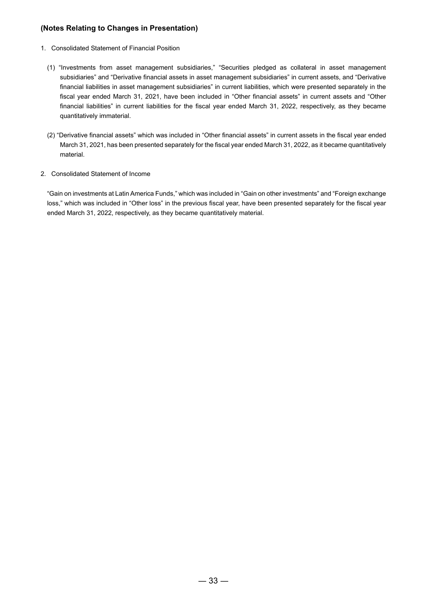# **(Notes Relating to Changes in Presentation)**

- 1. Consolidated Statement of Financial Position
	- (1) "Investments from asset management subsidiaries," "Securities pledged as collateral in asset management subsidiaries" and "Derivative financial assets in asset management subsidiaries" in current assets, and "Derivative financial liabilities in asset management subsidiaries" in current liabilities, which were presented separately in the fiscal year ended March 31, 2021, have been included in "Other financial assets" in current assets and "Other financial liabilities" in current liabilities for the fiscal year ended March 31, 2022, respectively, as they became quantitatively immaterial.
	- (2) "Derivative financial assets" which was included in "Other financial assets" in current assets in the fiscal year ended March 31, 2021, has been presented separately for the fiscal year ended March 31, 2022, as it became quantitatively material.
- 2. Consolidated Statement of Income

"Gain on investments at Latin America Funds," which was included in "Gain on other investments" and "Foreign exchange loss," which was included in "Other loss" in the previous fiscal year, have been presented separately for the fiscal year ended March 31, 2022, respectively, as they became quantitatively material.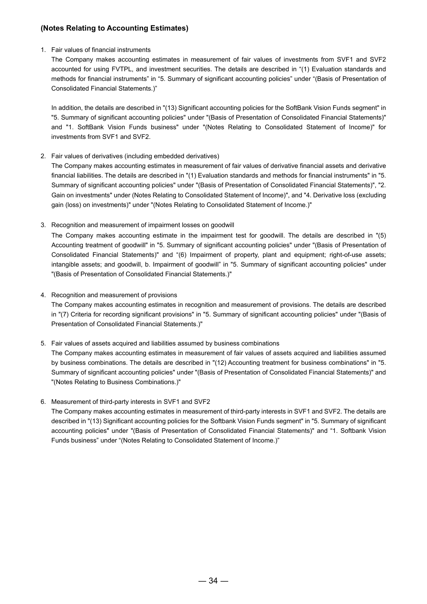# **(Notes Relating to Accounting Estimates)**

#### 1. Fair values of financial instruments

The Company makes accounting estimates in measurement of fair values of investments from SVF1 and SVF2 accounted for using FVTPL, and investment securities. The details are described in "(1) Evaluation standards and methods for financial instruments" in "5. Summary of significant accounting policies" under "(Basis of Presentation of Consolidated Financial Statements.)"

In addition, the details are described in "(13) Significant accounting policies for the SoftBank Vision Funds segment" in "5. Summary of significant accounting policies" under "(Basis of Presentation of Consolidated Financial Statements)" and "1. SoftBank Vision Funds business" under "(Notes Relating to Consolidated Statement of Income)" for investments from SVF1 and SVF2.

2. Fair values of derivatives (including embedded derivatives)

The Company makes accounting estimates in measurement of fair values of derivative financial assets and derivative financial liabilities. The details are described in "(1) Evaluation standards and methods for financial instruments" in "5. Summary of significant accounting policies" under "(Basis of Presentation of Consolidated Financial Statements)", "2. Gain on investments" under (Notes Relating to Consolidated Statement of Income)", and "4. Derivative loss (excluding gain (loss) on investments)" under "(Notes Relating to Consolidated Statement of Income.)"

3. Recognition and measurement of impairment losses on goodwill

The Company makes accounting estimate in the impairment test for goodwill. The details are described in "(5) Accounting treatment of goodwill" in "5. Summary of significant accounting policies" under "(Basis of Presentation of Consolidated Financial Statements)" and "(6) Impairment of property, plant and equipment; right-of-use assets; intangible assets; and goodwill, b. Impairment of goodwill" in "5. Summary of significant accounting policies" under "(Basis of Presentation of Consolidated Financial Statements.)"

4. Recognition and measurement of provisions

The Company makes accounting estimates in recognition and measurement of provisions. The details are described in "(7) Criteria for recording significant provisions" in "5. Summary of significant accounting policies" under "(Basis of Presentation of Consolidated Financial Statements.)"

5. Fair values of assets acquired and liabilities assumed by business combinations

The Company makes accounting estimates in measurement of fair values of assets acquired and liabilities assumed by business combinations. The details are described in "(12) Accounting treatment for business combinations" in "5. Summary of significant accounting policies" under "(Basis of Presentation of Consolidated Financial Statements)" and "(Notes Relating to Business Combinations.)"

6. Measurement of third-party interests in SVF1 and SVF2

The Company makes accounting estimates in measurement of third-party interests in SVF1 and SVF2. The details are described in "(13) Significant accounting policies for the Softbank Vision Funds segment" in "5. Summary of significant accounting policies" under "(Basis of Presentation of Consolidated Financial Statements)" and "1. Softbank Vision Funds business" under "(Notes Relating to Consolidated Statement of Income.)"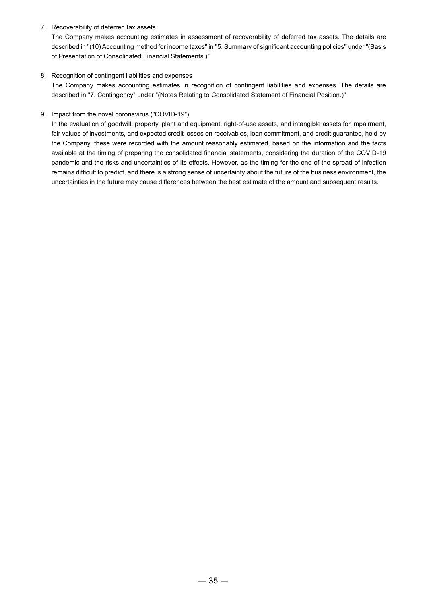7. Recoverability of deferred tax assets

The Company makes accounting estimates in assessment of recoverability of deferred tax assets. The details are described in "(10) Accounting method for income taxes" in "5. Summary of significant accounting policies" under "(Basis of Presentation of Consolidated Financial Statements.)"

# 8. Recognition of contingent liabilities and expenses

The Company makes accounting estimates in recognition of contingent liabilities and expenses. The details are described in "7. Contingency" under "(Notes Relating to Consolidated Statement of Financial Position.)"

## 9. Impact from the novel coronavirus ("COVID-19")

In the evaluation of goodwill, property, plant and equipment, right-of-use assets, and intangible assets for impairment, fair values of investments, and expected credit losses on receivables, loan commitment, and credit guarantee, held by the Company, these were recorded with the amount reasonably estimated, based on the information and the facts available at the timing of preparing the consolidated financial statements, considering the duration of the COVID-19 pandemic and the risks and uncertainties of its effects. However, as the timing for the end of the spread of infection remains difficult to predict, and there is a strong sense of uncertainty about the future of the business environment, the uncertainties in the future may cause differences between the best estimate of the amount and subsequent results.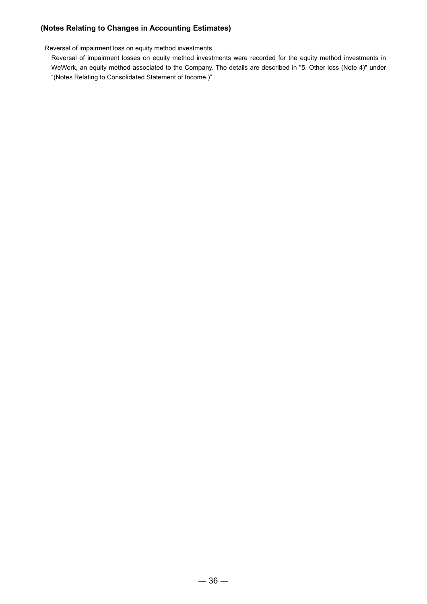# **(Notes Relating to Changes in Accounting Estimates)**

Reversal of impairment loss on equity method investments

Reversal of impairment losses on equity method investments were recorded for the equity method investments in WeWork, an equity method associated to the Company. The details are described in "5. Other loss (Note 4)" under "(Notes Relating to Consolidated Statement of Income.)"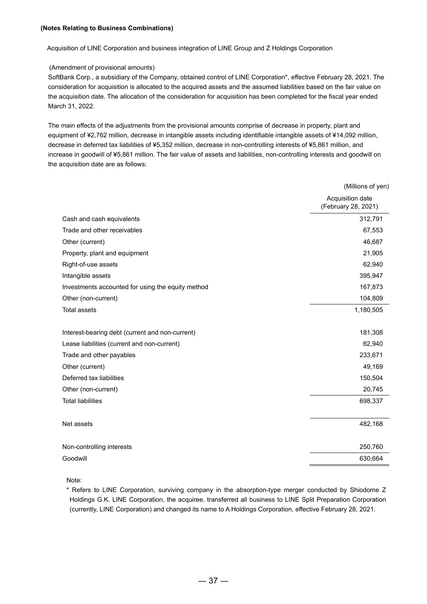### **(Notes Relating to Business Combinations)**

Acquisition of LINE Corporation and business integration of LINE Group and Z Holdings Corporation

### (Amendment of provisional amounts)

SoftBank Corp., a subsidiary of the Company, obtained control of LINE Corporation\*, effective February 28, 2021. The consideration for acquisition is allocated to the acquired assets and the assumed liabilities based on the fair value on the acquisition date. The allocation of the consideration for acquisition has been completed for the fiscal year ended March 31, 2022.

The main effects of the adjustments from the provisional amounts comprise of decrease in property, plant and equipment of ¥2,762 million, decrease in intangible assets including identifiable intangible assets of ¥14,092 million, decrease in deferred tax liabilities of ¥5,352 million, decrease in non-controlling interests of ¥5,861 million, and increase in goodwill of ¥5,861 million. The fair value of assets and liabilities, non-controlling interests and goodwill on the acquisition date are as follows:

|                                                   | (Millions of yen)                       |
|---------------------------------------------------|-----------------------------------------|
|                                                   | Acquisition date<br>(February 28, 2021) |
| Cash and cash equivalents                         | 312,791                                 |
| Trade and other receivables                       | 67,553                                  |
| Other (current)                                   | 46,687                                  |
| Property, plant and equipment                     | 21,905                                  |
| Right-of-use assets                               | 62,940                                  |
| Intangible assets                                 | 395,947                                 |
| Investments accounted for using the equity method | 167,873                                 |
| Other (non-current)                               | 104,809                                 |
| <b>Total assets</b>                               | 1,180,505                               |
|                                                   |                                         |
| Interest-bearing debt (current and non-current)   | 181,308                                 |
| Lease liabilities (current and non-current)       | 62,940                                  |
| Trade and other payables                          | 233,671                                 |
| Other (current)                                   | 49,169                                  |
| Deferred tax liabilities                          | 150,504                                 |
| Other (non-current)                               | 20,745                                  |
| <b>Total liabilities</b>                          | 698,337                                 |
|                                                   |                                         |
| Net assets                                        | 482,168                                 |
|                                                   |                                         |
| Non-controlling interests                         | 250,760                                 |
| Goodwill                                          | 630,664                                 |
|                                                   |                                         |

Note:

\* Refers to LINE Corporation, surviving company in the absorption-type merger conducted by Shiodome Z Holdings G.K. LINE Corporation, the acquiree, transferred all business to LINE Split Preparation Corporation (currently, LINE Corporation) and changed its name to A Holdings Corporation, effective February 28, 2021.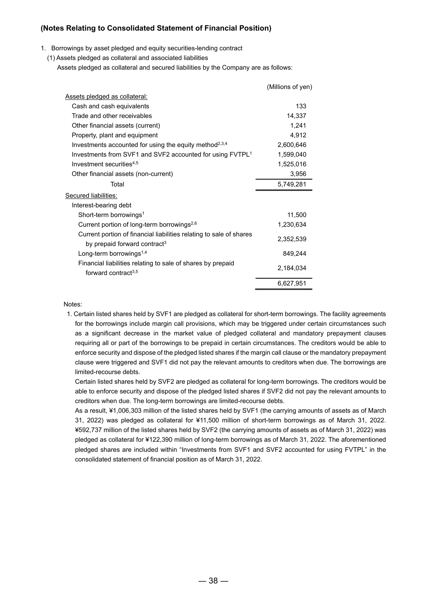# **(Notes Relating to Consolidated Statement of Financial Position)**

- 1. Borrowings by asset pledged and equity securities-lending contract
- (1) Assets pledged as collateral and associated liabilities

Assets pledged as collateral and secured liabilities by the Company are as follows:

|                                                                                                                 | (Millions of yen) |
|-----------------------------------------------------------------------------------------------------------------|-------------------|
| Assets pledged as collateral:                                                                                   |                   |
| Cash and cash equivalents                                                                                       | 133               |
| Trade and other receivables                                                                                     | 14,337            |
| Other financial assets (current)                                                                                | 1,241             |
| Property, plant and equipment                                                                                   | 4,912             |
| Investments accounted for using the equity method <sup>2,3,4</sup>                                              | 2,600,646         |
| Investments from SVF1 and SVF2 accounted for using FVTPL <sup>1</sup>                                           | 1,599,040         |
| Investment securities <sup>4,5</sup>                                                                            | 1,525,016         |
| Other financial assets (non-current)                                                                            | 3,956             |
| Total                                                                                                           | 5,749,281         |
| <b>Secured liabilities:</b>                                                                                     |                   |
| Interest-bearing debt                                                                                           |                   |
| Short-term borrowings <sup>1</sup>                                                                              | 11,500            |
| Current portion of long-term borrowings <sup>2,6</sup>                                                          | 1,230,634         |
| Current portion of financial liabilities relating to sale of shares<br>by prepaid forward contract <sup>3</sup> | 2,352,539         |
| Long-term borrowings <sup>1,4</sup>                                                                             | 849,244           |
| Financial liabilities relating to sale of shares by prepaid<br>forward contract <sup>3,5</sup>                  | 2,184,034         |
|                                                                                                                 | 6,627,951         |

Notes:

1. Certain listed shares held by SVF1 are pledged as collateral for short-term borrowings. The facility agreements for the borrowings include margin call provisions, which may be triggered under certain circumstances such as a significant decrease in the market value of pledged collateral and mandatory prepayment clauses requiring all or part of the borrowings to be prepaid in certain circumstances. The creditors would be able to enforce security and dispose of the pledged listed shares if the margin call clause or the mandatory prepayment clause were triggered and SVF1 did not pay the relevant amounts to creditors when due. The borrowings are limited-recourse debts.

Certain listed shares held by SVF2 are pledged as collateral for long-term borrowings. The creditors would be able to enforce security and dispose of the pledged listed shares if SVF2 did not pay the relevant amounts to creditors when due. The long-term borrowings are limited-recourse debts.

As a result, ¥1,006,303 million of the listed shares held by SVF1 (the carrying amounts of assets as of March 31, 2022) was pledged as collateral for ¥11,500 million of short-term borrowings as of March 31, 2022. ¥592,737 million of the listed shares held by SVF2 (the carrying amounts of assets as of March 31, 2022) was pledged as collateral for ¥122,390 million of long-term borrowings as of March 31, 2022. The aforementioned pledged shares are included within "Investments from SVF1 and SVF2 accounted for using FVTPL" in the consolidated statement of financial position as of March 31, 2022.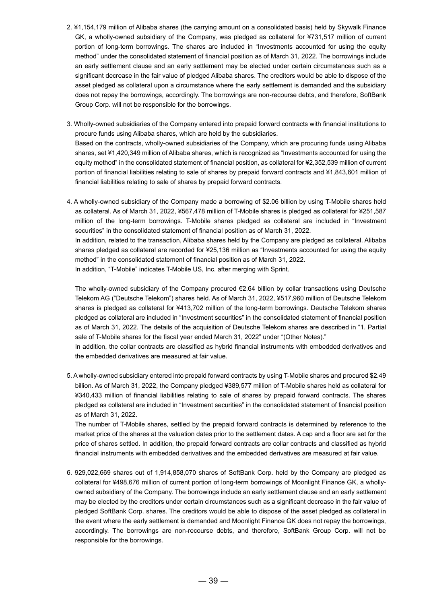- 2. ¥1,154,179 million of Alibaba shares (the carrying amount on a consolidated basis) held by Skywalk Finance GK, a wholly-owned subsidiary of the Company, was pledged as collateral for ¥731,517 million of current portion of long-term borrowings. The shares are included in "Investments accounted for using the equity method" under the consolidated statement of financial position as of March 31, 2022. The borrowings include an early settlement clause and an early settlement may be elected under certain circumstances such as a significant decrease in the fair value of pledged Alibaba shares. The creditors would be able to dispose of the asset pledged as collateral upon a circumstance where the early settlement is demanded and the subsidiary does not repay the borrowings, accordingly. The borrowings are non-recourse debts, and therefore, SoftBank Group Corp. will not be responsible for the borrowings.
- 3. Wholly-owned subsidiaries of the Company entered into prepaid forward contracts with financial institutions to procure funds using Alibaba shares, which are held by the subsidiaries. Based on the contracts, wholly-owned subsidiaries of the Company, which are procuring funds using Alibaba shares, set ¥1,420,349 million of Alibaba shares, which is recognized as "Investments accounted for using the equity method" in the consolidated statement of financial position, as collateral for ¥2,352,539 million of current portion of financial liabilities relating to sale of shares by prepaid forward contracts and ¥1,843,601 million of financial liabilities relating to sale of shares by prepaid forward contracts.
- 4. A wholly-owned subsidiary of the Company made a borrowing of \$2.06 billion by using T-Mobile shares held as collateral. As of March 31, 2022, ¥567,478 million of T-Mobile shares is pledged as collateral for ¥251,587 million of the long-term borrowings. T-Mobile shares pledged as collateral are included in "Investment securities" in the consolidated statement of financial position as of March 31, 2022. In addition, related to the transaction, Alibaba shares held by the Company are pledged as collateral. Alibaba shares pledged as collateral are recorded for ¥25,136 million as "Investments accounted for using the equity method" in the consolidated statement of financial position as of March 31, 2022.

In addition, "T-Mobile" indicates T-Mobile US, Inc. after merging with Sprint.

The wholly-owned subsidiary of the Company procured €2.64 billion by collar transactions using Deutsche Telekom AG ("Deutsche Telekom") shares held. As of March 31, 2022, ¥517,960 million of Deutsche Telekom shares is pledged as collateral for ¥413,702 million of the long-term borrowings. Deutsche Telekom shares pledged as collateral are included in "Investment securities" in the consolidated statement of financial position as of March 31, 2022. The details of the acquisition of Deutsche Telekom shares are described in "1. Partial sale of T-Mobile shares for the fiscal year ended March 31, 2022" under "(Other Notes)."

In addition, the collar contracts are classified as hybrid financial instruments with embedded derivatives and the embedded derivatives are measured at fair value.

5. A wholly-owned subsidiary entered into prepaid forward contracts by using T-Mobile shares and procured \$2.49 billion. As of March 31, 2022, the Company pledged ¥389,577 million of T-Mobile shares held as collateral for ¥340,433 million of financial liabilities relating to sale of shares by prepaid forward contracts. The shares pledged as collateral are included in "Investment securities" in the consolidated statement of financial position as of March 31, 2022.

The number of T-Mobile shares, settled by the prepaid forward contracts is determined by reference to the market price of the shares at the valuation dates prior to the settlement dates. A cap and a floor are set for the price of shares settled. In addition, the prepaid forward contracts are collar contracts and classified as hybrid financial instruments with embedded derivatives and the embedded derivatives are measured at fair value.

6. 929,022,669 shares out of 1,914,858,070 shares of SoftBank Corp. held by the Company are pledged as collateral for ¥498,676 million of current portion of long-term borrowings of Moonlight Finance GK, a whollyowned subsidiary of the Company. The borrowings include an early settlement clause and an early settlement may be elected by the creditors under certain circumstances such as a significant decrease in the fair value of pledged SoftBank Corp. shares. The creditors would be able to dispose of the asset pledged as collateral in the event where the early settlement is demanded and Moonlight Finance GK does not repay the borrowings, accordingly. The borrowings are non-recourse debts, and therefore, SoftBank Group Corp. will not be responsible for the borrowings.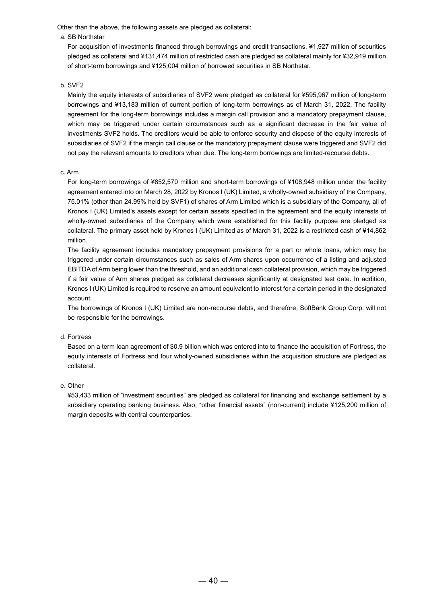Other than the above, the following assets are pledged as collateral:

# a. SB Northstar

For acquisition of investments financed through borrowings and credit transactions, ¥1,927 million of securities pledged as collateral and ¥131,474 million of restricted cash are pledged as collateral mainly for ¥32,919 million of short-term borrowings and ¥125,004 million of borrowed securities in SB Northstar.

### b. SVF2

Mainly the equity interests of subsidiaries of SVF2 were pledged as collateral for ¥595,967 million of long-term borrowings and ¥13,183 million of current portion of long-term borrowings as of March 31, 2022. The facility agreement for the long-term borrowings includes a margin call provision and a mandatory prepayment clause, which may be triggered under certain circumstances such as a significant decrease in the fair value of investments SVF2 holds. The creditors would be able to enforce security and dispose of the equity interests of subsidiaries of SVF2 if the margin call clause or the mandatory prepayment clause were triggered and SVF2 did not pay the relevant amounts to creditors when due. The long-term borrowings are limited-recourse debts.

### c. Arm

For long-term borrowings of ¥852,570 million and short-term borrowings of ¥108,948 million under the facility agreement entered into on March 28, 2022 by Kronos I (UK) Limited, a wholly-owned subsidiary of the Company, 75.01% (other than 24.99% held by SVF1) of shares of Arm Limited which is a subsidiary of the Company, all of Kronos I (UK) Limited's assets except for certain assets specified in the agreement and the equity interests of wholly-owned subsidiaries of the Company which were established for this facility purpose are pledged as collateral. The primary asset held by Kronos I (UK) Limited as of March 31, 2022 is a restricted cash of ¥14,862 million.

The facility agreement includes mandatory prepayment provisions for a part or whole loans, which may be triggered under certain circumstances such as sales of Arm shares upon occurrence of a listing and adjusted EBITDA of Arm being lower than the threshold, and an additional cash collateral provision, which may be triggered if a fair value of Arm shares pledged as collateral decreases significantly at designated test date. In addition, Kronos I (UK) Limited is required to reserve an amount equivalent to interest for a certain period in the designated account.

The borrowings of Kronos I (UK) Limited are non-recourse debts, and therefore, SoftBank Group Corp. will not be responsible for the borrowings.

#### d. Fortress

Based on a term loan agreement of \$0.9 billion which was entered into to finance the acquisition of Fortress, the equity interests of Fortress and four wholly-owned subsidiaries within the acquisition structure are pledged as collateral.

### e. Other

¥53,433 million of "investment securities" are pledged as collateral for financing and exchange settlement by a subsidiary operating banking business. Also, "other financial assets" (non-current) include ¥125,200 million of margin deposits with central counterparties.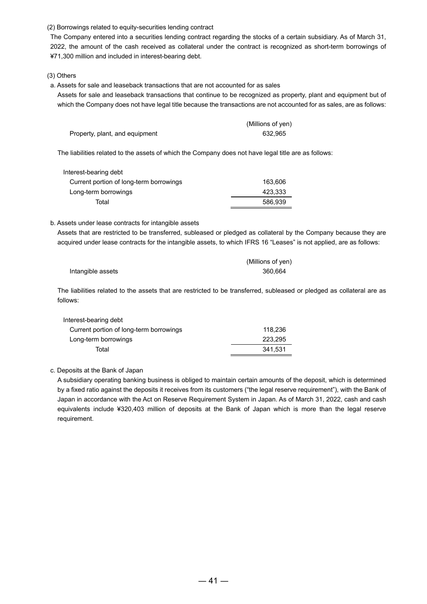(2) Borrowings related to equity-securities lending contract

The Company entered into a securities lending contract regarding the stocks of a certain subsidiary. As of March 31, 2022, the amount of the cash received as collateral under the contract is recognized as short-term borrowings of ¥71,300 million and included in interest-bearing debt.

- (3) Others
- a. Assets for sale and leaseback transactions that are not accounted for as sales

Assets for sale and leaseback transactions that continue to be recognized as property, plant and equipment but of which the Company does not have legal title because the transactions are not accounted for as sales, are as follows:

|                                | (Millions of yen) |
|--------------------------------|-------------------|
| Property, plant, and equipment | 632.965           |

The liabilities related to the assets of which the Company does not have legal title are as follows:

| Interest-bearing debt                   |         |
|-----------------------------------------|---------|
| Current portion of long-term borrowings | 163.606 |
| Long-term borrowings                    | 423.333 |
| Total                                   | 586.939 |

### b. Assets under lease contracts for intangible assets

Assets that are restricted to be transferred, subleased or pledged as collateral by the Company because they are acquired under lease contracts for the intangible assets, to which IFRS 16 "Leases" is not applied, are as follows:

|                   | (Millions of yen) |
|-------------------|-------------------|
| Intangible assets | 360.664           |

The liabilities related to the assets that are restricted to be transferred, subleased or pledged as collateral are as follows:

| Interest-bearing debt                   |         |
|-----------------------------------------|---------|
| Current portion of long-term borrowings | 118.236 |
| Long-term borrowings                    | 223.295 |
| Total                                   | 341.531 |

### c. Deposits at the Bank of Japan

A subsidiary operating banking business is obliged to maintain certain amounts of the deposit, which is determined by a fixed ratio against the deposits it receives from its customers ("the legal reserve requirement"), with the Bank of Japan in accordance with the Act on Reserve Requirement System in Japan. As of March 31, 2022, cash and cash equivalents include ¥320,403 million of deposits at the Bank of Japan which is more than the legal reserve requirement.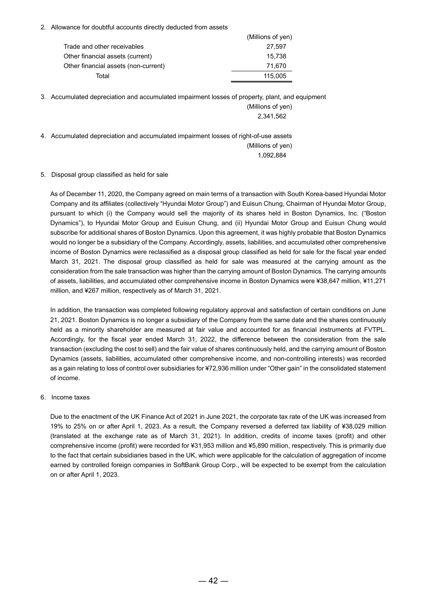### 2. Allowance for doubtful accounts directly deducted from assets

|                                      | (Millions of yen) |
|--------------------------------------|-------------------|
| Trade and other receivables          | 27,597            |
| Other financial assets (current)     | 15.738            |
| Other financial assets (non-current) | 71.670            |
| Total                                | 115,005           |

3. Accumulated depreciation and accumulated impairment losses of property, plant, and equipment

 (Millions of yen) 2,341,562

4. Accumulated depreciation and accumulated impairment losses of right-of-use assets (Millions of yen) 1,092,884

### 5. Disposal group classified as held for sale

As of December 11, 2020, the Company agreed on main terms of a transaction with South Korea-based Hyundai Motor Company and its affiliates (collectively "Hyundai Motor Group") and Euisun Chung, Chairman of Hyundai Motor Group, pursuant to which (i) the Company would sell the majority of its shares held in Boston Dynamics, Inc. ("Boston Dynamics"), to Hyundai Motor Group and Euisun Chung, and (ii) Hyundai Motor Group and Euisun Chung would subscribe for additional shares of Boston Dynamics. Upon this agreement, it was highly probable that Boston Dynamics would no longer be a subsidiary of the Company. Accordingly, assets, liabilities, and accumulated other comprehensive income of Boston Dynamics were reclassified as a disposal group classified as held for sale for the fiscal year ended March 31, 2021. The disposal group classified as held for sale was measured at the carrying amount as the consideration from the sale transaction was higher than the carrying amount of Boston Dynamics. The carrying amounts of assets, liabilities, and accumulated other comprehensive income in Boston Dynamics were ¥38,647 million, ¥11,271 million, and ¥267 million, respectively as of March 31, 2021.

In addition, the transaction was completed following regulatory approval and satisfaction of certain conditions on June 21, 2021. Boston Dynamics is no longer a subsidiary of the Company from the same date and the shares continuously held as a minority shareholder are measured at fair value and accounted for as financial instruments at FVTPL. Accordingly, for the fiscal year ended March 31, 2022, the difference between the consideration from the sale transaction (excluding the cost to sell) and the fair value of shares continuously held, and the carrying amount of Boston Dynamics (assets, liabilities, accumulated other comprehensive income, and non-controlling interests) was recorded as a gain relating to loss of control over subsidiaries for ¥72,936 million under "Other gain" in the consolidated statement of income.

### 6. Income taxes

Due to the enactment of the UK Finance Act of 2021 in June 2021, the corporate tax rate of the UK was increased from 19% to 25% on or after April 1, 2023. As a result, the Company reversed a deferred tax liability of ¥38,029 million (translated at the exchange rate as of March 31, 2021). In addition, credits of income taxes (profit) and other comprehensive income (profit) were recorded for ¥31,953 million and ¥5,890 million, respectively. This is primarily due to the fact that certain subsidiaries based in the UK, which were applicable for the calculation of aggregation of income earned by controlled foreign companies in SoftBank Group Corp., will be expected to be exempt from the calculation on or after April 1, 2023.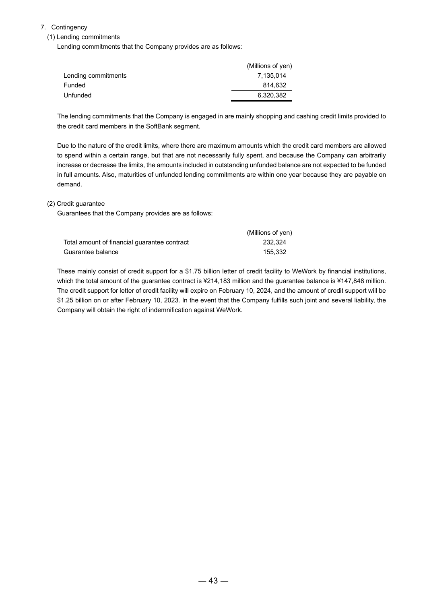# 7. Contingency

# (1) Lending commitments

Lending commitments that the Company provides are as follows:

|                     | (Millions of yen) |
|---------------------|-------------------|
| Lending commitments | 7,135,014         |
| Funded              | 814.632           |
| Unfunded            | 6,320,382         |

The lending commitments that the Company is engaged in are mainly shopping and cashing credit limits provided to the credit card members in the SoftBank segment.

Due to the nature of the credit limits, where there are maximum amounts which the credit card members are allowed to spend within a certain range, but that are not necessarily fully spent, and because the Company can arbitrarily increase or decrease the limits, the amounts included in outstanding unfunded balance are not expected to be funded in full amounts. Also, maturities of unfunded lending commitments are within one year because they are payable on demand.

### (2) Credit guarantee

Guarantees that the Company provides are as follows:

|                                              | (Millions of yen) |
|----------------------------------------------|-------------------|
| Total amount of financial quarantee contract | 232.324           |
| Guarantee balance                            | 155.332           |

These mainly consist of credit support for a \$1.75 billion letter of credit facility to WeWork by financial institutions, which the total amount of the guarantee contract is ¥214,183 million and the guarantee balance is ¥147,848 million. The credit support for letter of credit facility will expire on February 10, 2024, and the amount of credit support will be \$1.25 billion on or after February 10, 2023. In the event that the Company fulfills such joint and several liability, the Company will obtain the right of indemnification against WeWork.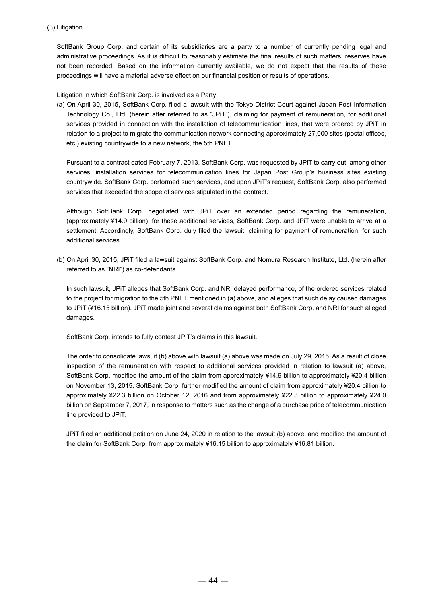SoftBank Group Corp. and certain of its subsidiaries are a party to a number of currently pending legal and administrative proceedings. As it is difficult to reasonably estimate the final results of such matters, reserves have not been recorded. Based on the information currently available, we do not expect that the results of these proceedings will have a material adverse effect on our financial position or results of operations.

### Litigation in which SoftBank Corp. is involved as a Party

(a) On April 30, 2015, SoftBank Corp. filed a lawsuit with the Tokyo District Court against Japan Post Information Technology Co., Ltd. (herein after referred to as "JPiT"), claiming for payment of remuneration, for additional services provided in connection with the installation of telecommunication lines, that were ordered by JPiT in relation to a project to migrate the communication network connecting approximately 27,000 sites (postal offices, etc.) existing countrywide to a new network, the 5th PNET.

Pursuant to a contract dated February 7, 2013, SoftBank Corp. was requested by JPiT to carry out, among other services, installation services for telecommunication lines for Japan Post Group's business sites existing countrywide. SoftBank Corp. performed such services, and upon JPiT's request, SoftBank Corp. also performed services that exceeded the scope of services stipulated in the contract.

Although SoftBank Corp. negotiated with JPiT over an extended period regarding the remuneration, (approximately ¥14.9 billion), for these additional services, SoftBank Corp. and JPiT were unable to arrive at a settlement. Accordingly, SoftBank Corp. duly filed the lawsuit, claiming for payment of remuneration, for such additional services.

(b) On April 30, 2015, JPiT filed a lawsuit against SoftBank Corp. and Nomura Research Institute, Ltd. (herein after referred to as "NRI") as co-defendants.

In such lawsuit, JPiT alleges that SoftBank Corp. and NRI delayed performance, of the ordered services related to the project for migration to the 5th PNET mentioned in (a) above, and alleges that such delay caused damages to JPiT (¥16.15 billion). JPiT made joint and several claims against both SoftBank Corp. and NRI for such alleged damages.

SoftBank Corp. intends to fully contest JPiT's claims in this lawsuit.

The order to consolidate lawsuit (b) above with lawsuit (a) above was made on July 29, 2015. As a result of close inspection of the remuneration with respect to additional services provided in relation to lawsuit (a) above, SoftBank Corp. modified the amount of the claim from approximately ¥14.9 billion to approximately ¥20.4 billion on November 13, 2015. SoftBank Corp. further modified the amount of claim from approximately ¥20.4 billion to approximately ¥22.3 billion on October 12, 2016 and from approximately ¥22.3 billion to approximately ¥24.0 billion on September 7, 2017, in response to matters such as the change of a purchase price of telecommunication line provided to JPiT.

JPiT filed an additional petition on June 24, 2020 in relation to the lawsuit (b) above, and modified the amount of the claim for SoftBank Corp. from approximately ¥16.15 billion to approximately ¥16.81 billion.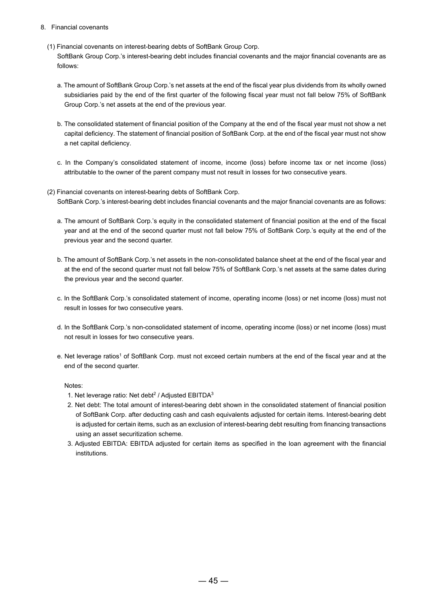- 8. Financial covenants
	- (1) Financial covenants on interest-bearing debts of SoftBank Group Corp.

SoftBank Group Corp.'s interest-bearing debt includes financial covenants and the major financial covenants are as follows:

- a. The amount of SoftBank Group Corp.'s net assets at the end of the fiscal year plus dividends from its wholly owned subsidiaries paid by the end of the first quarter of the following fiscal year must not fall below 75% of SoftBank Group Corp.'s net assets at the end of the previous year.
- b. The consolidated statement of financial position of the Company at the end of the fiscal year must not show a net capital deficiency. The statement of financial position of SoftBank Corp. at the end of the fiscal year must not show a net capital deficiency.
- c. In the Company's consolidated statement of income, income (loss) before income tax or net income (loss) attributable to the owner of the parent company must not result in losses for two consecutive years.
- (2) Financial covenants on interest-bearing debts of SoftBank Corp. SoftBank Corp.'s interest-bearing debt includes financial covenants and the major financial covenants are as follows:
	- a. The amount of SoftBank Corp.'s equity in the consolidated statement of financial position at the end of the fiscal year and at the end of the second quarter must not fall below 75% of SoftBank Corp.'s equity at the end of the previous year and the second quarter.
	- b. The amount of SoftBank Corp.'s net assets in the non-consolidated balance sheet at the end of the fiscal year and at the end of the second quarter must not fall below 75% of SoftBank Corp.'s net assets at the same dates during the previous year and the second quarter.
	- c. In the SoftBank Corp.'s consolidated statement of income, operating income (loss) or net income (loss) must not result in losses for two consecutive years.
	- d. In the SoftBank Corp.'s non-consolidated statement of income, operating income (loss) or net income (loss) must not result in losses for two consecutive years.
	- e. Net leverage ratios<sup>1</sup> of SoftBank Corp. must not exceed certain numbers at the end of the fiscal year and at the end of the second quarter.

### Notes:

- 1. Net leverage ratio: Net debt $2/$  Adjusted EBITDA $3$
- 2. Net debt: The total amount of interest-bearing debt shown in the consolidated statement of financial position of SoftBank Corp. after deducting cash and cash equivalents adjusted for certain items. Interest-bearing debt is adjusted for certain items, such as an exclusion of interest-bearing debt resulting from financing transactions using an asset securitization scheme.
- 3. Adjusted EBITDA: EBITDA adjusted for certain items as specified in the loan agreement with the financial institutions.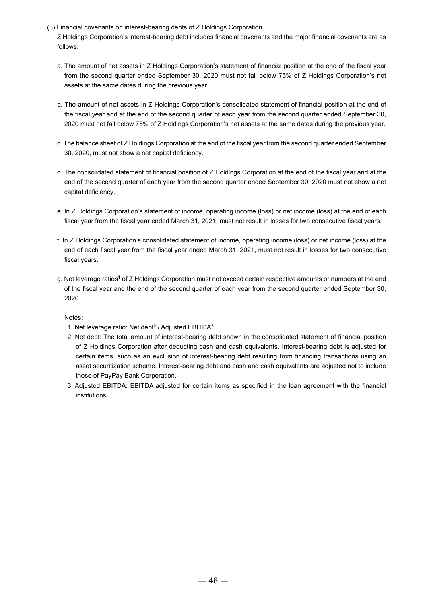(3) Financial covenants on interest-bearing debts of Z Holdings Corporation

Z Holdings Corporation's interest-bearing debt includes financial covenants and the major financial covenants are as follows:

- a. The amount of net assets in Z Holdings Corporation's statement of financial position at the end of the fiscal year from the second quarter ended September 30, 2020 must not fall below 75% of Z Holdings Corporation's net assets at the same dates during the previous year.
- b. The amount of net assets in Z Holdings Corporation's consolidated statement of financial position at the end of the fiscal year and at the end of the second quarter of each year from the second quarter ended September 30, 2020 must not fall below 75% of Z Holdings Corporation's net assets at the same dates during the previous year.
- c. The balance sheet of Z Holdings Corporation at the end of the fiscal year from the second quarter ended September 30, 2020, must not show a net capital deficiency.
- d. The consolidated statement of financial position of Z Holdings Corporation at the end of the fiscal year and at the end of the second quarter of each year from the second quarter ended September 30, 2020 must not show a net capital deficiency.
- e. In Z Holdings Corporation's statement of income, operating income (loss) or net income (loss) at the end of each fiscal year from the fiscal year ended March 31, 2021, must not result in losses for two consecutive fiscal years.
- f. In Z Holdings Corporation's consolidated statement of income, operating income (loss) or net income (loss) at the end of each fiscal year from the fiscal year ended March 31, 2021, must not result in losses for two consecutive fiscal years.
- g. Net leverage ratios<sup>1</sup> of Z Holdings Corporation must not exceed certain respective amounts or numbers at the end of the fiscal year and the end of the second quarter of each year from the second quarter ended September 30, 2020.

### Notes:

- 1. Net leverage ratio: Net debt $2/$  Adjusted EBITDA $3$
- 2. Net debt: The total amount of interest-bearing debt shown in the consolidated statement of financial position of Z Holdings Corporation after deducting cash and cash equivalents. Interest-bearing debt is adjusted for certain items, such as an exclusion of interest-bearing debt resulting from financing transactions using an asset securitization scheme. Interest-bearing debt and cash and cash equivalents are adjusted not to include those of PayPay Bank Corporation.
- 3. Adjusted EBITDA: EBITDA adjusted for certain items as specified in the loan agreement with the financial institutions.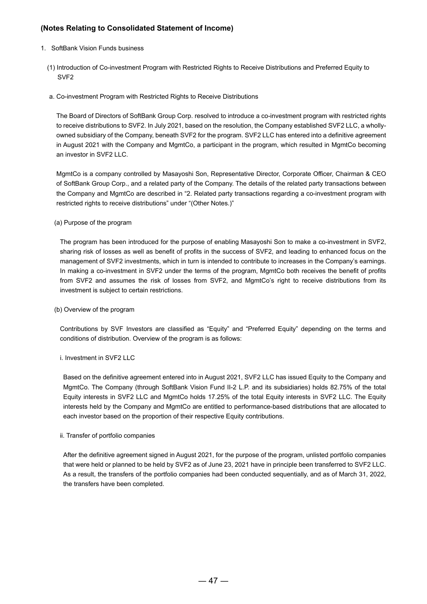# **(Notes Relating to Consolidated Statement of Income)**

- 1. SoftBank Vision Funds business
	- (1) Introduction of Co-investment Program with Restricted Rights to Receive Distributions and Preferred Equity to SVF2
	- a. Co-investment Program with Restricted Rights to Receive Distributions

The Board of Directors of SoftBank Group Corp. resolved to introduce a co-investment program with restricted rights to receive distributions to SVF2. In July 2021, based on the resolution, the Company established SVF2 LLC, a whollyowned subsidiary of the Company, beneath SVF2 for the program. SVF2 LLC has entered into a definitive agreement in August 2021 with the Company and MgmtCo, a participant in the program, which resulted in MgmtCo becoming an investor in SVF2 LLC.

MgmtCo is a company controlled by Masayoshi Son, Representative Director, Corporate Officer, Chairman & CEO of SoftBank Group Corp., and a related party of the Company. The details of the related party transactions between the Company and MgmtCo are described in "2. Related party transactions regarding a co-investment program with restricted rights to receive distributions" under "(Other Notes.)"

(a) Purpose of the program

The program has been introduced for the purpose of enabling Masayoshi Son to make a co-investment in SVF2, sharing risk of losses as well as benefit of profits in the success of SVF2, and leading to enhanced focus on the management of SVF2 investments, which in turn is intended to contribute to increases in the Company's earnings. In making a co-investment in SVF2 under the terms of the program, MgmtCo both receives the benefit of profits from SVF2 and assumes the risk of losses from SVF2, and MgmtCo's right to receive distributions from its investment is subject to certain restrictions.

(b) Overview of the program

Contributions by SVF Investors are classified as "Equity" and "Preferred Equity" depending on the terms and conditions of distribution. Overview of the program is as follows:

i. Investment in SVF2 LLC

Based on the definitive agreement entered into in August 2021, SVF2 LLC has issued Equity to the Company and MgmtCo. The Company (through SoftBank Vision Fund II-2 L.P. and its subsidiaries) holds 82.75% of the total Equity interests in SVF2 LLC and MgmtCo holds 17.25% of the total Equity interests in SVF2 LLC. The Equity interests held by the Company and MgmtCo are entitled to performance-based distributions that are allocated to each investor based on the proportion of their respective Equity contributions.

ii. Transfer of portfolio companies

After the definitive agreement signed in August 2021, for the purpose of the program, unlisted portfolio companies that were held or planned to be held by SVF2 as of June 23, 2021 have in principle been transferred to SVF2 LLC. As a result, the transfers of the portfolio companies had been conducted sequentially, and as of March 31, 2022, the transfers have been completed.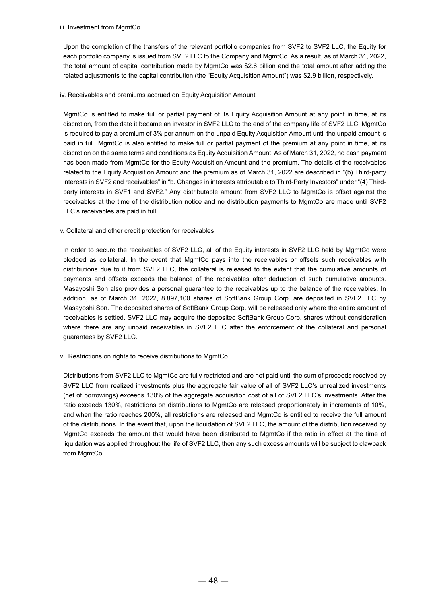### iii. Investment from MgmtCo

Upon the completion of the transfers of the relevant portfolio companies from SVF2 to SVF2 LLC, the Equity for each portfolio company is issued from SVF2 LLC to the Company and MgmtCo. As a result, as of March 31, 2022, the total amount of capital contribution made by MgmtCo was \$2.6 billion and the total amount after adding the related adjustments to the capital contribution (the "Equity Acquisition Amount") was \$2.9 billion, respectively.

### iv. Receivables and premiums accrued on Equity Acquisition Amount

MgmtCo is entitled to make full or partial payment of its Equity Acquisition Amount at any point in time, at its discretion, from the date it became an investor in SVF2 LLC to the end of the company life of SVF2 LLC. MgmtCo is required to pay a premium of 3% per annum on the unpaid Equity Acquisition Amount until the unpaid amount is paid in full. MgmtCo is also entitled to make full or partial payment of the premium at any point in time, at its discretion on the same terms and conditions as Equity Acquisition Amount. As of March 31, 2022, no cash payment has been made from MgmtCo for the Equity Acquisition Amount and the premium. The details of the receivables related to the Equity Acquisition Amount and the premium as of March 31, 2022 are described in "(b) Third-party interests in SVF2 and receivables" in "b. Changes in interests attributable to Third-Party Investors" under "(4) Thirdparty interests in SVF1 and SVF2." Any distributable amount from SVF2 LLC to MgmtCo is offset against the receivables at the time of the distribution notice and no distribution payments to MgmtCo are made until SVF2 LLC's receivables are paid in full.

### v. Collateral and other credit protection for receivables

In order to secure the receivables of SVF2 LLC, all of the Equity interests in SVF2 LLC held by MgmtCo were pledged as collateral. In the event that MgmtCo pays into the receivables or offsets such receivables with distributions due to it from SVF2 LLC, the collateral is released to the extent that the cumulative amounts of payments and offsets exceeds the balance of the receivables after deduction of such cumulative amounts. Masayoshi Son also provides a personal guarantee to the receivables up to the balance of the receivables. In addition, as of March 31, 2022, 8,897,100 shares of SoftBank Group Corp. are deposited in SVF2 LLC by Masayoshi Son. The deposited shares of SoftBank Group Corp. will be released only where the entire amount of receivables is settled. SVF2 LLC may acquire the deposited SoftBank Group Corp. shares without consideration where there are any unpaid receivables in SVF2 LLC after the enforcement of the collateral and personal guarantees by SVF2 LLC.

### vi. Restrictions on rights to receive distributions to MgmtCo

Distributions from SVF2 LLC to MgmtCo are fully restricted and are not paid until the sum of proceeds received by SVF2 LLC from realized investments plus the aggregate fair value of all of SVF2 LLC's unrealized investments (net of borrowings) exceeds 130% of the aggregate acquisition cost of all of SVF2 LLC's investments. After the ratio exceeds 130%, restrictions on distributions to MgmtCo are released proportionately in increments of 10%, and when the ratio reaches 200%, all restrictions are released and MgmtCo is entitled to receive the full amount of the distributions. In the event that, upon the liquidation of SVF2 LLC, the amount of the distribution received by MgmtCo exceeds the amount that would have been distributed to MgmtCo if the ratio in effect at the time of liquidation was applied throughout the life of SVF2 LLC, then any such excess amounts will be subject to clawback from MgmtCo.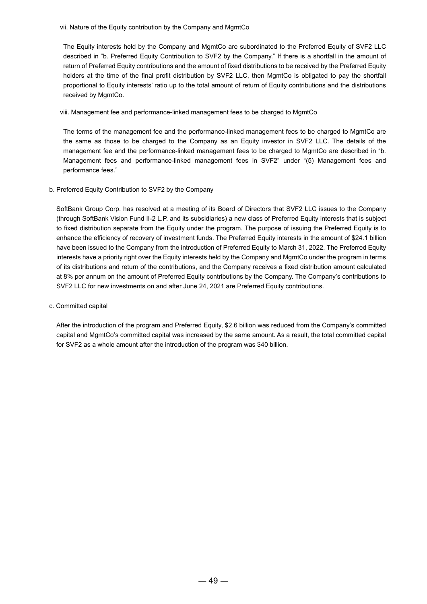vii. Nature of the Equity contribution by the Company and MgmtCo

The Equity interests held by the Company and MgmtCo are subordinated to the Preferred Equity of SVF2 LLC described in "b. Preferred Equity Contribution to SVF2 by the Company." If there is a shortfall in the amount of return of Preferred Equity contributions and the amount of fixed distributions to be received by the Preferred Equity holders at the time of the final profit distribution by SVF2 LLC, then MgmtCo is obligated to pay the shortfall proportional to Equity interests' ratio up to the total amount of return of Equity contributions and the distributions received by MgmtCo.

### viii. Management fee and performance-linked management fees to be charged to MgmtCo

The terms of the management fee and the performance-linked management fees to be charged to MgmtCo are the same as those to be charged to the Company as an Equity investor in SVF2 LLC. The details of the management fee and the performance-linked management fees to be charged to MgmtCo are described in "b. Management fees and performance-linked management fees in SVF2" under "(5) Management fees and performance fees."

# b. Preferred Equity Contribution to SVF2 by the Company

SoftBank Group Corp. has resolved at a meeting of its Board of Directors that SVF2 LLC issues to the Company (through SoftBank Vision Fund II-2 L.P. and its subsidiaries) a new class of Preferred Equity interests that is subject to fixed distribution separate from the Equity under the program. The purpose of issuing the Preferred Equity is to enhance the efficiency of recovery of investment funds. The Preferred Equity interests in the amount of \$24.1 billion have been issued to the Company from the introduction of Preferred Equity to March 31, 2022. The Preferred Equity interests have a priority right over the Equity interests held by the Company and MgmtCo under the program in terms of its distributions and return of the contributions, and the Company receives a fixed distribution amount calculated at 8% per annum on the amount of Preferred Equity contributions by the Company. The Company's contributions to SVF2 LLC for new investments on and after June 24, 2021 are Preferred Equity contributions.

### c. Committed capital

After the introduction of the program and Preferred Equity, \$2.6 billion was reduced from the Company's committed capital and MgmtCo's committed capital was increased by the same amount. As a result, the total committed capital for SVF2 as a whole amount after the introduction of the program was \$40 billion.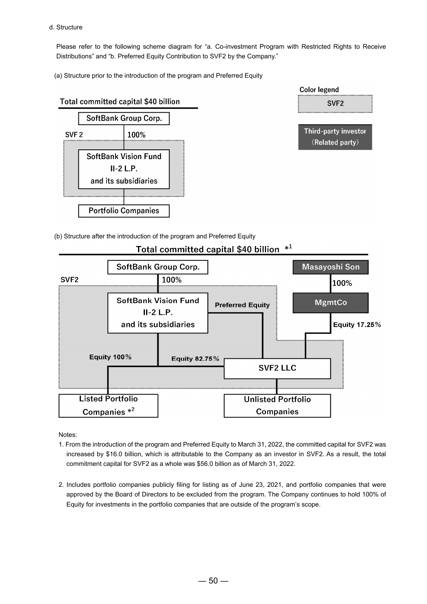d. Structure

Please refer to the following scheme diagram for "a. Co-investment Program with Restricted Rights to Receive Distributions" and "b. Preferred Equity Contribution to SVF2 by the Company."

(a) Structure prior to the introduction of the program and Preferred Equity





(b) Structure after the introduction of the program and Preferred Equity



# Total committed capital \$40 billion \*1

Notes:

- 1. From the introduction of the program and Preferred Equity to March 31, 2022, the committed capital for SVF2 was increased by \$16.0 billion, which is attributable to the Company as an investor in SVF2. As a result, the total commitment capital for SVF2 as a whole was \$56.0 billion as of March 31, 2022.
- 2. Includes portfolio companies publicly filing for listing as of June 23, 2021, and portfolio companies that were approved by the Board of Directors to be excluded from the program. The Company continues to hold 100% of Equity for investments in the portfolio companies that are outside of the program's scope.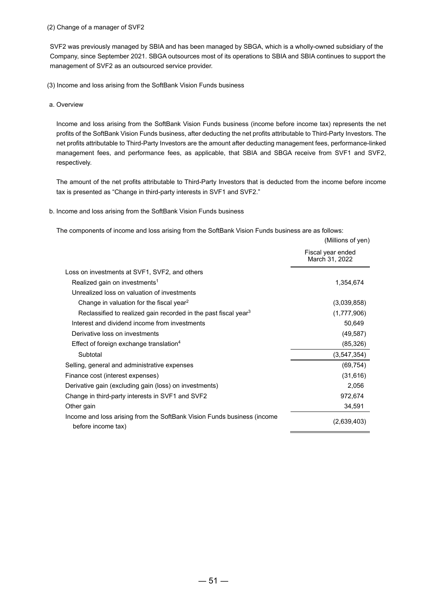SVF2 was previously managed by SBIA and has been managed by SBGA, which is a wholly-owned subsidiary of the Company, since September 2021. SBGA outsources most of its operations to SBIA and SBIA continues to support the management of SVF2 as an outsourced service provider.

(3) Income and loss arising from the SoftBank Vision Funds business

a. Overview

Income and loss arising from the SoftBank Vision Funds business (income before income tax) represents the net profits of the SoftBank Vision Funds business, after deducting the net profits attributable to Third-Party Investors. The net profits attributable to Third-Party Investors are the amount after deducting management fees, performance-linked management fees, and performance fees, as applicable, that SBIA and SBGA receive from SVF1 and SVF2, respectively.

The amount of the net profits attributable to Third-Party Investors that is deducted from the income before income tax is presented as "Change in third-party interests in SVF1 and SVF2."

b. Income and loss arising from the SoftBank Vision Funds business

The components of income and loss arising from the SoftBank Vision Funds business are as follows:

|                                                                                               | (Millions of yen)                   |  |
|-----------------------------------------------------------------------------------------------|-------------------------------------|--|
|                                                                                               | Fiscal year ended<br>March 31, 2022 |  |
| Loss on investments at SVF1, SVF2, and others                                                 |                                     |  |
| Realized gain on investments <sup>1</sup>                                                     | 1,354,674                           |  |
| Unrealized loss on valuation of investments                                                   |                                     |  |
| Change in valuation for the fiscal year <sup>2</sup>                                          | (3,039,858)                         |  |
| Reclassified to realized gain recorded in the past fiscal year <sup>3</sup>                   | (1,777,906)                         |  |
| Interest and dividend income from investments                                                 | 50,649                              |  |
| Derivative loss on investments                                                                | (49, 587)                           |  |
| Effect of foreign exchange translation $4$                                                    | (85, 326)                           |  |
| Subtotal                                                                                      | (3,547,354)                         |  |
| Selling, general and administrative expenses                                                  | (69, 754)                           |  |
| Finance cost (interest expenses)                                                              | (31,616)                            |  |
| Derivative gain (excluding gain (loss) on investments)                                        | 2,056                               |  |
| Change in third-party interests in SVF1 and SVF2                                              | 972,674                             |  |
| Other gain                                                                                    | 34,591                              |  |
| Income and loss arising from the SoftBank Vision Funds business (income<br>before income tax) | (2,639,403)                         |  |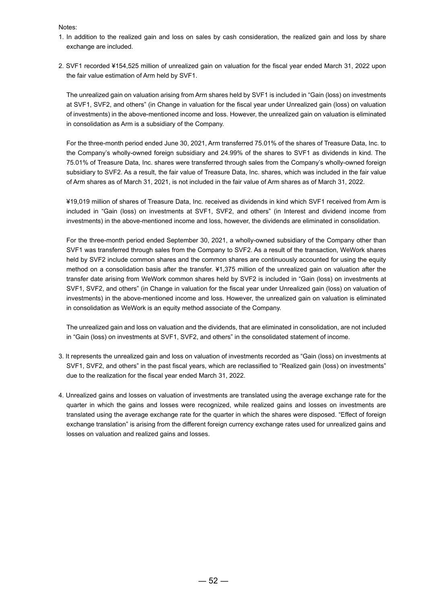Notes:

- 1. In addition to the realized gain and loss on sales by cash consideration, the realized gain and loss by share exchange are included.
- 2. SVF1 recorded ¥154,525 million of unrealized gain on valuation for the fiscal year ended March 31, 2022 upon the fair value estimation of Arm held by SVF1.

The unrealized gain on valuation arising from Arm shares held by SVF1 is included in "Gain (loss) on investments at SVF1, SVF2, and others" (in Change in valuation for the fiscal year under Unrealized gain (loss) on valuation of investments) in the above-mentioned income and loss. However, the unrealized gain on valuation is eliminated in consolidation as Arm is a subsidiary of the Company.

For the three-month period ended June 30, 2021, Arm transferred 75.01% of the shares of Treasure Data, Inc. to the Company's wholly-owned foreign subsidiary and 24.99% of the shares to SVF1 as dividends in kind. The 75.01% of Treasure Data, Inc. shares were transferred through sales from the Company's wholly-owned foreign subsidiary to SVF2. As a result, the fair value of Treasure Data, Inc. shares, which was included in the fair value of Arm shares as of March 31, 2021, is not included in the fair value of Arm shares as of March 31, 2022.

¥19,019 million of shares of Treasure Data, Inc. received as dividends in kind which SVF1 received from Arm is included in "Gain (loss) on investments at SVF1, SVF2, and others" (in Interest and dividend income from investments) in the above-mentioned income and loss, however, the dividends are eliminated in consolidation.

For the three-month period ended September 30, 2021, a wholly-owned subsidiary of the Company other than SVF1 was transferred through sales from the Company to SVF2. As a result of the transaction, WeWork shares held by SVF2 include common shares and the common shares are continuously accounted for using the equity method on a consolidation basis after the transfer. ¥1,375 million of the unrealized gain on valuation after the transfer date arising from WeWork common shares held by SVF2 is included in "Gain (loss) on investments at SVF1, SVF2, and others" (in Change in valuation for the fiscal year under Unrealized gain (loss) on valuation of investments) in the above-mentioned income and loss. However, the unrealized gain on valuation is eliminated in consolidation as WeWork is an equity method associate of the Company.

The unrealized gain and loss on valuation and the dividends, that are eliminated in consolidation, are not included in "Gain (loss) on investments at SVF1, SVF2, and others" in the consolidated statement of income.

- 3. It represents the unrealized gain and loss on valuation of investments recorded as "Gain (loss) on investments at SVF1, SVF2, and others" in the past fiscal years, which are reclassified to "Realized gain (loss) on investments" due to the realization for the fiscal year ended March 31, 2022.
- 4. Unrealized gains and losses on valuation of investments are translated using the average exchange rate for the quarter in which the gains and losses were recognized, while realized gains and losses on investments are translated using the average exchange rate for the quarter in which the shares were disposed. "Effect of foreign exchange translation" is arising from the different foreign currency exchange rates used for unrealized gains and losses on valuation and realized gains and losses.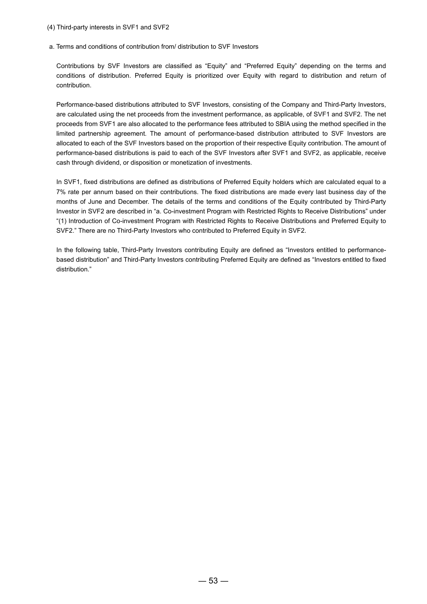#### (4) Third-party interests in SVF1 and SVF2

a. Terms and conditions of contribution from/ distribution to SVF Investors

Contributions by SVF Investors are classified as "Equity" and "Preferred Equity" depending on the terms and conditions of distribution. Preferred Equity is prioritized over Equity with regard to distribution and return of contribution.

Performance-based distributions attributed to SVF Investors, consisting of the Company and Third-Party Investors, are calculated using the net proceeds from the investment performance, as applicable, of SVF1 and SVF2. The net proceeds from SVF1 are also allocated to the performance fees attributed to SBIA using the method specified in the limited partnership agreement. The amount of performance-based distribution attributed to SVF Investors are allocated to each of the SVF Investors based on the proportion of their respective Equity contribution. The amount of performance-based distributions is paid to each of the SVF Investors after SVF1 and SVF2, as applicable, receive cash through dividend, or disposition or monetization of investments.

In SVF1, fixed distributions are defined as distributions of Preferred Equity holders which are calculated equal to a 7% rate per annum based on their contributions. The fixed distributions are made every last business day of the months of June and December. The details of the terms and conditions of the Equity contributed by Third-Party Investor in SVF2 are described in "a. Co-investment Program with Restricted Rights to Receive Distributions" under "(1) Introduction of Co-investment Program with Restricted Rights to Receive Distributions and Preferred Equity to SVF2." There are no Third-Party Investors who contributed to Preferred Equity in SVF2.

In the following table, Third-Party Investors contributing Equity are defined as "Investors entitled to performancebased distribution" and Third-Party Investors contributing Preferred Equity are defined as "Investors entitled to fixed distribution."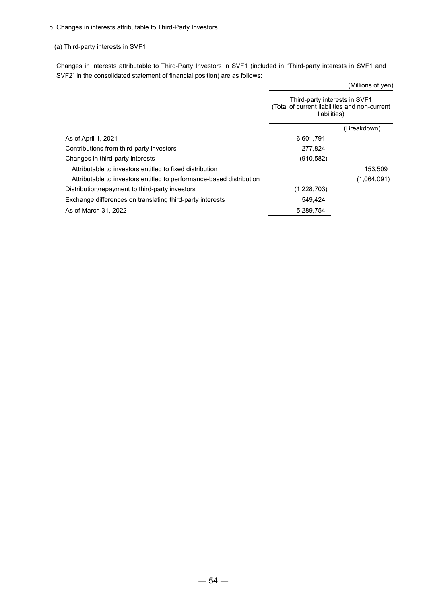# b. Changes in interests attributable to Third-Party Investors

# (a) Third-party interests in SVF1

Changes in interests attributable to Third-Party Investors in SVF1 (included in "Third-party interests in SVF1 and SVF2" in the consolidated statement of financial position) are as follows:

(Millions of yen)

|                                                                      | Third-party interests in SVF1<br>(Total of current liabilities and non-current<br>liabilities) |             |
|----------------------------------------------------------------------|------------------------------------------------------------------------------------------------|-------------|
|                                                                      |                                                                                                | (Breakdown) |
| As of April 1, 2021                                                  | 6.601.791                                                                                      |             |
| Contributions from third-party investors                             | 277.824                                                                                        |             |
| Changes in third-party interests                                     | (910,582)                                                                                      |             |
| Attributable to investors entitled to fixed distribution             |                                                                                                | 153.509     |
| Attributable to investors entitled to performance-based distribution |                                                                                                | (1.064.091) |
| Distribution/repayment to third-party investors                      | (1,228,703)                                                                                    |             |
| Exchange differences on translating third-party interests            | 549,424                                                                                        |             |
| As of March 31, 2022                                                 | 5,289,754                                                                                      |             |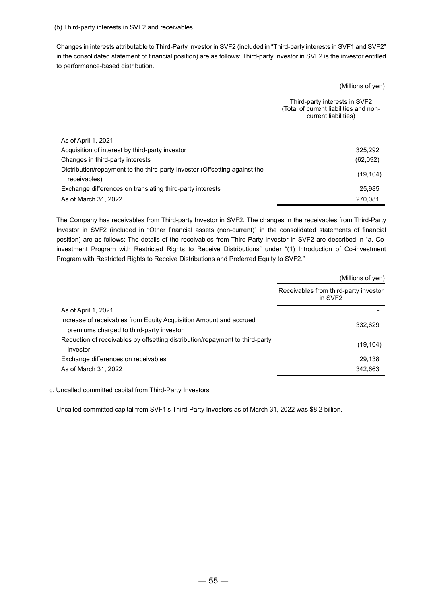Changes in interests attributable to Third-Party Investor in SVF2 (included in "Third-party interests in SVF1 and SVF2" in the consolidated statement of financial position) are as follows: Third-party Investor in SVF2 is the investor entitled to performance-based distribution.

(Millions of yen)

|                                                                                            | Third-party interests in SVF2<br>(Total of current liabilities and non-<br>current liabilities) |
|--------------------------------------------------------------------------------------------|-------------------------------------------------------------------------------------------------|
| As of April 1, 2021                                                                        |                                                                                                 |
| Acquisition of interest by third-party investor                                            | 325.292                                                                                         |
| Changes in third-party interests                                                           | (62,092)                                                                                        |
| Distribution/repayment to the third-party investor (Offsetting against the<br>receivables) | (19, 104)                                                                                       |
| Exchange differences on translating third-party interests                                  | 25,985                                                                                          |
| As of March 31, 2022                                                                       | 270,081                                                                                         |

The Company has receivables from Third-party Investor in SVF2. The changes in the receivables from Third-Party Investor in SVF2 (included in "Other financial assets (non-current)" in the consolidated statements of financial position) are as follows: The details of the receivables from Third-Party Investor in SVF2 are described in "a. Coinvestment Program with Restricted Rights to Receive Distributions" under "(1) Introduction of Co-investment Program with Restricted Rights to Receive Distributions and Preferred Equity to SVF2."

| Receivables from third-party investor<br>in SVF <sub>2</sub><br>As of April 1, 2021<br>Increase of receivables from Equity Acquisition Amount and accrued<br>332,629<br>premiums charged to third-party investor<br>Reduction of receivables by offsetting distribution/repayment to third-party<br>(19, 104)<br>investor<br>29,138<br>Exchange differences on receivables |                      | (Millions of yen) |
|----------------------------------------------------------------------------------------------------------------------------------------------------------------------------------------------------------------------------------------------------------------------------------------------------------------------------------------------------------------------------|----------------------|-------------------|
|                                                                                                                                                                                                                                                                                                                                                                            |                      |                   |
|                                                                                                                                                                                                                                                                                                                                                                            |                      |                   |
|                                                                                                                                                                                                                                                                                                                                                                            |                      |                   |
|                                                                                                                                                                                                                                                                                                                                                                            |                      |                   |
|                                                                                                                                                                                                                                                                                                                                                                            |                      |                   |
|                                                                                                                                                                                                                                                                                                                                                                            |                      |                   |
|                                                                                                                                                                                                                                                                                                                                                                            |                      |                   |
|                                                                                                                                                                                                                                                                                                                                                                            | As of March 31, 2022 | 342,663           |

c. Uncalled committed capital from Third-Party Investors

Uncalled committed capital from SVF1's Third-Party Investors as of March 31, 2022 was \$8.2 billion.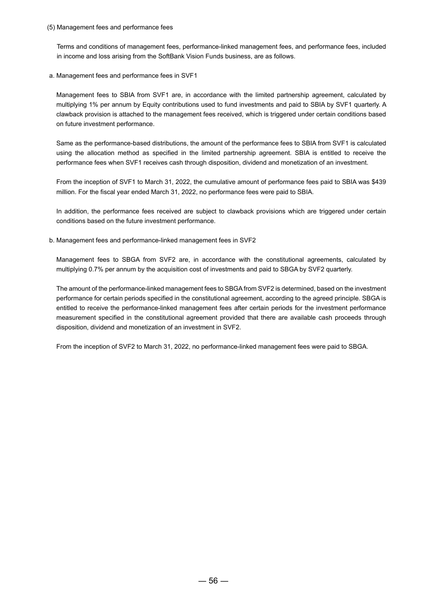(5) Management fees and performance fees

Terms and conditions of management fees, performance-linked management fees, and performance fees, included in income and loss arising from the SoftBank Vision Funds business, are as follows.

a. Management fees and performance fees in SVF1

Management fees to SBIA from SVF1 are, in accordance with the limited partnership agreement, calculated by multiplying 1% per annum by Equity contributions used to fund investments and paid to SBIA by SVF1 quarterly. A clawback provision is attached to the management fees received, which is triggered under certain conditions based on future investment performance.

Same as the performance-based distributions, the amount of the performance fees to SBIA from SVF1 is calculated using the allocation method as specified in the limited partnership agreement. SBIA is entitled to receive the performance fees when SVF1 receives cash through disposition, dividend and monetization of an investment.

From the inception of SVF1 to March 31, 2022, the cumulative amount of performance fees paid to SBIA was \$439 million. For the fiscal year ended March 31, 2022, no performance fees were paid to SBIA.

In addition, the performance fees received are subject to clawback provisions which are triggered under certain conditions based on the future investment performance.

b. Management fees and performance-linked management fees in SVF2

Management fees to SBGA from SVF2 are, in accordance with the constitutional agreements, calculated by multiplying 0.7% per annum by the acquisition cost of investments and paid to SBGA by SVF2 quarterly.

The amount of the performance-linked management fees to SBGA from SVF2 is determined, based on the investment performance for certain periods specified in the constitutional agreement, according to the agreed principle. SBGA is entitled to receive the performance-linked management fees after certain periods for the investment performance measurement specified in the constitutional agreement provided that there are available cash proceeds through disposition, dividend and monetization of an investment in SVF2.

From the inception of SVF2 to March 31, 2022, no performance-linked management fees were paid to SBGA.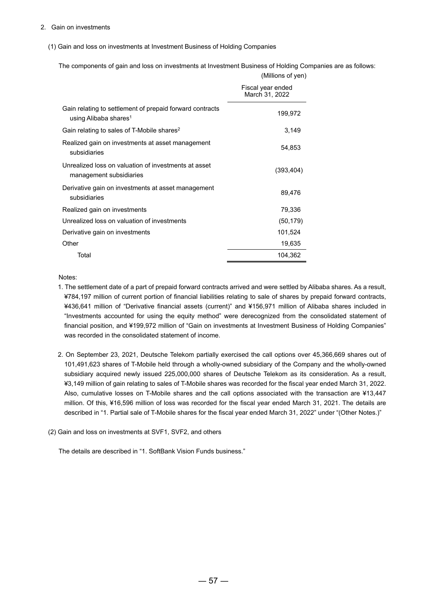### 2. Gain on investments

### (1) Gain and loss on investments at Investment Business of Holding Companies

The components of gain and loss on investments at Investment Business of Holding Companies are as follows:

(Millions of yen)

|                                                                                               | $\frac{1}{2}$                       |
|-----------------------------------------------------------------------------------------------|-------------------------------------|
|                                                                                               | Fiscal year ended<br>March 31, 2022 |
| Gain relating to settlement of prepaid forward contracts<br>using Alibaba shares <sup>1</sup> | 199,972                             |
| Gain relating to sales of T-Mobile shares <sup>2</sup>                                        | 3,149                               |
| Realized gain on investments at asset management<br>subsidiaries                              | 54,853                              |
| Unrealized loss on valuation of investments at asset<br>management subsidiaries               | (393, 404)                          |
| Derivative gain on investments at asset management<br>subsidiaries                            | 89,476                              |
| Realized gain on investments                                                                  | 79,336                              |
| Unrealized loss on valuation of investments                                                   | (50, 179)                           |
| Derivative gain on investments                                                                | 101,524                             |
| Other                                                                                         | 19,635                              |
| Total                                                                                         | 104,362                             |

Notes:

- 1. The settlement date of a part of prepaid forward contracts arrived and were settled by Alibaba shares. As a result, ¥784,197 million of current portion of financial liabilities relating to sale of shares by prepaid forward contracts, ¥436,641 million of "Derivative financial assets (current)" and ¥156,971 million of Alibaba shares included in "Investments accounted for using the equity method" were derecognized from the consolidated statement of financial position, and ¥199,972 million of "Gain on investments at Investment Business of Holding Companies" was recorded in the consolidated statement of income.
- 2. On September 23, 2021, Deutsche Telekom partially exercised the call options over 45,366,669 shares out of 101,491,623 shares of T-Mobile held through a wholly-owned subsidiary of the Company and the wholly-owned subsidiary acquired newly issued 225,000,000 shares of Deutsche Telekom as its consideration. As a result, ¥3,149 million of gain relating to sales of T-Mobile shares was recorded for the fiscal year ended March 31, 2022. Also, cumulative losses on T-Mobile shares and the call options associated with the transaction are ¥13,447 million. Of this, ¥16,596 million of loss was recorded for the fiscal year ended March 31, 2021. The details are described in "1. Partial sale of T-Mobile shares for the fiscal year ended March 31, 2022" under "(Other Notes.)"

(2) Gain and loss on investments at SVF1, SVF2, and others

The details are described in "1. SoftBank Vision Funds business."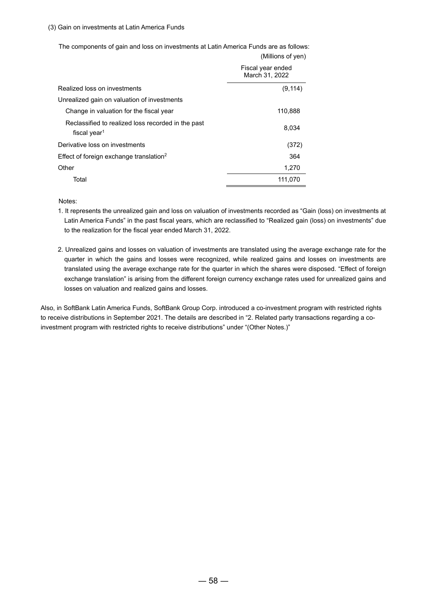### (3) Gain on investments at Latin America Funds

The components of gain and loss on investments at Latin America Funds are as follows:

|                                                                                | (Millions of yen)                   |
|--------------------------------------------------------------------------------|-------------------------------------|
|                                                                                | Fiscal year ended<br>March 31, 2022 |
| Realized loss on investments                                                   | (9, 114)                            |
| Unrealized gain on valuation of investments                                    |                                     |
| Change in valuation for the fiscal year                                        | 110,888                             |
| Reclassified to realized loss recorded in the past<br>fiscal year <sup>1</sup> | 8,034                               |
| Derivative loss on investments                                                 | (372)                               |
| Effect of foreign exchange translation <sup>2</sup>                            | 364                                 |
| Other                                                                          | 1,270                               |
| Total                                                                          | 111,070                             |

Notes:

- 1. It represents the unrealized gain and loss on valuation of investments recorded as "Gain (loss) on investments at Latin America Funds" in the past fiscal years, which are reclassified to "Realized gain (loss) on investments" due to the realization for the fiscal year ended March 31, 2022.
- 2. Unrealized gains and losses on valuation of investments are translated using the average exchange rate for the quarter in which the gains and losses were recognized, while realized gains and losses on investments are translated using the average exchange rate for the quarter in which the shares were disposed. "Effect of foreign exchange translation" is arising from the different foreign currency exchange rates used for unrealized gains and losses on valuation and realized gains and losses.

Also, in SoftBank Latin America Funds, SoftBank Group Corp. introduced a co-investment program with restricted rights to receive distributions in September 2021. The details are described in "2. Related party transactions regarding a coinvestment program with restricted rights to receive distributions" under "(Other Notes.)"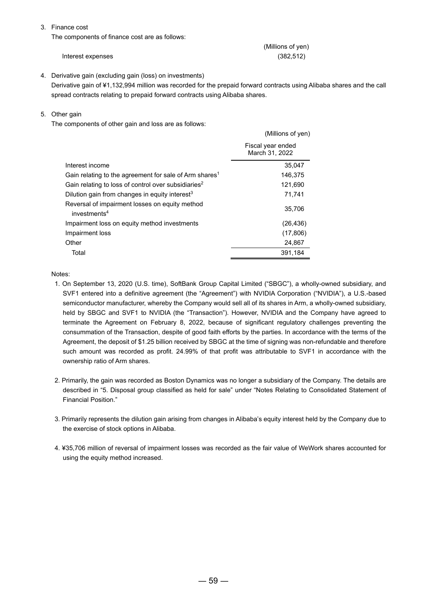3. Finance cost

The components of finance cost are as follows:

Interest expenses (382,512)

(Millions of yen)

(Millions of yen)

4. Derivative gain (excluding gain (loss) on investments)

Derivative gain of ¥1,132,994 million was recorded for the prepaid forward contracts using Alibaba shares and the call spread contracts relating to prepaid forward contracts using Alibaba shares.

5. Other gain

The components of other gain and loss are as follows:

|                                                                            | Fiscal year ended<br>March 31, 2022 |
|----------------------------------------------------------------------------|-------------------------------------|
| Interest income                                                            | 35,047                              |
| Gain relating to the agreement for sale of Arm shares <sup>1</sup>         | 146,375                             |
| Gain relating to loss of control over subsidiaries <sup>2</sup>            | 121,690                             |
| Dilution gain from changes in equity interest <sup>3</sup>                 | 71,741                              |
| Reversal of impairment losses on equity method<br>investments <sup>4</sup> | 35,706                              |
| Impairment loss on equity method investments                               | (26, 436)                           |
| Impairment loss                                                            | (17, 806)                           |
| Other                                                                      | 24,867                              |
| Total                                                                      | 391,184                             |

Notes:

- 1. On September 13, 2020 (U.S. time), SoftBank Group Capital Limited ("SBGC"), a wholly-owned subsidiary, and SVF1 entered into a definitive agreement (the "Agreement") with NVIDIA Corporation ("NVIDIA"), a U.S.-based semiconductor manufacturer, whereby the Company would sell all of its shares in Arm, a wholly-owned subsidiary, held by SBGC and SVF1 to NVIDIA (the "Transaction"). However, NVIDIA and the Company have agreed to terminate the Agreement on February 8, 2022, because of significant regulatory challenges preventing the consummation of the Transaction, despite of good faith efforts by the parties. In accordance with the terms of the Agreement, the deposit of \$1.25 billion received by SBGC at the time of signing was non-refundable and therefore such amount was recorded as profit. 24.99% of that profit was attributable to SVF1 in accordance with the ownership ratio of Arm shares.
- 2. Primarily, the gain was recorded as Boston Dynamics was no longer a subsidiary of the Company. The details are described in "5. Disposal group classified as held for sale" under "Notes Relating to Consolidated Statement of Financial Position."
- 3. Primarily represents the dilution gain arising from changes in Alibaba's equity interest held by the Company due to the exercise of stock options in Alibaba.
- 4. ¥35,706 million of reversal of impairment losses was recorded as the fair value of WeWork shares accounted for using the equity method increased.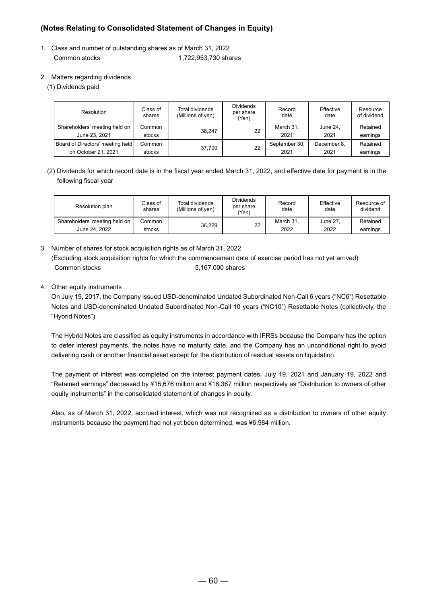# **(Notes Relating to Consolidated Statement of Changes in Equity)**

- 1. Class and number of outstanding shares as of March 31, 2022 Common stocks 1,722,953,730 shares
- 2. Matters regarding dividends
	- (1) Dividends paid

| Resolution                       | Class of<br>shares | Total dividends<br>(Millions of yen) | <b>Dividends</b><br>per share<br>'Yen) | Record<br>date | Effective<br>date | Resource<br>of dividend |
|----------------------------------|--------------------|--------------------------------------|----------------------------------------|----------------|-------------------|-------------------------|
| Shareholders' meeting held on    | Common             | 38.247                               | 22                                     | March 31,      | June 24,          | Retained                |
| June 23, 2021                    | stocks             |                                      |                                        | 2021           | 2021              | earnings                |
| Board of Directors' meeting held | Common             | 37.700                               | 22                                     | September 30,  | December 8,       | Retained                |
| on October 21, 2021              | stocks             |                                      |                                        | 2021           | 2021              | earnings                |

(2) Dividends for which record date is in the fiscal year ended March 31, 2022, and effective date for payment is in the following fiscal year

| Resolution plan               | Class of<br>shares | Total dividends<br>(Millions of yen) | Dividends<br>per share<br>(Yen) | Record<br>date | Effective<br>date | Resource of<br>dividend |
|-------------------------------|--------------------|--------------------------------------|---------------------------------|----------------|-------------------|-------------------------|
| Shareholders' meeting held on | Common             | 36.229                               | 22                              | March 31,      | June 27           | Retained                |
| June 24, 2022                 | stocks             |                                      |                                 | 2022           | 2022              | earnings                |

- 3. Number of shares for stock acquisition rights as of March 31, 2022 (Excluding stock acquisition rights for which the commencement date of exercise period has not yet arrived) Common stocks 5,167,000 shares
- 4. Other equity instruments

On July 19, 2017, the Company issued USD-denominated Undated Subordinated Non-Call 6 years ("NC6") Resettable Notes and USD-denominated Undated Subordinated Non-Call 10 years ("NC10") Resettable Notes (collectively, the "Hybrid Notes").

The Hybrid Notes are classified as equity instruments in accordance with IFRSs because the Company has the option to defer interest payments, the notes have no maturity date, and the Company has an unconditional right to avoid delivering cash or another financial asset except for the distribution of residual assets on liquidation.

The payment of interest was completed on the interest payment dates, July 19, 2021 and January 19, 2022 and "Retained earnings" decreased by ¥15,676 million and ¥16,367 million respectively as "Distribution to owners of other equity instruments" in the consolidated statement of changes in equity.

Also, as of March 31, 2022, accrued interest, which was not recognized as a distribution to owners of other equity instruments because the payment had not yet been determined, was ¥6,984 million.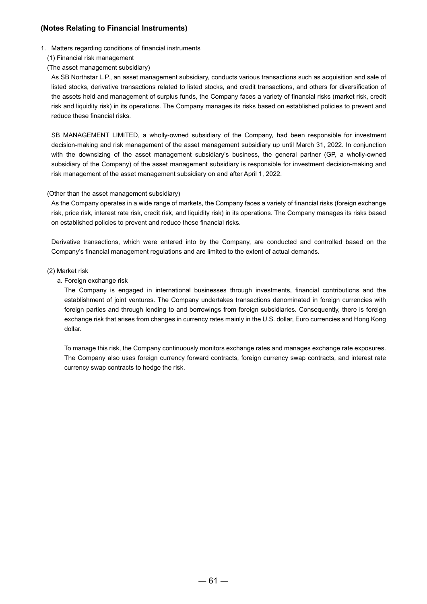# **(Notes Relating to Financial Instruments)**

- 1. Matters regarding conditions of financial instruments
- (1) Financial risk management
- (The asset management subsidiary)

As SB Northstar L.P., an asset management subsidiary, conducts various transactions such as acquisition and sale of listed stocks, derivative transactions related to listed stocks, and credit transactions, and others for diversification of the assets held and management of surplus funds, the Company faces a variety of financial risks (market risk, credit risk and liquidity risk) in its operations. The Company manages its risks based on established policies to prevent and reduce these financial risks.

SB MANAGEMENT LIMITED, a wholly-owned subsidiary of the Company, had been responsible for investment decision-making and risk management of the asset management subsidiary up until March 31, 2022. In conjunction with the downsizing of the asset management subsidiary's business, the general partner (GP, a wholly-owned subsidiary of the Company) of the asset management subsidiary is responsible for investment decision-making and risk management of the asset management subsidiary on and after April 1, 2022.

### (Other than the asset management subsidiary)

As the Company operates in a wide range of markets, the Company faces a variety of financial risks (foreign exchange risk, price risk, interest rate risk, credit risk, and liquidity risk) in its operations. The Company manages its risks based on established policies to prevent and reduce these financial risks.

Derivative transactions, which were entered into by the Company, are conducted and controlled based on the Company's financial management regulations and are limited to the extent of actual demands.

### (2) Market risk

a. Foreign exchange risk

The Company is engaged in international businesses through investments, financial contributions and the establishment of joint ventures. The Company undertakes transactions denominated in foreign currencies with foreign parties and through lending to and borrowings from foreign subsidiaries. Consequently, there is foreign exchange risk that arises from changes in currency rates mainly in the U.S. dollar, Euro currencies and Hong Kong dollar.

To manage this risk, the Company continuously monitors exchange rates and manages exchange rate exposures. The Company also uses foreign currency forward contracts, foreign currency swap contracts, and interest rate currency swap contracts to hedge the risk.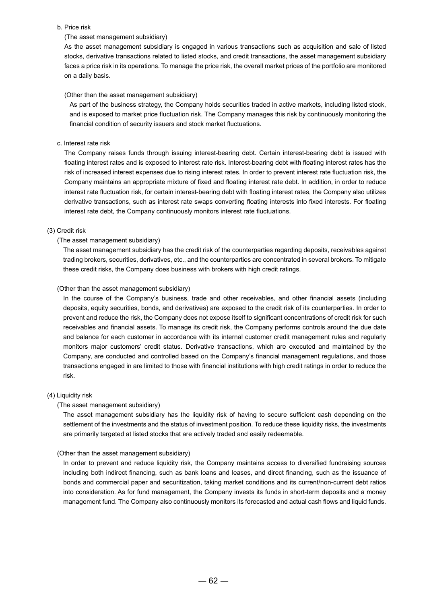### b. Price risk

### (The asset management subsidiary)

As the asset management subsidiary is engaged in various transactions such as acquisition and sale of listed stocks, derivative transactions related to listed stocks, and credit transactions, the asset management subsidiary faces a price risk in its operations. To manage the price risk, the overall market prices of the portfolio are monitored on a daily basis.

### (Other than the asset management subsidiary)

As part of the business strategy, the Company holds securities traded in active markets, including listed stock, and is exposed to market price fluctuation risk. The Company manages this risk by continuously monitoring the financial condition of security issuers and stock market fluctuations.

### c. Interest rate risk

The Company raises funds through issuing interest-bearing debt. Certain interest-bearing debt is issued with floating interest rates and is exposed to interest rate risk. Interest-bearing debt with floating interest rates has the risk of increased interest expenses due to rising interest rates. In order to prevent interest rate fluctuation risk, the Company maintains an appropriate mixture of fixed and floating interest rate debt. In addition, in order to reduce interest rate fluctuation risk, for certain interest-bearing debt with floating interest rates, the Company also utilizes derivative transactions, such as interest rate swaps converting floating interests into fixed interests. For floating interest rate debt, the Company continuously monitors interest rate fluctuations.

# (3) Credit risk

# (The asset management subsidiary)

The asset management subsidiary has the credit risk of the counterparties regarding deposits, receivables against trading brokers, securities, derivatives, etc., and the counterparties are concentrated in several brokers. To mitigate these credit risks, the Company does business with brokers with high credit ratings.

# (Other than the asset management subsidiary)

In the course of the Company's business, trade and other receivables, and other financial assets (including deposits, equity securities, bonds, and derivatives) are exposed to the credit risk of its counterparties. In order to prevent and reduce the risk, the Company does not expose itself to significant concentrations of credit risk for such receivables and financial assets. To manage its credit risk, the Company performs controls around the due date and balance for each customer in accordance with its internal customer credit management rules and regularly monitors major customers' credit status. Derivative transactions, which are executed and maintained by the Company, are conducted and controlled based on the Company's financial management regulations, and those transactions engaged in are limited to those with financial institutions with high credit ratings in order to reduce the risk.

### (4) Liquidity risk

# (The asset management subsidiary)

The asset management subsidiary has the liquidity risk of having to secure sufficient cash depending on the settlement of the investments and the status of investment position. To reduce these liquidity risks, the investments are primarily targeted at listed stocks that are actively traded and easily redeemable.

### (Other than the asset management subsidiary)

In order to prevent and reduce liquidity risk, the Company maintains access to diversified fundraising sources including both indirect financing, such as bank loans and leases, and direct financing, such as the issuance of bonds and commercial paper and securitization, taking market conditions and its current/non-current debt ratios into consideration. As for fund management, the Company invests its funds in short-term deposits and a money management fund. The Company also continuously monitors its forecasted and actual cash flows and liquid funds.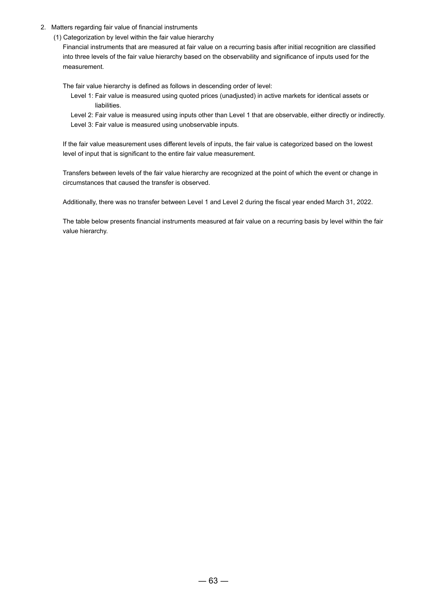- 2. Matters regarding fair value of financial instruments
	- (1) Categorization by level within the fair value hierarchy

Financial instruments that are measured at fair value on a recurring basis after initial recognition are classified into three levels of the fair value hierarchy based on the observability and significance of inputs used for the measurement.

The fair value hierarchy is defined as follows in descending order of level:

- Level 1: Fair value is measured using quoted prices (unadjusted) in active markets for identical assets or liabilities.
- Level 2: Fair value is measured using inputs other than Level 1 that are observable, either directly or indirectly. Level 3: Fair value is measured using unobservable inputs.

If the fair value measurement uses different levels of inputs, the fair value is categorized based on the lowest level of input that is significant to the entire fair value measurement.

Transfers between levels of the fair value hierarchy are recognized at the point of which the event or change in circumstances that caused the transfer is observed.

Additionally, there was no transfer between Level 1 and Level 2 during the fiscal year ended March 31, 2022.

The table below presents financial instruments measured at fair value on a recurring basis by level within the fair value hierarchy.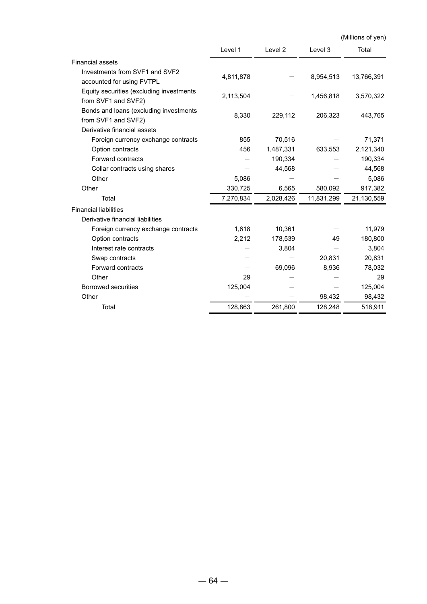|                                                                 |           |           |            | (Millions of yen) |
|-----------------------------------------------------------------|-----------|-----------|------------|-------------------|
|                                                                 | Level 1   | Level 2   | Level 3    | Total             |
| <b>Financial assets</b>                                         |           |           |            |                   |
| Investments from SVF1 and SVF2<br>accounted for using FVTPL     | 4,811,878 |           | 8,954,513  | 13,766,391        |
| Equity securities (excluding investments<br>from SVF1 and SVF2) | 2,113,504 |           | 1,456,818  | 3,570,322         |
| Bonds and loans (excluding investments<br>from SVF1 and SVF2)   | 8,330     | 229,112   | 206,323    | 443,765           |
| Derivative financial assets                                     |           |           |            |                   |
| Foreign currency exchange contracts                             | 855       | 70,516    |            | 71,371            |
| Option contracts                                                | 456       | 1,487,331 | 633,553    | 2,121,340         |
| Forward contracts                                               |           | 190,334   |            | 190,334           |
| Collar contracts using shares                                   |           | 44,568    |            | 44,568            |
| Other                                                           | 5,086     |           |            | 5,086             |
| Other                                                           | 330,725   | 6,565     | 580,092    | 917,382           |
| Total                                                           | 7,270,834 | 2,028,426 | 11,831,299 | 21,130,559        |
| <b>Financial liabilities</b>                                    |           |           |            |                   |
| Derivative financial liabilities                                |           |           |            |                   |
| Foreign currency exchange contracts                             | 1,618     | 10,361    |            | 11,979            |
| Option contracts                                                | 2,212     | 178,539   | 49         | 180,800           |
| Interest rate contracts                                         |           | 3,804     |            | 3,804             |
| Swap contracts                                                  |           |           | 20,831     | 20,831            |
| Forward contracts                                               |           | 69,096    | 8,936      | 78,032            |
| Other                                                           | 29        |           |            | 29                |
| <b>Borrowed securities</b>                                      | 125,004   |           |            | 125,004           |
| Other                                                           |           |           | 98,432     | 98,432            |
| Total                                                           | 128,863   | 261,800   | 128,248    | 518,911           |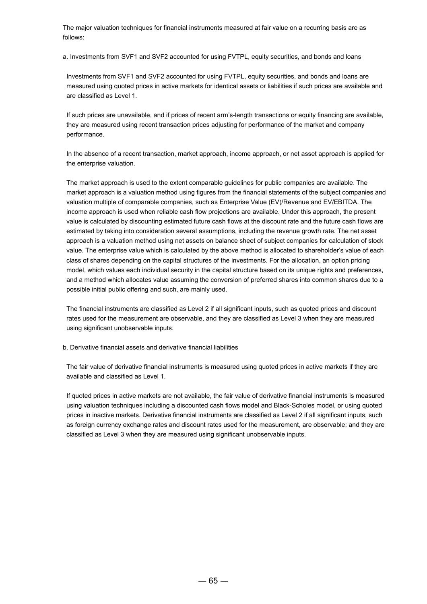The major valuation techniques for financial instruments measured at fair value on a recurring basis are as follows:

a. Investments from SVF1 and SVF2 accounted for using FVTPL, equity securities, and bonds and loans

Investments from SVF1 and SVF2 accounted for using FVTPL, equity securities, and bonds and loans are measured using quoted prices in active markets for identical assets or liabilities if such prices are available and are classified as Level 1.

If such prices are unavailable, and if prices of recent arm's-length transactions or equity financing are available, they are measured using recent transaction prices adjusting for performance of the market and company performance.

In the absence of a recent transaction, market approach, income approach, or net asset approach is applied for the enterprise valuation.

The market approach is used to the extent comparable guidelines for public companies are available. The market approach is a valuation method using figures from the financial statements of the subject companies and valuation multiple of comparable companies, such as Enterprise Value (EV)/Revenue and EV/EBITDA. The income approach is used when reliable cash flow projections are available. Under this approach, the present value is calculated by discounting estimated future cash flows at the discount rate and the future cash flows are estimated by taking into consideration several assumptions, including the revenue growth rate. The net asset approach is a valuation method using net assets on balance sheet of subject companies for calculation of stock value. The enterprise value which is calculated by the above method is allocated to shareholder's value of each class of shares depending on the capital structures of the investments. For the allocation, an option pricing model, which values each individual security in the capital structure based on its unique rights and preferences, and a method which allocates value assuming the conversion of preferred shares into common shares due to a possible initial public offering and such, are mainly used.

The financial instruments are classified as Level 2 if all significant inputs, such as quoted prices and discount rates used for the measurement are observable, and they are classified as Level 3 when they are measured using significant unobservable inputs.

#### b. Derivative financial assets and derivative financial liabilities

The fair value of derivative financial instruments is measured using quoted prices in active markets if they are available and classified as Level 1.

If quoted prices in active markets are not available, the fair value of derivative financial instruments is measured using valuation techniques including a discounted cash flows model and Black-Scholes model, or using quoted prices in inactive markets. Derivative financial instruments are classified as Level 2 if all significant inputs, such as foreign currency exchange rates and discount rates used for the measurement, are observable; and they are classified as Level 3 when they are measured using significant unobservable inputs.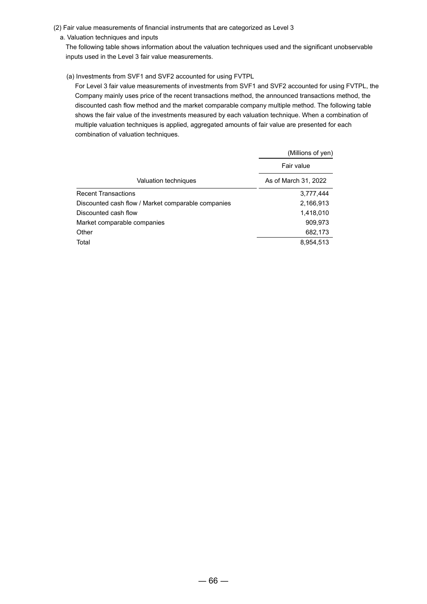(2) Fair value measurements of financial instruments that are categorized as Level 3

### a. Valuation techniques and inputs

The following table shows information about the valuation techniques used and the significant unobservable inputs used in the Level 3 fair value measurements.

### (a) Investments from SVF1 and SVF2 accounted for using FVTPL

For Level 3 fair value measurements of investments from SVF1 and SVF2 accounted for using FVTPL, the Company mainly uses price of the recent transactions method, the announced transactions method, the discounted cash flow method and the market comparable company multiple method. The following table shows the fair value of the investments measured by each valuation technique. When a combination of multiple valuation techniques is applied, aggregated amounts of fair value are presented for each combination of valuation techniques.

|                                                    | (Millions of yen)    |
|----------------------------------------------------|----------------------|
|                                                    | Fair value           |
| Valuation techniques                               | As of March 31, 2022 |
| <b>Recent Transactions</b>                         | 3,777,444            |
| Discounted cash flow / Market comparable companies | 2,166,913            |
| Discounted cash flow                               | 1,418,010            |
| Market comparable companies                        | 909,973              |
| Other                                              | 682,173              |
| Total                                              | 8,954,513            |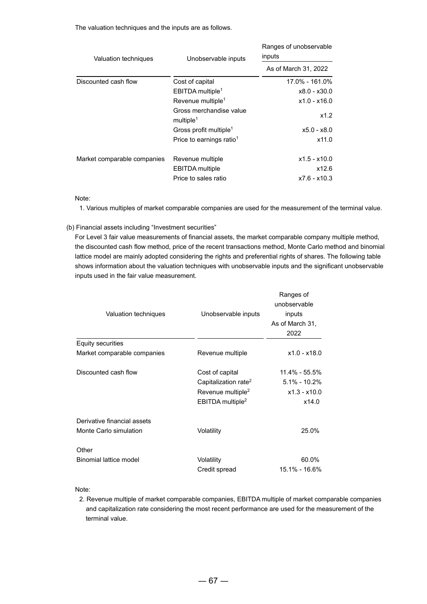The valuation techniques and the inputs are as follows.

| Valuation techniques        | Unobservable inputs                                                | Ranges of unobservable<br>inputs          |  |
|-----------------------------|--------------------------------------------------------------------|-------------------------------------------|--|
|                             |                                                                    | As of March 31, 2022                      |  |
| Discounted cash flow        | Cost of capital                                                    | 17.0% - 161.0%                            |  |
|                             | EBITDA multiple <sup>1</sup>                                       | x8.0 - x30.0                              |  |
|                             | Revenue multiple <sup>1</sup>                                      | $x1.0 - x16.0$                            |  |
|                             | Gross merchandise value<br>multiple <sup>1</sup>                   | x1.2                                      |  |
|                             | Gross profit multiple <sup>1</sup>                                 | x5.0 - x8.0                               |  |
|                             | Price to earnings ratio <sup>1</sup>                               | x11.0                                     |  |
| Market comparable companies | Revenue multiple<br><b>EBITDA</b> multiple<br>Price to sales ratio | $x1.5 - x10.0$<br>x12.6<br>$x7.6 - x10.3$ |  |
|                             |                                                                    |                                           |  |

Note:

1. Various multiples of market comparable companies are used for the measurement of the terminal value.

#### (b) Financial assets including "Investment securities"

For Level 3 fair value measurements of financial assets, the market comparable company multiple method, the discounted cash flow method, price of the recent transactions method, Monte Carlo method and binomial lattice model are mainly adopted considering the rights and preferential rights of shares. The following table shows information about the valuation techniques with unobservable inputs and the significant unobservable inputs used in the fair value measurement.

| Valuation techniques        | Unobservable inputs              | Ranges of<br>unobservable<br>inputs<br>As of March 31,<br>2022 |
|-----------------------------|----------------------------------|----------------------------------------------------------------|
| <b>Equity securities</b>    |                                  |                                                                |
| Market comparable companies | Revenue multiple                 | $x1.0 - x18.0$                                                 |
| Discounted cash flow        | Cost of capital                  | 11.4% - 55.5%                                                  |
|                             | Capitalization rate <sup>2</sup> | $5.1\% - 10.2\%$                                               |
|                             | Revenue multiple <sup>2</sup>    | $x1.3 - x10.0$                                                 |
|                             | EBITDA multiple <sup>2</sup>     | x14.0                                                          |
| Derivative financial assets |                                  |                                                                |
| Monte Carlo simulation      | Volatility                       | 25.0%                                                          |
| Other                       |                                  |                                                                |
| Binomial lattice model      | Volatility                       | 60.0%                                                          |
|                             | Credit spread                    | 15.1% - 16.6%                                                  |

Note:

2. Revenue multiple of market comparable companies, EBITDA multiple of market comparable companies and capitalization rate considering the most recent performance are used for the measurement of the terminal value.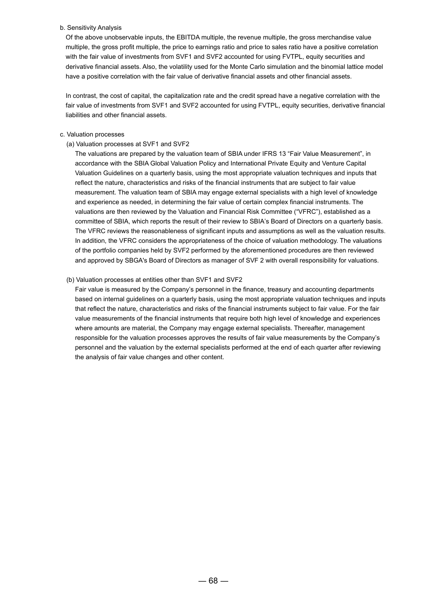### b. Sensitivity Analysis

Of the above unobservable inputs, the EBITDA multiple, the revenue multiple, the gross merchandise value multiple, the gross profit multiple, the price to earnings ratio and price to sales ratio have a positive correlation with the fair value of investments from SVF1 and SVF2 accounted for using FVTPL, equity securities and derivative financial assets. Also, the volatility used for the Monte Carlo simulation and the binomial lattice model have a positive correlation with the fair value of derivative financial assets and other financial assets.

In contrast, the cost of capital, the capitalization rate and the credit spread have a negative correlation with the fair value of investments from SVF1 and SVF2 accounted for using FVTPL, equity securities, derivative financial liabilities and other financial assets.

### c. Valuation processes

(a) Valuation processes at SVF1 and SVF2

The valuations are prepared by the valuation team of SBIA under IFRS 13 "Fair Value Measurement", in accordance with the SBIA Global Valuation Policy and International Private Equity and Venture Capital Valuation Guidelines on a quarterly basis, using the most appropriate valuation techniques and inputs that reflect the nature, characteristics and risks of the financial instruments that are subject to fair value measurement. The valuation team of SBIA may engage external specialists with a high level of knowledge and experience as needed, in determining the fair value of certain complex financial instruments. The valuations are then reviewed by the Valuation and Financial Risk Committee ("VFRC"), established as a committee of SBIA, which reports the result of their review to SBIA's Board of Directors on a quarterly basis. The VFRC reviews the reasonableness of significant inputs and assumptions as well as the valuation results. In addition, the VFRC considers the appropriateness of the choice of valuation methodology. The valuations of the portfolio companies held by SVF2 performed by the aforementioned procedures are then reviewed and approved by SBGA's Board of Directors as manager of SVF 2 with overall responsibility for valuations.

### (b) Valuation processes at entities other than SVF1 and SVF2

Fair value is measured by the Company's personnel in the finance, treasury and accounting departments based on internal guidelines on a quarterly basis, using the most appropriate valuation techniques and inputs that reflect the nature, characteristics and risks of the financial instruments subject to fair value. For the fair value measurements of the financial instruments that require both high level of knowledge and experiences where amounts are material, the Company may engage external specialists. Thereafter, management responsible for the valuation processes approves the results of fair value measurements by the Company's personnel and the valuation by the external specialists performed at the end of each quarter after reviewing the analysis of fair value changes and other content.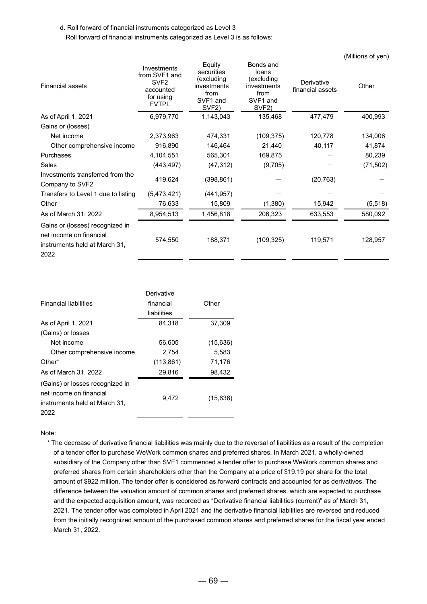### d. Roll forward of financial instruments categorized as Level 3

Roll forward of financial instruments categorized as Level 3 is as follows:

|                                                                                                     |                                                                                            |                                                                                                         |                                                                                                       |                                | (Millions of yen) |
|-----------------------------------------------------------------------------------------------------|--------------------------------------------------------------------------------------------|---------------------------------------------------------------------------------------------------------|-------------------------------------------------------------------------------------------------------|--------------------------------|-------------------|
| <b>Financial assets</b>                                                                             | Investments<br>from SVF1 and<br>SVF <sub>2</sub><br>accounted<br>for using<br><b>FVTPL</b> | Equity<br>securities<br>(excluding<br>investments<br>from<br>SVF <sub>1</sub> and<br>SVF <sub>2</sub> ) | Bonds and<br>loans<br>(excluding<br>investments<br>from<br>SVF <sub>1</sub> and<br>SVF <sub>2</sub> ) | Derivative<br>financial assets | Other             |
| As of April 1, 2021                                                                                 | 6,979,770                                                                                  | 1,143,043                                                                                               | 135,468                                                                                               | 477,479                        | 400,993           |
| Gains or (losses)                                                                                   |                                                                                            |                                                                                                         |                                                                                                       |                                |                   |
| Net income                                                                                          | 2,373,963                                                                                  | 474,331                                                                                                 | (109, 375)                                                                                            | 120,778                        | 134,006           |
| Other comprehensive income                                                                          | 916,890                                                                                    | 146,464                                                                                                 | 21,440                                                                                                | 40,117                         | 41,874            |
| Purchases                                                                                           | 4,104,551                                                                                  | 565,301                                                                                                 | 169,875                                                                                               |                                | 80,239            |
| Sales                                                                                               | (443, 497)                                                                                 | (47, 312)                                                                                               | (9,705)                                                                                               |                                | (71, 502)         |
| Investments transferred from the<br>Company to SVF2                                                 | 419,624                                                                                    | (398, 861)                                                                                              |                                                                                                       | (20, 763)                      |                   |
| Transfers to Level 1 due to listing                                                                 | (5,473,421)                                                                                | (441, 957)                                                                                              |                                                                                                       |                                |                   |
| Other                                                                                               | 76,633                                                                                     | 15,809                                                                                                  | (1,380)                                                                                               | 15,942                         | (5, 518)          |
| As of March 31, 2022                                                                                | 8,954,513                                                                                  | 1,456,818                                                                                               | 206,323                                                                                               | 633,553                        | 580,092           |
| Gains or (losses) recognized in<br>net income on financial<br>instruments held at March 31,<br>2022 | 574,550                                                                                    | 188,371                                                                                                 | (109, 325)                                                                                            | 119,571                        | 128,957           |

|                                 | Derivative  |          |
|---------------------------------|-------------|----------|
| <b>Financial liabilities</b>    | financial   | Other    |
|                                 | liabilities |          |
| As of April 1, 2021             | 84.318      | 37,309   |
| (Gains) or losses               |             |          |
| Net income                      | 56.605      | (15,636) |
| Other comprehensive income      | 2,754       | 5,583    |
| Other*                          | (113, 861)  | 71,176   |
| As of March 31, 2022            | 29,816      | 98,432   |
| (Gains) or losses recognized in |             |          |
| net income on financial         | 9,472       | (15,636) |
| instruments held at March 31,   |             |          |
| 2022                            |             |          |

### Note:

\* The decrease of derivative financial liabilities was mainly due to the reversal of liabilities as a result of the completion of a tender offer to purchase WeWork common shares and preferred shares. In March 2021, a wholly-owned subsidiary of the Company other than SVF1 commenced a tender offer to purchase WeWork common shares and preferred shares from certain shareholders other than the Company at a price of \$19.19 per share for the total amount of \$922 million. The tender offer is considered as forward contracts and accounted for as derivatives. The difference between the valuation amount of common shares and preferred shares, which are expected to purchase and the expected acquisition amount, was recorded as "Derivative financial liabilities (current)" as of March 31, 2021. The tender offer was completed in April 2021 and the derivative financial liabilities are reversed and reduced from the initially recognized amount of the purchased common shares and preferred shares for the fiscal year ended March 31, 2022.

 $-69-$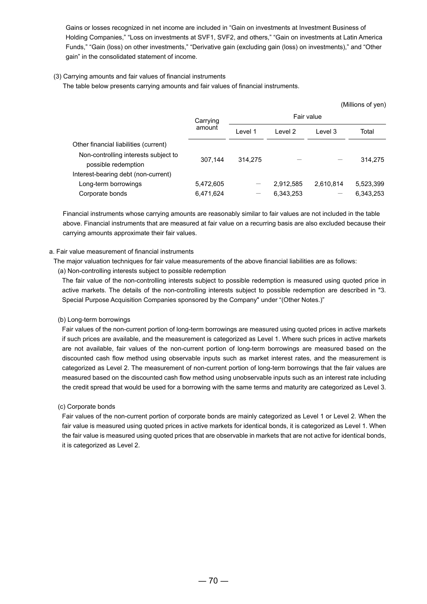Gains or losses recognized in net income are included in "Gain on investments at Investment Business of Holding Companies," "Loss on investments at SVF1, SVF2, and others," "Gain on investments at Latin America Funds," "Gain (loss) on other investments," "Derivative gain (excluding gain (loss) on investments)," and "Other gain" in the consolidated statement of income.

# (3) Carrying amounts and fair values of financial instruments

The table below presents carrying amounts and fair values of financial instruments.

|                                                             |                    |            |           |           | (Millions of yen) |
|-------------------------------------------------------------|--------------------|------------|-----------|-----------|-------------------|
|                                                             | Carrying<br>amount | Fair value |           |           |                   |
|                                                             |                    | Level 1    | Level 2   | Level 3   | Total             |
| Other financial liabilities (current)                       |                    |            |           |           |                   |
| Non-controlling interests subject to<br>possible redemption | 307.144            | 314.275    |           |           | 314.275           |
| Interest-bearing debt (non-current)                         |                    |            |           |           |                   |
| Long-term borrowings                                        | 5,472,605          |            | 2,912,585 | 2,610,814 | 5,523,399         |
| Corporate bonds                                             | 6,471,624          |            | 6,343,253 |           | 6,343,253         |

Financial instruments whose carrying amounts are reasonably similar to fair values are not included in the table above. Financial instruments that are measured at fair value on a recurring basis are also excluded because their carrying amounts approximate their fair values.

# a. Fair value measurement of financial instruments

The major valuation techniques for fair value measurements of the above financial liabilities are as follows:

(a) Non-controlling interests subject to possible redemption

The fair value of the non-controlling interests subject to possible redemption is measured using quoted price in active markets. The details of the non-controlling interests subject to possible redemption are described in "3. Special Purpose Acquisition Companies sponsored by the Company" under "(Other Notes.)"

### (b) Long-term borrowings

Fair values of the non-current portion of long-term borrowings are measured using quoted prices in active markets if such prices are available, and the measurement is categorized as Level 1. Where such prices in active markets are not available, fair values of the non-current portion of long-term borrowings are measured based on the discounted cash flow method using observable inputs such as market interest rates, and the measurement is categorized as Level 2. The measurement of non-current portion of long-term borrowings that the fair values are measured based on the discounted cash flow method using unobservable inputs such as an interest rate including the credit spread that would be used for a borrowing with the same terms and maturity are categorized as Level 3.

# (c) Corporate bonds

Fair values of the non-current portion of corporate bonds are mainly categorized as Level 1 or Level 2. When the fair value is measured using quoted prices in active markets for identical bonds, it is categorized as Level 1. When the fair value is measured using quoted prices that are observable in markets that are not active for identical bonds, it is categorized as Level 2.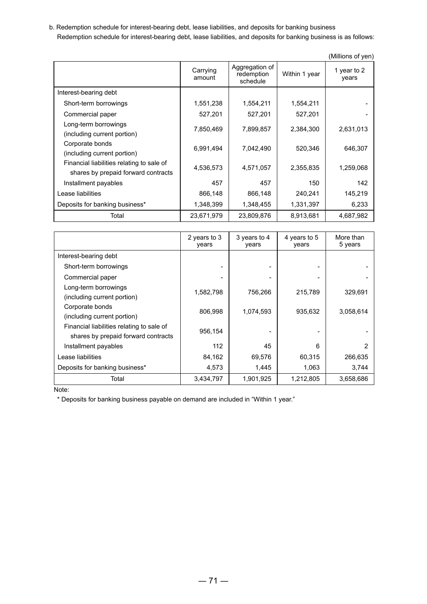b. Redemption schedule for interest-bearing debt, lease liabilities, and deposits for banking business Redemption schedule for interest-bearing debt, lease liabilities, and deposits for banking business is as follows:

|                                                                                  |                    |                                          |               | (Millions of yen)    |
|----------------------------------------------------------------------------------|--------------------|------------------------------------------|---------------|----------------------|
|                                                                                  | Carrying<br>amount | Aggregation of<br>redemption<br>schedule | Within 1 year | 1 year to 2<br>years |
| Interest-bearing debt                                                            |                    |                                          |               |                      |
| Short-term borrowings                                                            | 1,551,238          | 1,554,211                                | 1,554,211     |                      |
| Commercial paper                                                                 | 527,201            | 527,201                                  | 527,201       |                      |
| Long-term borrowings<br>(including current portion)                              | 7,850,469          | 7,899,857                                | 2,384,300     | 2,631,013            |
| Corporate bonds<br>(including current portion)                                   | 6,991,494          | 7,042,490                                | 520,346       | 646,307              |
| Financial liabilities relating to sale of<br>shares by prepaid forward contracts | 4,536,573          | 4,571,057                                | 2,355,835     | 1,259,068            |
| Installment payables                                                             | 457                | 457                                      | 150           | 142                  |
| Lease liabilities                                                                | 866,148            | 866,148                                  | 240,241       | 145,219              |
| Deposits for banking business*                                                   | 1,348,399          | 1,348,455                                | 1,331,397     | 6,233                |
| Total                                                                            | 23,671,979         | 23,809,876                               | 8,913,681     | 4,687,982            |

|                                                                                  | 2 years to 3<br>years | 3 years to 4<br>years | 4 years to 5<br>years | More than<br>5 years |
|----------------------------------------------------------------------------------|-----------------------|-----------------------|-----------------------|----------------------|
| Interest-bearing debt                                                            |                       |                       |                       |                      |
| Short-term borrowings                                                            |                       |                       |                       |                      |
| Commercial paper                                                                 |                       |                       |                       |                      |
| Long-term borrowings<br>(including current portion)                              | 1,582,798             | 756,266               | 215,789               | 329.691              |
| Corporate bonds<br>(including current portion)                                   | 806,998               | 1,074,593             | 935,632               | 3,058,614            |
| Financial liabilities relating to sale of<br>shares by prepaid forward contracts | 956,154               |                       |                       |                      |
| Installment payables                                                             | 112                   | 45                    | 6                     | 2                    |
| Lease liabilities                                                                | 84,162                | 69,576                | 60,315                | 266,635              |
| Deposits for banking business*                                                   | 4,573                 | 1,445                 | 1,063                 | 3,744                |
| Total                                                                            | 3,434,797             | 1,901,925             | 1,212,805             | 3,658,686            |

Note:

\* Deposits for banking business payable on demand are included in "Within 1 year."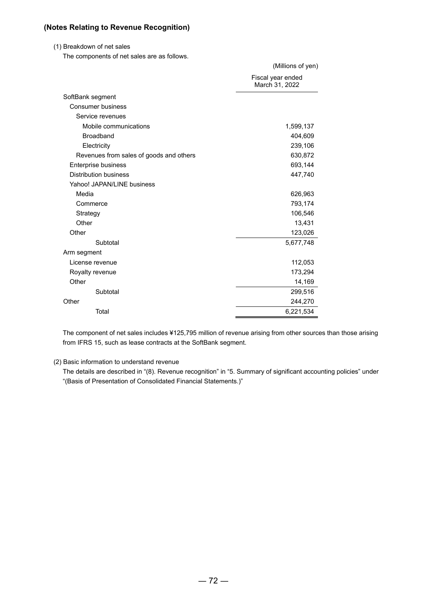# **(Notes Relating to Revenue Recognition)**

(1) Breakdown of net sales

The components of net sales are as follows.

|                                         | (Millions of yen)                   |
|-----------------------------------------|-------------------------------------|
|                                         | Fiscal year ended<br>March 31, 2022 |
| SoftBank segment                        |                                     |
| <b>Consumer business</b>                |                                     |
| Service revenues                        |                                     |
| Mobile communications                   | 1,599,137                           |
| <b>Broadband</b>                        | 404,609                             |
| Electricity                             | 239,106                             |
| Revenues from sales of goods and others | 630,872                             |
| Enterprise business                     | 693,144                             |
| <b>Distribution business</b>            | 447,740                             |
| Yahoo! JAPAN/LINE business              |                                     |
| Media                                   | 626,963                             |
| Commerce                                | 793,174                             |
| Strategy                                | 106,546                             |
| Other                                   | 13,431                              |
| Other                                   | 123,026                             |
| Subtotal                                | 5,677,748                           |
| Arm segment                             |                                     |
| License revenue                         | 112,053                             |
| Royalty revenue                         | 173,294                             |
| Other                                   | 14,169                              |
| Subtotal                                | 299,516                             |
| Other                                   | 244,270                             |
| Total                                   | 6,221,534                           |

The component of net sales includes ¥125,795 million of revenue arising from other sources than those arising from IFRS 15, such as lease contracts at the SoftBank segment.

### (2) Basic information to understand revenue

The details are described in "(8). Revenue recognition" in "5. Summary of significant accounting policies" under "(Basis of Presentation of Consolidated Financial Statements.)"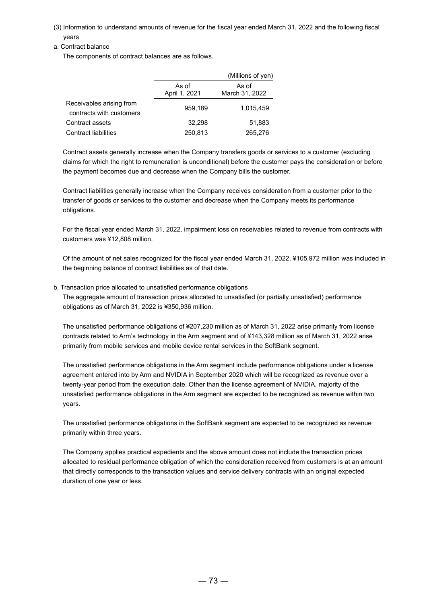(3) Information to understand amounts of revenue for the fiscal year ended March 31, 2022 and the following fiscal years

# a. Contract balance

The components of contract balances are as follows.

|                                                      |                        | (Millions of yen)       |
|------------------------------------------------------|------------------------|-------------------------|
|                                                      | As of<br>April 1, 2021 | As of<br>March 31, 2022 |
| Receivables arising from<br>contracts with customers | 959,189                | 1,015,459               |
| Contract assets                                      | 32,298                 | 51,883                  |
| <b>Contract liabilities</b>                          | 250,813                | 265,276                 |

Contract assets generally increase when the Company transfers goods or services to a customer (excluding claims for which the right to remuneration is unconditional) before the customer pays the consideration or before the payment becomes due and decrease when the Company bills the customer.

Contract liabilities generally increase when the Company receives consideration from a customer prior to the transfer of goods or services to the customer and decrease when the Company meets its performance obligations.

For the fiscal year ended March 31, 2022, impairment loss on receivables related to revenue from contracts with customers was ¥12,808 million.

Of the amount of net sales recognized for the fiscal year ended March 31, 2022, ¥105,972 million was included in the beginning balance of contract liabilities as of that date.

## b. Transaction price allocated to unsatisfied performance obligations

The aggregate amount of transaction prices allocated to unsatisfied (or partially unsatisfied) performance obligations as of March 31, 2022 is ¥350,936 million.

The unsatisfied performance obligations of ¥207,230 million as of March 31, 2022 arise primarily from license contracts related to Arm's technology in the Arm segment and of ¥143,328 million as of March 31, 2022 arise primarily from mobile services and mobile device rental services in the SoftBank segment.

The unsatisfied performance obligations in the Arm segment include performance obligations under a license agreement entered into by Arm and NVIDIA in September 2020 which will be recognized as revenue over a twenty-year period from the execution date. Other than the license agreement of NVIDIA, majority of the unsatisfied performance obligations in the Arm segment are expected to be recognized as revenue within two years.

The unsatisfied performance obligations in the SoftBank segment are expected to be recognized as revenue primarily within three years.

The Company applies practical expedients and the above amount does not include the transaction prices allocated to residual performance obligation of which the consideration received from customers is at an amount that directly corresponds to the transaction values and service delivery contracts with an original expected duration of one year or less.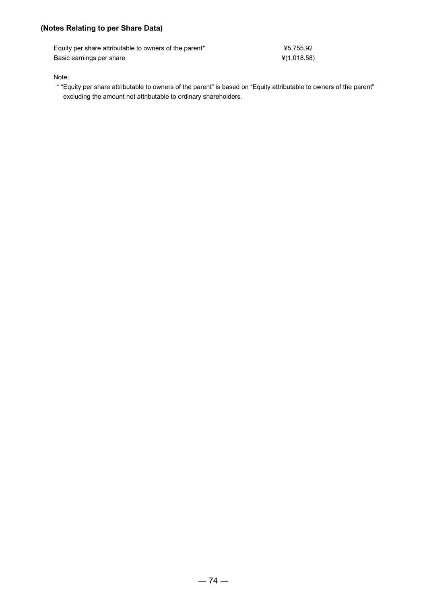# **(Notes Relating to per Share Data)**

| Equity per share attributable to owners of the parent* | ¥5.755.92   |
|--------------------------------------------------------|-------------|
| Basic earnings per share                               | ¥(1,018.58) |

Note:

\* "Equity per share attributable to owners of the parent" is based on "Equity attributable to owners of the parent" excluding the amount not attributable to ordinary shareholders.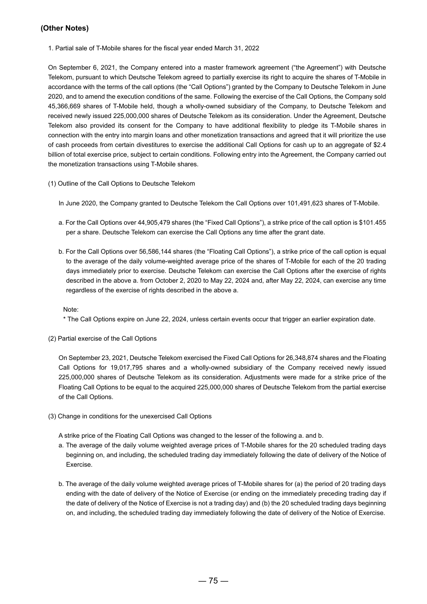# **(Other Notes)**

1. Partial sale of T-Mobile shares for the fiscal year ended March 31, 2022

On September 6, 2021, the Company entered into a master framework agreement ("the Agreement") with Deutsche Telekom, pursuant to which Deutsche Telekom agreed to partially exercise its right to acquire the shares of T-Mobile in accordance with the terms of the call options (the "Call Options") granted by the Company to Deutsche Telekom in June 2020, and to amend the execution conditions of the same. Following the exercise of the Call Options, the Company sold 45,366,669 shares of T-Mobile held, though a wholly-owned subsidiary of the Company, to Deutsche Telekom and received newly issued 225,000,000 shares of Deutsche Telekom as its consideration. Under the Agreement, Deutsche Telekom also provided its consent for the Company to have additional flexibility to pledge its T-Mobile shares in connection with the entry into margin loans and other monetization transactions and agreed that it will prioritize the use of cash proceeds from certain divestitures to exercise the additional Call Options for cash up to an aggregate of \$2.4 billion of total exercise price, subject to certain conditions. Following entry into the Agreement, the Company carried out the monetization transactions using T-Mobile shares.

- (1) Outline of the Call Options to Deutsche Telekom
	- In June 2020, the Company granted to Deutsche Telekom the Call Options over 101,491,623 shares of T-Mobile.
	- a. For the Call Options over 44,905,479 shares (the "Fixed Call Options"), a strike price of the call option is \$101.455 per a share. Deutsche Telekom can exercise the Call Options any time after the grant date.
	- b. For the Call Options over 56,586,144 shares (the "Floating Call Options"), a strike price of the call option is equal to the average of the daily volume-weighted average price of the shares of T-Mobile for each of the 20 trading days immediately prior to exercise. Deutsche Telekom can exercise the Call Options after the exercise of rights described in the above a. from October 2, 2020 to May 22, 2024 and, after May 22, 2024, can exercise any time regardless of the exercise of rights described in the above a.

## Note:

\* The Call Options expire on June 22, 2024, unless certain events occur that trigger an earlier expiration date.

(2) Partial exercise of the Call Options

On September 23, 2021, Deutsche Telekom exercised the Fixed Call Options for 26,348,874 shares and the Floating Call Options for 19,017,795 shares and a wholly-owned subsidiary of the Company received newly issued 225,000,000 shares of Deutsche Telekom as its consideration. Adjustments were made for a strike price of the Floating Call Options to be equal to the acquired 225,000,000 shares of Deutsche Telekom from the partial exercise of the Call Options.

(3) Change in conditions for the unexercised Call Options

A strike price of the Floating Call Options was changed to the lesser of the following a. and b.

- a. The average of the daily volume weighted average prices of T-Mobile shares for the 20 scheduled trading days beginning on, and including, the scheduled trading day immediately following the date of delivery of the Notice of Exercise.
- b. The average of the daily volume weighted average prices of T-Mobile shares for (a) the period of 20 trading days ending with the date of delivery of the Notice of Exercise (or ending on the immediately preceding trading day if the date of delivery of the Notice of Exercise is not a trading day) and (b) the 20 scheduled trading days beginning on, and including, the scheduled trading day immediately following the date of delivery of the Notice of Exercise.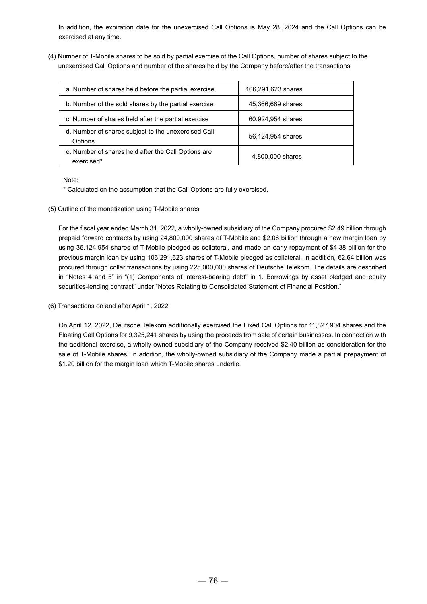In addition, the expiration date for the unexercised Call Options is May 28, 2024 and the Call Options can be exercised at any time.

(4) Number of T-Mobile shares to be sold by partial exercise of the Call Options, number of shares subject to the unexercised Call Options and number of the shares held by the Company before/after the transactions

| a. Number of shares held before the partial exercise              | 106,291,623 shares |
|-------------------------------------------------------------------|--------------------|
| b. Number of the sold shares by the partial exercise              | 45,366,669 shares  |
| c. Number of shares held after the partial exercise               | 60,924,954 shares  |
| d. Number of shares subject to the unexercised Call<br>Options    | 56,124,954 shares  |
| e. Number of shares held after the Call Options are<br>exercised* | 4,800,000 shares   |

Note**:** 

\* Calculated on the assumption that the Call Options are fully exercised.

(5) Outline of the monetization using T-Mobile shares

For the fiscal year ended March 31, 2022, a wholly-owned subsidiary of the Company procured \$2.49 billion through prepaid forward contracts by using 24,800,000 shares of T-Mobile and \$2.06 billion through a new margin loan by using 36,124,954 shares of T-Mobile pledged as collateral, and made an early repayment of \$4.38 billion for the previous margin loan by using 106,291,623 shares of T-Mobile pledged as collateral. In addition, €2.64 billion was procured through collar transactions by using 225,000,000 shares of Deutsche Telekom. The details are described in "Notes 4 and 5" in "(1) Components of interest-bearing debt" in 1. Borrowings by asset pledged and equity securities-lending contract" under "Notes Relating to Consolidated Statement of Financial Position."

(6) Transactions on and after April 1, 2022

On April 12, 2022, Deutsche Telekom additionally exercised the Fixed Call Options for 11,827,904 shares and the Floating Call Options for 9,325,241 shares by using the proceeds from sale of certain businesses. In connection with the additional exercise, a wholly-owned subsidiary of the Company received \$2.40 billion as consideration for the sale of T-Mobile shares. In addition, the wholly-owned subsidiary of the Company made a partial prepayment of \$1.20 billion for the margin loan which T-Mobile shares underlie.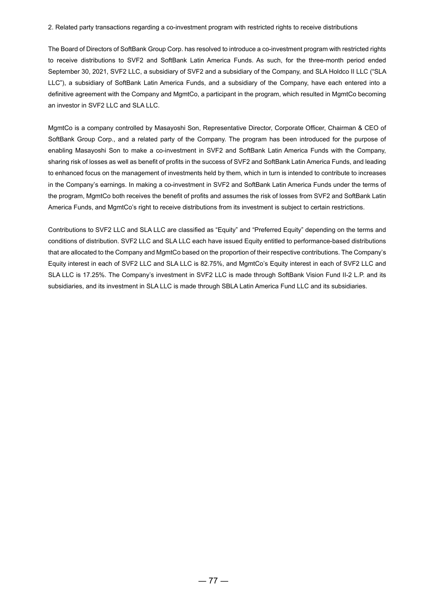### 2. Related party transactions regarding a co-investment program with restricted rights to receive distributions

The Board of Directors of SoftBank Group Corp. has resolved to introduce a co-investment program with restricted rights to receive distributions to SVF2 and SoftBank Latin America Funds. As such, for the three-month period ended September 30, 2021, SVF2 LLC, a subsidiary of SVF2 and a subsidiary of the Company, and SLA Holdco II LLC ("SLA LLC"), a subsidiary of SoftBank Latin America Funds, and a subsidiary of the Company, have each entered into a definitive agreement with the Company and MgmtCo, a participant in the program, which resulted in MgmtCo becoming an investor in SVF2 LLC and SLA LLC.

MgmtCo is a company controlled by Masayoshi Son, Representative Director, Corporate Officer, Chairman & CEO of SoftBank Group Corp., and a related party of the Company. The program has been introduced for the purpose of enabling Masayoshi Son to make a co-investment in SVF2 and SoftBank Latin America Funds with the Company, sharing risk of losses as well as benefit of profits in the success of SVF2 and SoftBank Latin America Funds, and leading to enhanced focus on the management of investments held by them, which in turn is intended to contribute to increases in the Company's earnings. In making a co-investment in SVF2 and SoftBank Latin America Funds under the terms of the program, MgmtCo both receives the benefit of profits and assumes the risk of losses from SVF2 and SoftBank Latin America Funds, and MgmtCo's right to receive distributions from its investment is subject to certain restrictions.

Contributions to SVF2 LLC and SLA LLC are classified as "Equity" and "Preferred Equity" depending on the terms and conditions of distribution. SVF2 LLC and SLA LLC each have issued Equity entitled to performance-based distributions that are allocated to the Company and MgmtCo based on the proportion of their respective contributions. The Company's Equity interest in each of SVF2 LLC and SLA LLC is 82.75%, and MgmtCo's Equity interest in each of SVF2 LLC and SLA LLC is 17.25%. The Company's investment in SVF2 LLC is made through SoftBank Vision Fund II-2 L.P. and its subsidiaries, and its investment in SLA LLC is made through SBLA Latin America Fund LLC and its subsidiaries.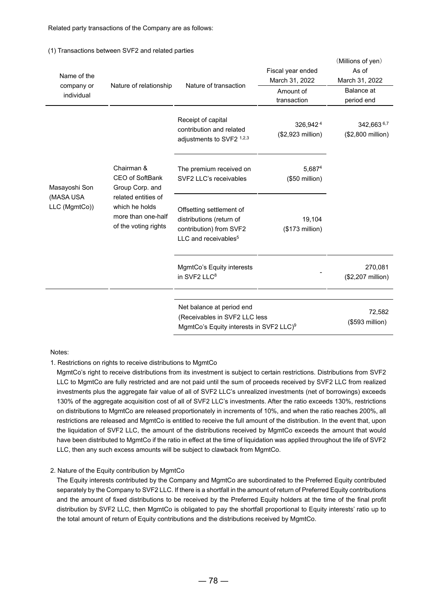Related party transactions of the Company are as follows:

### (1) Transactions between SVF2 and related parties

| Nature of relationship                                                                                                                  | Nature of transaction                                                                                               | Fiscal year ended<br>March 31, 2022<br>Amount of<br>transaction | (Millions of yen)<br>As of<br>March 31, 2022<br>Balance at<br>period end             |
|-----------------------------------------------------------------------------------------------------------------------------------------|---------------------------------------------------------------------------------------------------------------------|-----------------------------------------------------------------|--------------------------------------------------------------------------------------|
| Chairman &<br>CEO of SoftBank<br>Group Corp. and<br>related entities of<br>which he holds<br>more than one-half<br>of the voting rights | Receipt of capital<br>contribution and related<br>adjustments to SVF2 1,2,3                                         | 326,9424<br>(\$2,923 million)                                   | 342,663 6,7<br>(\$2,800 million)                                                     |
|                                                                                                                                         | The premium received on<br>SVF2 LLC's receivables                                                                   | 5,6874<br>(\$50 million)                                        |                                                                                      |
|                                                                                                                                         | Offsetting settlement of<br>distributions (return of<br>contribution) from SVF2<br>LLC and receivables <sup>5</sup> | 19,104<br>$($173$ million)                                      |                                                                                      |
|                                                                                                                                         | MgmtCo's Equity interests<br>in SVF2 LLC <sup>8</sup>                                                               |                                                                 | 270,081<br>(\$2,207 million)                                                         |
|                                                                                                                                         |                                                                                                                     |                                                                 |                                                                                      |
|                                                                                                                                         | Net balance at period end                                                                                           |                                                                 | 72,582<br>(\$593 million)                                                            |
|                                                                                                                                         |                                                                                                                     |                                                                 | (Receivables in SVF2 LLC less<br>MgmtCo's Equity interests in SVF2 LLC) <sup>9</sup> |

Notes:

1. Restrictions on rights to receive distributions to MamtCo

MgmtCo's right to receive distributions from its investment is subject to certain restrictions. Distributions from SVF2 LLC to MgmtCo are fully restricted and are not paid until the sum of proceeds received by SVF2 LLC from realized investments plus the aggregate fair value of all of SVF2 LLC's unrealized investments (net of borrowings) exceeds 130% of the aggregate acquisition cost of all of SVF2 LLC's investments. After the ratio exceeds 130%, restrictions on distributions to MgmtCo are released proportionately in increments of 10%, and when the ratio reaches 200%, all restrictions are released and MgmtCo is entitled to receive the full amount of the distribution. In the event that, upon the liquidation of SVF2 LLC, the amount of the distributions received by MgmtCo exceeds the amount that would have been distributed to MgmtCo if the ratio in effect at the time of liquidation was applied throughout the life of SVF2 LLC, then any such excess amounts will be subject to clawback from MgmtCo.

## 2. Nature of the Equity contribution by MgmtCo

The Equity interests contributed by the Company and MgmtCo are subordinated to the Preferred Equity contributed separately by the Company to SVF2 LLC. If there is a shortfall in the amount of return of Preferred Equity contributions and the amount of fixed distributions to be received by the Preferred Equity holders at the time of the final profit distribution by SVF2 LLC, then MgmtCo is obligated to pay the shortfall proportional to Equity interests' ratio up to the total amount of return of Equity contributions and the distributions received by MgmtCo.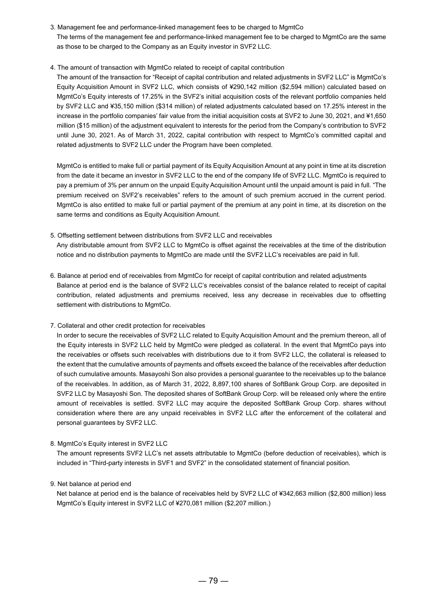3. Management fee and performance-linked management fees to be charged to MgmtCo The terms of the management fee and performance-linked management fee to be charged to MgmtCo are the same as those to be charged to the Company as an Equity investor in SVF2 LLC.

## 4. The amount of transaction with MgmtCo related to receipt of capital contribution

The amount of the transaction for "Receipt of capital contribution and related adjustments in SVF2 LLC" is MgmtCo's Equity Acquisition Amount in SVF2 LLC, which consists of ¥290,142 million (\$2,594 million) calculated based on MgmtCo's Equity interests of 17.25% in the SVF2's initial acquisition costs of the relevant portfolio companies held by SVF2 LLC and ¥35,150 million (\$314 million) of related adjustments calculated based on 17.25% interest in the increase in the portfolio companies' fair value from the initial acquisition costs at SVF2 to June 30, 2021, and ¥1,650 million (\$15 million) of the adjustment equivalent to interests for the period from the Company's contribution to SVF2 until June 30, 2021. As of March 31, 2022, capital contribution with respect to MgmtCo's committed capital and related adjustments to SVF2 LLC under the Program have been completed.

MgmtCo is entitled to make full or partial payment of its Equity Acquisition Amount at any point in time at its discretion from the date it became an investor in SVF2 LLC to the end of the company life of SVF2 LLC. MgmtCo is required to pay a premium of 3% per annum on the unpaid Equity Acquisition Amount until the unpaid amount is paid in full. "The premium received on SVF2's receivables" refers to the amount of such premium accrued in the current period. MgmtCo is also entitled to make full or partial payment of the premium at any point in time, at its discretion on the same terms and conditions as Equity Acquisition Amount.

- 5. Offsetting settlement between distributions from SVF2 LLC and receivables Any distributable amount from SVF2 LLC to MgmtCo is offset against the receivables at the time of the distribution notice and no distribution payments to MgmtCo are made until the SVF2 LLC's receivables are paid in full.
- 6. Balance at period end of receivables from MgmtCo for receipt of capital contribution and related adjustments Balance at period end is the balance of SVF2 LLC's receivables consist of the balance related to receipt of capital contribution, related adjustments and premiums received, less any decrease in receivables due to offsetting settlement with distributions to MgmtCo.
- 7. Collateral and other credit protection for receivables

In order to secure the receivables of SVF2 LLC related to Equity Acquisition Amount and the premium thereon, all of the Equity interests in SVF2 LLC held by MgmtCo were pledged as collateral. In the event that MgmtCo pays into the receivables or offsets such receivables with distributions due to it from SVF2 LLC, the collateral is released to the extent that the cumulative amounts of payments and offsets exceed the balance of the receivables after deduction of such cumulative amounts. Masayoshi Son also provides a personal guarantee to the receivables up to the balance of the receivables. In addition, as of March 31, 2022, 8,897,100 shares of SoftBank Group Corp. are deposited in SVF2 LLC by Masayoshi Son. The deposited shares of SoftBank Group Corp. will be released only where the entire amount of receivables is settled. SVF2 LLC may acquire the deposited SoftBank Group Corp. shares without consideration where there are any unpaid receivables in SVF2 LLC after the enforcement of the collateral and personal guarantees by SVF2 LLC.

8. MgmtCo's Equity interest in SVF2 LLC

The amount represents SVF2 LLC's net assets attributable to MgmtCo (before deduction of receivables), which is included in "Third-party interests in SVF1 and SVF2" in the consolidated statement of financial position.

9. Net balance at period end

Net balance at period end is the balance of receivables held by SVF2 LLC of ¥342,663 million (\$2,800 million) less MgmtCo's Equity interest in SVF2 LLC of ¥270,081 million (\$2,207 million.)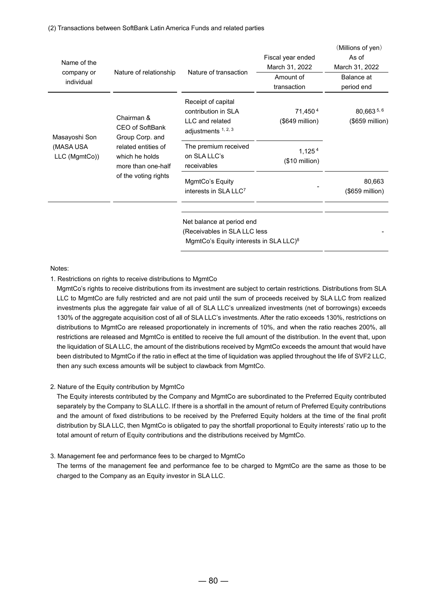(2) Transactions between SoftBank Latin America Funds and related parties

| Name of the<br>company or<br>individual | Nature of relationship                                                              | Nature of transaction                                                                                   | Fiscal year ended<br>March 31, 2022<br>Amount of<br>transaction | (Millions of yen)<br>As of<br>March 31, 2022<br>Balance at<br>period end |
|-----------------------------------------|-------------------------------------------------------------------------------------|---------------------------------------------------------------------------------------------------------|-----------------------------------------------------------------|--------------------------------------------------------------------------|
| Masayoshi Son                           | Chairman &<br>CEO of SoftBank<br>Group Corp. and                                    | Receipt of capital<br>contribution in SLA<br>LLC and related<br>adjustments 1, 2, 3                     | 71,450 <sup>4</sup><br>$($649$ million)                         | $80,663^{5,6}$<br>(\$659 million)                                        |
| (MASA USA<br>LLC (MgmtCo))              | related entities of<br>which he holds<br>more than one-half<br>of the voting rights | The premium received<br>on SLA LLC's<br>receivables                                                     | 1,125 <sup>4</sup><br>$($10$ million)                           |                                                                          |
|                                         |                                                                                     | MgmtCo's Equity<br>interests in SLA LLC <sup>7</sup>                                                    |                                                                 | 80,663<br>$($659$ million)                                               |
|                                         |                                                                                     | Net balance at period end<br>(Receivables in SLA LLC less<br>MgmtCo's Equity interests in SLA LLC $)^8$ |                                                                 |                                                                          |

### Notes:

## 1. Restrictions on rights to receive distributions to MgmtCo

MgmtCo's rights to receive distributions from its investment are subject to certain restrictions. Distributions from SLA LLC to MgmtCo are fully restricted and are not paid until the sum of proceeds received by SLA LLC from realized investments plus the aggregate fair value of all of SLA LLC's unrealized investments (net of borrowings) exceeds 130% of the aggregate acquisition cost of all of SLA LLC's investments. After the ratio exceeds 130%, restrictions on distributions to MgmtCo are released proportionately in increments of 10%, and when the ratio reaches 200%, all restrictions are released and MgmtCo is entitled to receive the full amount of the distribution. In the event that, upon the liquidation of SLA LLC, the amount of the distributions received by MgmtCo exceeds the amount that would have been distributed to MgmtCo if the ratio in effect at the time of liquidation was applied throughout the life of SVF2 LLC, then any such excess amounts will be subject to clawback from MgmtCo.

## 2. Nature of the Equity contribution by MgmtCo

The Equity interests contributed by the Company and MgmtCo are subordinated to the Preferred Equity contributed separately by the Company to SLA LLC. If there is a shortfall in the amount of return of Preferred Equity contributions and the amount of fixed distributions to be received by the Preferred Equity holders at the time of the final profit distribution by SLA LLC, then MgmtCo is obligated to pay the shortfall proportional to Equity interests' ratio up to the total amount of return of Equity contributions and the distributions received by MgmtCo.

## 3. Management fee and performance fees to be charged to MgmtCo

The terms of the management fee and performance fee to be charged to MgmtCo are the same as those to be charged to the Company as an Equity investor in SLA LLC.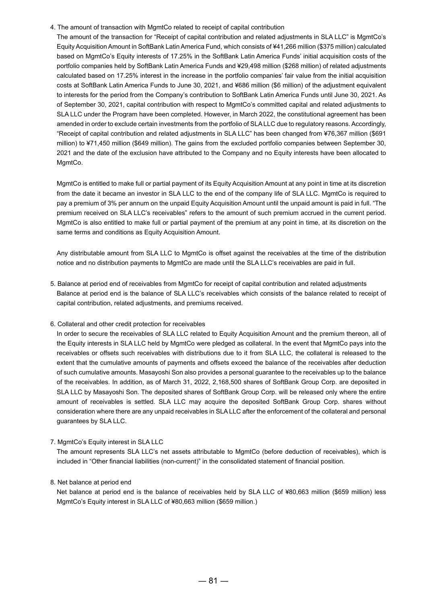## 4. The amount of transaction with MgmtCo related to receipt of capital contribution

The amount of the transaction for "Receipt of capital contribution and related adjustments in SLA LLC" is MgmtCo's Equity Acquisition Amount in SoftBank Latin America Fund, which consists of ¥41,266 million (\$375 million) calculated based on MgmtCo's Equity interests of 17.25% in the SoftBank Latin America Funds' initial acquisition costs of the portfolio companies held by SoftBank Latin America Funds and ¥29,498 million (\$268 million) of related adjustments calculated based on 17.25% interest in the increase in the portfolio companies' fair value from the initial acquisition costs at SoftBank Latin America Funds to June 30, 2021, and ¥686 million (\$6 million) of the adjustment equivalent to interests for the period from the Company's contribution to SoftBank Latin America Funds until June 30, 2021. As of September 30, 2021, capital contribution with respect to MgmtCo's committed capital and related adjustments to SLA LLC under the Program have been completed. However, in March 2022, the constitutional agreement has been amended in order to exclude certain investments from the portfolio of SLA LLC due to regulatory reasons. Accordingly, "Receipt of capital contribution and related adjustments in SLA LLC" has been changed from ¥76,367 million (\$691 million) to ¥71,450 million (\$649 million). The gains from the excluded portfolio companies between September 30, 2021 and the date of the exclusion have attributed to the Company and no Equity interests have been allocated to MgmtCo.

MgmtCo is entitled to make full or partial payment of its Equity Acquisition Amount at any point in time at its discretion from the date it became an investor in SLA LLC to the end of the company life of SLA LLC. MgmtCo is required to pay a premium of 3% per annum on the unpaid Equity Acquisition Amount until the unpaid amount is paid in full. "The premium received on SLA LLC's receivables" refers to the amount of such premium accrued in the current period. MgmtCo is also entitled to make full or partial payment of the premium at any point in time, at its discretion on the same terms and conditions as Equity Acquisition Amount.

Any distributable amount from SLA LLC to MgmtCo is offset against the receivables at the time of the distribution notice and no distribution payments to MgmtCo are made until the SLA LLC's receivables are paid in full.

5. Balance at period end of receivables from MgmtCo for receipt of capital contribution and related adjustments Balance at period end is the balance of SLA LLC's receivables which consists of the balance related to receipt of capital contribution, related adjustments, and premiums received.

## 6. Collateral and other credit protection for receivables

In order to secure the receivables of SLA LLC related to Equity Acquisition Amount and the premium thereon, all of the Equity interests in SLA LLC held by MgmtCo were pledged as collateral. In the event that MgmtCo pays into the receivables or offsets such receivables with distributions due to it from SLA LLC, the collateral is released to the extent that the cumulative amounts of payments and offsets exceed the balance of the receivables after deduction of such cumulative amounts. Masayoshi Son also provides a personal guarantee to the receivables up to the balance of the receivables. In addition, as of March 31, 2022, 2,168,500 shares of SoftBank Group Corp. are deposited in SLA LLC by Masayoshi Son. The deposited shares of SoftBank Group Corp. will be released only where the entire amount of receivables is settled. SLA LLC may acquire the deposited SoftBank Group Corp. shares without consideration where there are any unpaid receivables in SLA LLC after the enforcement of the collateral and personal guarantees by SLA LLC.

## 7. MgmtCo's Equity interest in SLA LLC

The amount represents SLA LLC's net assets attributable to MgmtCo (before deduction of receivables), which is included in "Other financial liabilities (non-current)" in the consolidated statement of financial position.

## 8. Net balance at period end

Net balance at period end is the balance of receivables held by SLA LLC of ¥80,663 million (\$659 million) less MgmtCo's Equity interest in SLA LLC of ¥80,663 million (\$659 million.)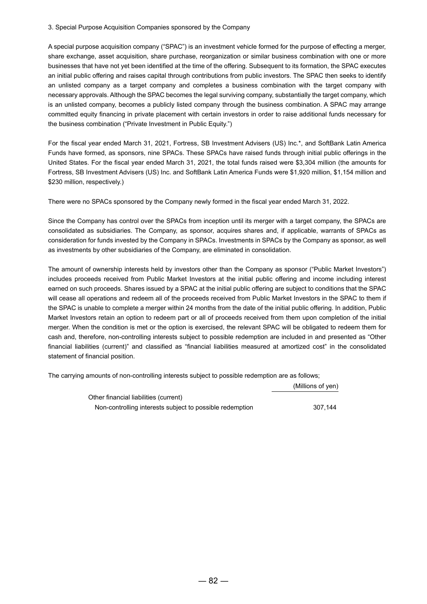### 3. Special Purpose Acquisition Companies sponsored by the Company

A special purpose acquisition company ("SPAC") is an investment vehicle formed for the purpose of effecting a merger, share exchange, asset acquisition, share purchase, reorganization or similar business combination with one or more businesses that have not yet been identified at the time of the offering. Subsequent to its formation, the SPAC executes an initial public offering and raises capital through contributions from public investors. The SPAC then seeks to identify an unlisted company as a target company and completes a business combination with the target company with necessary approvals. Although the SPAC becomes the legal surviving company, substantially the target company, which is an unlisted company, becomes a publicly listed company through the business combination. A SPAC may arrange committed equity financing in private placement with certain investors in order to raise additional funds necessary for the business combination ("Private Investment in Public Equity.")

For the fiscal year ended March 31, 2021, Fortress, SB Investment Advisers (US) Inc.\*, and SoftBank Latin America Funds have formed, as sponsors, nine SPACs. These SPACs have raised funds through initial public offerings in the United States. For the fiscal year ended March 31, 2021, the total funds raised were \$3,304 million (the amounts for Fortress, SB Investment Advisers (US) Inc. and SoftBank Latin America Funds were \$1,920 million, \$1,154 million and \$230 million, respectively.)

There were no SPACs sponsored by the Company newly formed in the fiscal year ended March 31, 2022.

Since the Company has control over the SPACs from inception until its merger with a target company, the SPACs are consolidated as subsidiaries. The Company, as sponsor, acquires shares and, if applicable, warrants of SPACs as consideration for funds invested by the Company in SPACs. Investments in SPACs by the Company as sponsor, as well as investments by other subsidiaries of the Company, are eliminated in consolidation.

The amount of ownership interests held by investors other than the Company as sponsor ("Public Market Investors") includes proceeds received from Public Market Investors at the initial public offering and income including interest earned on such proceeds. Shares issued by a SPAC at the initial public offering are subject to conditions that the SPAC will cease all operations and redeem all of the proceeds received from Public Market Investors in the SPAC to them if the SPAC is unable to complete a merger within 24 months from the date of the initial public offering. In addition, Public Market Investors retain an option to redeem part or all of proceeds received from them upon completion of the initial merger. When the condition is met or the option is exercised, the relevant SPAC will be obligated to redeem them for cash and, therefore, non-controlling interests subject to possible redemption are included in and presented as "Other financial liabilities (current)" and classified as "financial liabilities measured at amortized cost" in the consolidated statement of financial position.

The carrying amounts of non-controlling interests subject to possible redemption are as follows;

|                                                          | (Millions of yen) |
|----------------------------------------------------------|-------------------|
| Other financial liabilities (current)                    |                   |
| Non-controlling interests subject to possible redemption | 307.144           |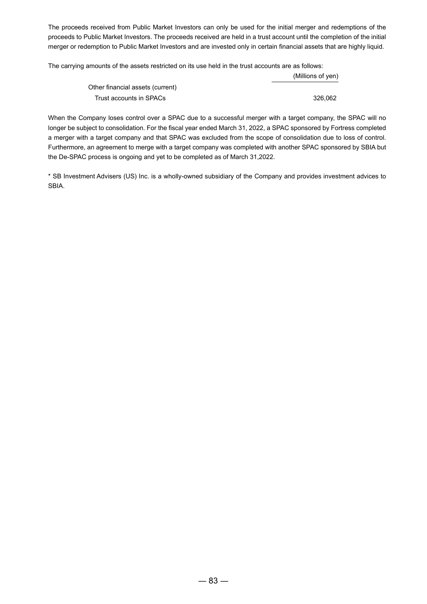The proceeds received from Public Market Investors can only be used for the initial merger and redemptions of the proceeds to Public Market Investors. The proceeds received are held in a trust account until the completion of the initial merger or redemption to Public Market Investors and are invested only in certain financial assets that are highly liquid.

The carrying amounts of the assets restricted on its use held in the trust accounts are as follows:

|                                  | (Millions of yen) |
|----------------------------------|-------------------|
| Other financial assets (current) |                   |
| Trust accounts in SPACs          | 326.062           |

When the Company loses control over a SPAC due to a successful merger with a target company, the SPAC will no longer be subject to consolidation. For the fiscal year ended March 31, 2022, a SPAC sponsored by Fortress completed a merger with a target company and that SPAC was excluded from the scope of consolidation due to loss of control. Furthermore, an agreement to merge with a target company was completed with another SPAC sponsored by SBIA but the De-SPAC process is ongoing and yet to be completed as of March 31,2022.

\* SB Investment Advisers (US) Inc. is a wholly-owned subsidiary of the Company and provides investment advices to SBIA.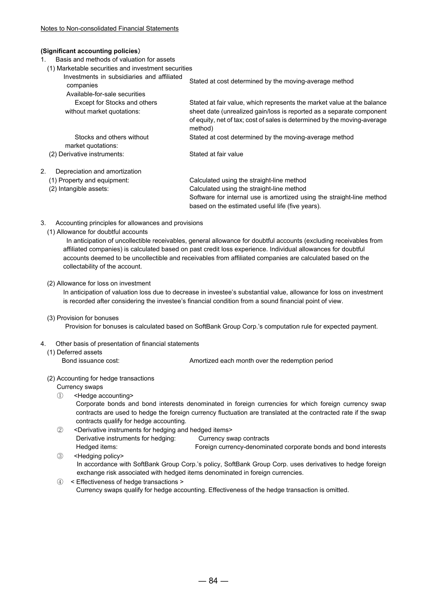## **(Significant accounting policies**)

- 1. Basis and methods of valuation for assets
- (1) Marketable securities and investment securities

| Investments in subsidiaries and affiliated<br>companies | Stated at cost determined by the moving-average method                                                                                                      |
|---------------------------------------------------------|-------------------------------------------------------------------------------------------------------------------------------------------------------------|
| Available-for-sale securities                           |                                                                                                                                                             |
| Except for Stocks and others                            | Stated at fair value, which represents the market value at the balance                                                                                      |
| without market quotations:                              | sheet date (unrealized gain/loss is reported as a separate component<br>of equity, net of tax; cost of sales is determined by the moving-average<br>method) |
| Stocks and others without<br>market quotations:         | Stated at cost determined by the moving-average method                                                                                                      |
| (2) Derivative instruments:                             | Stated at fair value                                                                                                                                        |
| 2.<br>Depreciation and amortization                     |                                                                                                                                                             |
| (1) Property and equipment:                             | Calculated using the straight-line method                                                                                                                   |

(2) Intangible assets: Calculated using the straight-line method Software for internal use is amortized using the straight-line method based on the estimated useful life (five years).

- 3. Accounting principles for allowances and provisions
	- (1) Allowance for doubtful accounts

 In anticipation of uncollectible receivables, general allowance for doubtful accounts (excluding receivables from affiliated companies) is calculated based on past credit loss experience. Individual allowances for doubtful accounts deemed to be uncollectible and receivables from affiliated companies are calculated based on the collectability of the account.

(2) Allowance for loss on investment

 In anticipation of valuation loss due to decrease in investee's substantial value, allowance for loss on investment is recorded after considering the investee's financial condition from a sound financial point of view.

(3) Provision for bonuses

Provision for bonuses is calculated based on SoftBank Group Corp.'s computation rule for expected payment.

- 4. Other basis of presentation of financial statements
	- (1) Deferred assets

Bond issuance cost: Amortized each month over the redemption period

- (2) Accounting for hedge transactions
	- Currency swaps
	- ① <Hedge accounting>
		- Corporate bonds and bond interests denominated in foreign currencies for which foreign currency swap contracts are used to hedge the foreign currency fluctuation are translated at the contracted rate if the swap contracts qualify for hedge accounting.
	- ② <Derivative instruments for hedging and hedged items> Derivative instruments for hedging: Currency swap contracts Hedged items: Foreign currency-denominated corporate bonds and bond interests
	- ③ <Hedging policy> In accordance with SoftBank Group Corp.'s policy, SoftBank Group Corp. uses derivatives to hedge foreign exchange risk associated with hedged items denominated in foreign currencies.
	- ④ < Effectiveness of hedge transactions > Currency swaps qualify for hedge accounting. Effectiveness of the hedge transaction is omitted.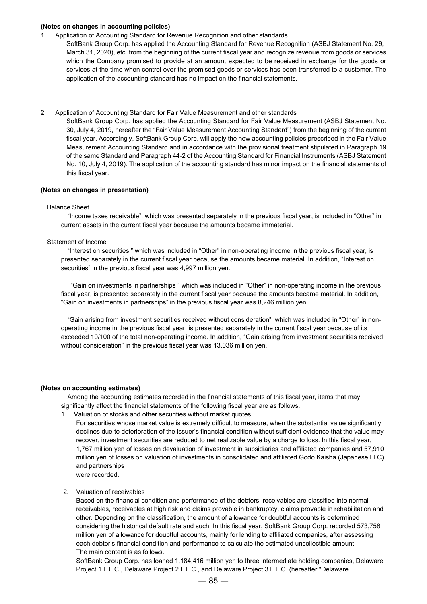### **(Notes on changes in accounting policies)**

#### 1. Application of Accounting Standard for Revenue Recognition and other standards

SoftBank Group Corp. has applied the Accounting Standard for Revenue Recognition (ASBJ Statement No. 29, March 31, 2020), etc. from the beginning of the current fiscal year and recognize revenue from goods or services which the Company promised to provide at an amount expected to be received in exchange for the goods or services at the time when control over the promised goods or services has been transferred to a customer. The application of the accounting standard has no impact on the financial statements.

#### 2. Application of Accounting Standard for Fair Value Measurement and other standards

SoftBank Group Corp. has applied the Accounting Standard for Fair Value Measurement (ASBJ Statement No. 30, July 4, 2019, hereafter the "Fair Value Measurement Accounting Standard") from the beginning of the current fiscal year. Accordingly, SoftBank Group Corp. will apply the new accounting policies prescribed in the Fair Value Measurement Accounting Standard and in accordance with the provisional treatment stipulated in Paragraph 19 of the same Standard and Paragraph 44-2 of the Accounting Standard for Financial Instruments (ASBJ Statement No. 10, July 4, 2019). The application of the accounting standard has minor impact on the financial statements of this fiscal year.

#### **(Notes on changes in presentation)**

#### Balance Sheet

 "Income taxes receivable", which was presented separately in the previous fiscal year, is included in "Other" in current assets in the current fiscal year because the amounts became immaterial.

#### Statement of Income

 "Interest on securities " which was included in "Other" in non-operating income in the previous fiscal year, is presented separately in the current fiscal year because the amounts became material. In addition, "Interest on securities" in the previous fiscal year was 4,997 million yen.

 "Gain on investments in partnerships " which was included in "Other" in non-operating income in the previous fiscal year, is presented separately in the current fiscal year because the amounts became material. In addition, "Gain on investments in partnerships" in the previous fiscal year was 8,246 million yen.

 "Gain arising from investment securities received without consideration" ,which was included in "Other" in nonoperating income in the previous fiscal year, is presented separately in the current fiscal year because of its exceeded 10/100 of the total non-operating income. In addition, "Gain arising from investment securities received without consideration" in the previous fiscal year was 13,036 million yen.

#### **(Notes on accounting estimates)**

Among the accounting estimates recorded in the financial statements of this fiscal year, items that may significantly affect the financial statements of the following fiscal year are as follows.

1. Valuation of stocks and other securities without market quotes

For securities whose market value is extremely difficult to measure, when the substantial value significantly declines due to deterioration of the issuer's financial condition without sufficient evidence that the value may recover, investment securities are reduced to net realizable value by a charge to loss. In this fiscal year, 1,767 million yen of losses on devaluation of investment in subsidiaries and affiliated companies and 57,910 million yen of losses on valuation of investments in consolidated and affiliated Godo Kaisha (Japanese LLC) and partnerships were recorded.

2. Valuation of receivables

Based on the financial condition and performance of the debtors, receivables are classified into normal receivables, receivables at high risk and claims provable in bankruptcy, claims provable in rehabilitation and other. Depending on the classification, the amount of allowance for doubtful accounts is determined considering the historical default rate and such. In this fiscal year, SoftBank Group Corp. recorded 573,758 million yen of allowance for doubtful accounts, mainly for lending to affiliated companies, after assessing each debtor's financial condition and performance to calculate the estimated uncollectible amount. The main content is as follows.

SoftBank Group Corp. has loaned 1,184,416 million yen to three intermediate holding companies, Delaware Project 1 L.L.C., Delaware Project 2 L.L.C., and Delaware Project 3 L.L.C. (hereafter "Delaware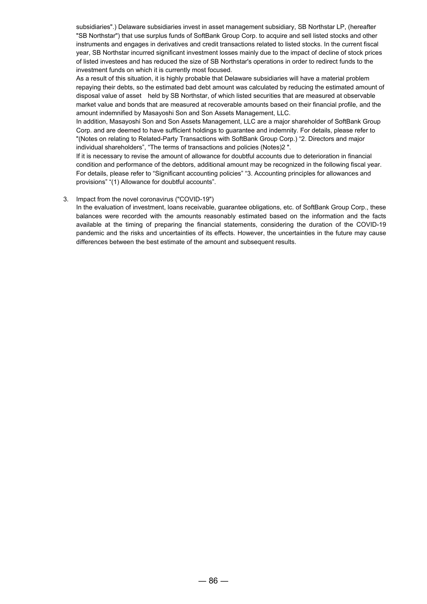subsidiaries".) Delaware subsidiaries invest in asset management subsidiary, SB Northstar LP, (hereafter "SB Northstar") that use surplus funds of SoftBank Group Corp. to acquire and sell listed stocks and other instruments and engages in derivatives and credit transactions related to listed stocks. In the current fiscal year, SB Northstar incurred significant investment losses mainly due to the impact of decline of stock prices of listed investees and has reduced the size of SB Northstar's operations in order to redirect funds to the investment funds on which it is currently most focused.

As a result of this situation, it is highly probable that Delaware subsidiaries will have a material problem repaying their debts, so the estimated bad debt amount was calculated by reducing the estimated amount of disposal value of asset held by SB Northstar, of which listed securities that are measured at observable market value and bonds that are measured at recoverable amounts based on their financial profile, and the amount indemnified by Masayoshi Son and Son Assets Management, LLC.

In addition, Masayoshi Son and Son Assets Management, LLC are a major shareholder of SoftBank Group Corp. and are deemed to have sufficient holdings to guarantee and indemnity. For details, please refer to "(Notes on relating to Related-Party Transactions with SoftBank Group Corp.) "2. Directors and major individual shareholders", "The terms of transactions and policies (Notes)2 ".

If it is necessary to revise the amount of allowance for doubtful accounts due to deterioration in financial condition and performance of the debtors, additional amount may be recognized in the following fiscal year. For details, please refer to "Significant accounting policies" "3. Accounting principles for allowances and provisions" "(1) Allowance for doubtful accounts".

## 3. Impact from the novel coronavirus ("COVID-19")

In the evaluation of investment, loans receivable, quarantee obligations, etc. of SoftBank Group Corp., these balances were recorded with the amounts reasonably estimated based on the information and the facts available at the timing of preparing the financial statements, considering the duration of the COVID-19 pandemic and the risks and uncertainties of its effects. However, the uncertainties in the future may cause differences between the best estimate of the amount and subsequent results.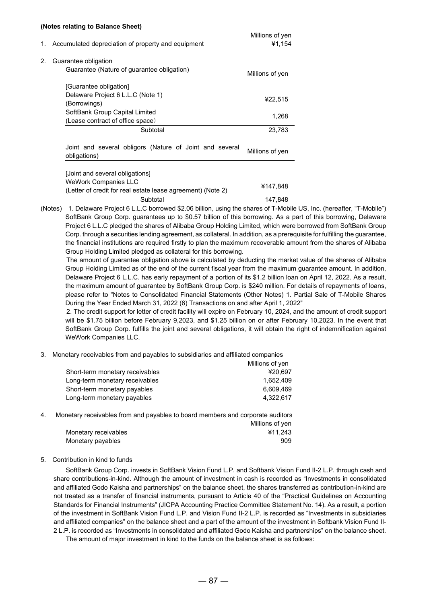|    | (Notes relating to Balance Sheet)                                       |                           |
|----|-------------------------------------------------------------------------|---------------------------|
| 1. | Accumulated depreciation of property and equipment                      | Millions of yen<br>¥1,154 |
| 2. | Guarantee obligation                                                    |                           |
|    | Guarantee (Nature of guarantee obligation)                              | Millions of yen           |
|    | [Guarantee obligation]                                                  |                           |
|    | Delaware Project 6 L.L.C (Note 1)                                       | ¥22,515                   |
|    | (Borrowings)                                                            |                           |
|    | SoftBank Group Capital Limited                                          | 1,268                     |
|    | (Lease contract of office space)                                        |                           |
|    | Subtotal                                                                | 23,783                    |
|    | Joint and several obligors (Nature of Joint and several<br>obligations) | Millions of yen           |
|    | [Joint and several obligations]                                         |                           |
|    | <b>WeWork Companies LLC</b>                                             | ¥147,848                  |
|    | (Letter of credit for real estate lease agreement) (Note 2)             |                           |
|    | Subtotal                                                                | 147,848                   |

(Notes) 1. Delaware Project 6 L.L.C borrowed \$2.06 billion, using the shares of T-Mobile US, Inc. (hereafter, "T-Mobile") SoftBank Group Corp. guarantees up to \$0.57 billion of this borrowing. As a part of this borrowing, Delaware Project 6 L.L.C pledged the shares of Alibaba Group Holding Limited, which were borrowed from SoftBank Group Corp. through a securities lending agreement, as collateral. In addition, as a prerequisite for fulfilling the guarantee, the financial institutions are required firstly to plan the maximum recoverable amount from the shares of Alibaba Group Holding Limited pledged as collateral for this borrowing.

 The amount of guarantee obligation above is calculated by deducting the market value of the shares of Alibaba Group Holding Limited as of the end of the current fiscal year from the maximum guarantee amount. In addition, Delaware Project 6 L.L.C. has early repayment of a portion of its \$1.2 billion loan on April 12, 2022. As a result, the maximum amount of guarantee by SoftBank Group Corp. is \$240 million. For details of repayments of loans, please refer to "Notes to Consolidated Financial Statements (Other Notes) 1. Partial Sale of T-Mobile Shares During the Year Ended March 31, 2022 (6) Transactions on and after April 1, 2022"

 2. The credit support for letter of credit facility will expire on February 10, 2024, and the amount of credit support will be \$1.75 billion before February 9,2023, and \$1.25 billion on or after February 10,2023. In the event that SoftBank Group Corp. fulfills the joint and several obligations, it will obtain the right of indemnification against WeWork Companies LLC.

3. Monetary receivables from and payables to subsidiaries and affiliated companies

|                                 | Millions of yen |
|---------------------------------|-----------------|
| Short-term monetary receivables | ¥20.697         |
| Long-term monetary receivables  | 1.652.409       |
| Short-term monetary payables    | 6.609.469       |
| Long-term monetary payables     | 4.322.617       |
|                                 |                 |

4. Monetary receivables from and payables to board members and corporate auditors Millions of yen Monetary receivables **And Accord 2018** 2411,243 Monetary payables 909

## 5. Contribution in kind to funds

SoftBank Group Corp. invests in SoftBank Vision Fund L.P. and Softbank Vision Fund II-2 L.P. through cash and share contributions-in-kind. Although the amount of investment in cash is recorded as "Investments in consolidated and affiliated Godo Kaisha and partnerships" on the balance sheet, the shares transferred as contribution-in-kind are not treated as a transfer of financial instruments, pursuant to Article 40 of the "Practical Guidelines on Accounting Standards for Financial Instruments" (JICPA Accounting Practice Committee Statement No. 14). As a result, a portion of the investment in SoftBank Vision Fund L.P. and Vision Fund II-2 L.P. is recorded as "Investments in subsidiaries and affiliated companies" on the balance sheet and a part of the amount of the investment in Softbank Vision Fund II-2 L.P. is recorded as "Investments in consolidated and affiliated Godo Kaisha and partnerships" on the balance sheet.

The amount of major investment in kind to the funds on the balance sheet is as follows: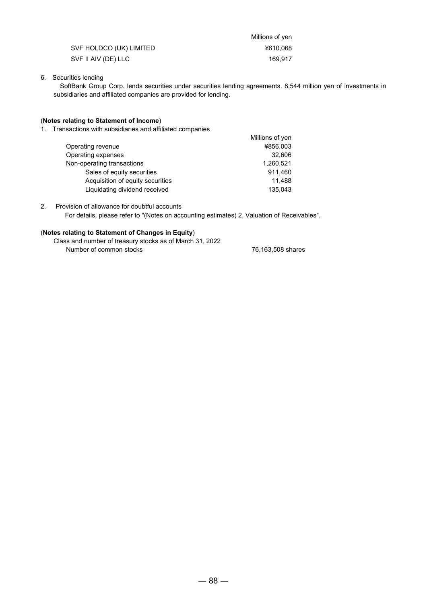|                         | Millions of yen |
|-------------------------|-----------------|
| SVF HOLDCO (UK) LIMITED | ¥610.068        |
| SVF II AIV (DE) LLC     | 169.917         |

## 6. Securities lending

SoftBank Group Corp. lends securities under securities lending agreements. 8,544 million yen of investments in subsidiaries and affiliated companies are provided for lending.

# (**Notes relating to Statement of Income**)

1. Transactions with subsidiaries and affiliated companies

|                                  | Millions of yen |
|----------------------------------|-----------------|
| Operating revenue                | ¥856,003        |
| Operating expenses               | 32,606          |
| Non-operating transactions       | 1,260,521       |
| Sales of equity securities       | 911,460         |
| Acquisition of equity securities | 11.488          |
| Liquidating dividend received    | 135.043         |
|                                  |                 |

2. Provision of allowance for doubtful accounts For details, please refer to "(Notes on accounting estimates) 2. Valuation of Receivables".

# (**Notes relating to Statement of Changes in Equity**)

 Class and number of treasury stocks as of March 31, 2022 Number of common stocks 76,163,508 shares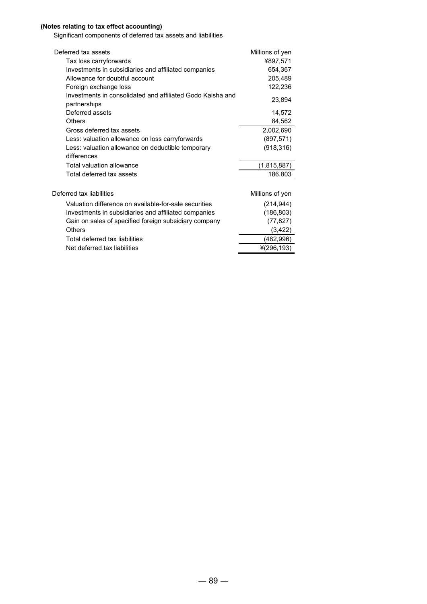# **(Notes relating to tax effect accounting)**

Significant components of deferred tax assets and liabilities

| Deferred tax assets                                                        | Millions of yen |
|----------------------------------------------------------------------------|-----------------|
| Tax loss carryforwards                                                     | ¥897,571        |
| Investments in subsidiaries and affiliated companies                       | 654,367         |
| Allowance for doubtful account                                             | 205,489         |
| Foreign exchange loss                                                      | 122,236         |
| Investments in consolidated and affiliated Godo Kaisha and<br>partnerships | 23,894          |
| Deferred assets                                                            | 14,572          |
| Others                                                                     | 84,562          |
| Gross deferred tax assets                                                  | 2,002,690       |
| Less: valuation allowance on loss carryforwards                            | (897, 571)      |
| Less: valuation allowance on deductible temporary                          | (918, 316)      |
| differences                                                                |                 |
| Total valuation allowance                                                  | (1,815,887)     |
| Total deferred tax assets                                                  | 186,803         |
|                                                                            |                 |
| Deferred tax liabilities                                                   | Millions of yen |
| Valuation difference on available-for-sale securities                      | (214, 944)      |
| Investments in subsidiaries and affiliated companies                       | (186, 803)      |
| Gain on sales of specified foreign subsidiary company                      | (77, 827)       |
| Others                                                                     | (3, 422)        |
| Total deferred tax liabilities                                             | (482,996)       |
| Net deferred tax liabilities                                               | $*(296, 193)$   |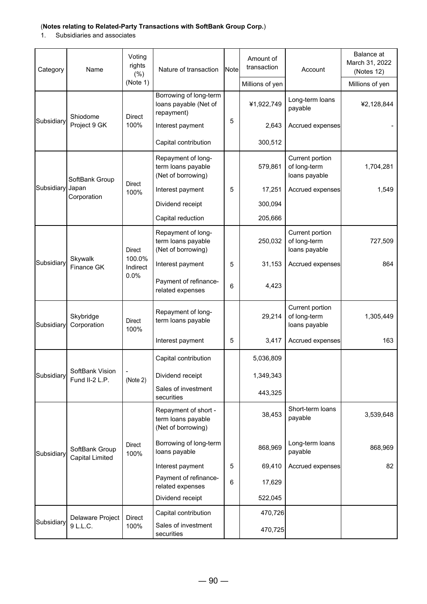# (**Notes relating to Related-Party Transactions with SoftBank Group Corp.**)

1. Subsidiaries and associates

| Category         | Name                                     | Voting<br>rights<br>(%)    | Nature of transaction                                            | <b>Note</b> | Amount of<br>transaction | Account                                          | Balance at<br>March 31, 2022<br>(Notes 12) |
|------------------|------------------------------------------|----------------------------|------------------------------------------------------------------|-------------|--------------------------|--------------------------------------------------|--------------------------------------------|
|                  |                                          | (Note 1)                   |                                                                  |             | Millions of yen          |                                                  | Millions of yen                            |
|                  | Shiodome                                 | <b>Direct</b>              | Borrowing of long-term<br>loans payable (Net of<br>repayment)    |             | ¥1,922,749               | Long-term loans<br>payable                       | ¥2,128,844                                 |
| Subsidiary       | Project 9 GK                             | 100%                       | Interest payment                                                 | 5           | 2,643                    | Accrued expenses                                 |                                            |
|                  |                                          |                            | Capital contribution                                             |             | 300,512                  |                                                  |                                            |
|                  | SoftBank Group                           |                            | Repayment of long-<br>term loans payable<br>(Net of borrowing)   |             | 579,861                  | Current portion<br>of long-term<br>loans payable | 1,704,281                                  |
| Subsidiary Japan | Corporation                              | <b>Direct</b><br>100%      | Interest payment                                                 | 5           | 17,251                   | Accrued expenses                                 | 1,549                                      |
|                  |                                          |                            | Dividend receipt                                                 |             | 300,094                  |                                                  |                                            |
|                  |                                          |                            | Capital reduction                                                |             | 205,666                  |                                                  |                                            |
|                  |                                          | <b>Direct</b>              | Repayment of long-<br>term loans payable<br>(Net of borrowing)   |             | 250,032                  | Current portion<br>of long-term<br>loans payable | 727,509                                    |
| Subsidiary       | Skywalk<br>Finance GK                    | 100.0%<br>Indirect<br>0.0% | Interest payment                                                 | 5           | 31,153                   | Accrued expenses                                 | 864                                        |
|                  |                                          |                            | Payment of refinance-<br>related expenses                        | 6           | 4,423                    |                                                  |                                            |
| Subsidiary       | Skybridge<br>Corporation                 | Direct<br>100%             | Repayment of long-<br>term loans payable                         |             | 29,214                   | Current portion<br>of long-term<br>loans payable | 1,305,449                                  |
|                  |                                          |                            | Interest payment                                                 | 5           | 3,417                    | Accrued expenses                                 | 163                                        |
|                  |                                          |                            | Capital contribution                                             |             | 5,036,809                |                                                  |                                            |
| Subsidiary       | SoftBank Vision<br>Fund II-2 L.P.        | $\blacksquare$<br>(Note 2) | Dividend receipt                                                 |             | 1,349,343                |                                                  |                                            |
|                  |                                          |                            | Sales of investment<br>securities                                |             | 443,325                  |                                                  |                                            |
|                  |                                          |                            | Repayment of short -<br>term loans payable<br>(Net of borrowing) |             | 38,453                   | Short-term loans<br>payable                      | 3,539,648                                  |
| Subsidiary       | SoftBank Group<br><b>Capital Limited</b> | Direct<br>100%             | Borrowing of long-term<br>loans payable                          |             | 868,969                  | Long-term loans<br>payable                       | 868,969                                    |
|                  |                                          |                            | Interest payment                                                 | 5           | 69,410                   | Accrued expenses                                 | 82                                         |
|                  |                                          |                            | Payment of refinance-<br>related expenses                        | 6           | 17,629                   |                                                  |                                            |
|                  |                                          |                            | Dividend receipt                                                 |             | 522,045                  |                                                  |                                            |
|                  | Delaware Project                         | Direct                     | Capital contribution                                             |             | 470,726                  |                                                  |                                            |
| Subsidiary       | 9 L.L.C.                                 | 100%                       | Sales of investment<br>securities                                |             | 470,725                  |                                                  |                                            |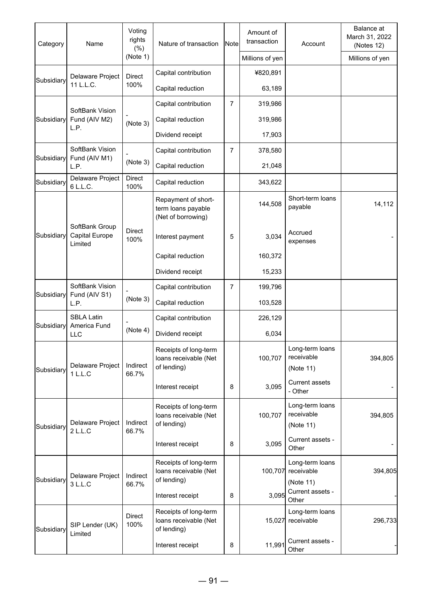| Category        | Name                                        | Voting<br>rights<br>(%) | Nature of transaction                                           | <b>Note</b>    | Amount of<br>transaction | Account                                    | Balance at<br>March 31, 2022<br>(Notes 12) |
|-----------------|---------------------------------------------|-------------------------|-----------------------------------------------------------------|----------------|--------------------------|--------------------------------------------|--------------------------------------------|
|                 |                                             | (Note 1)                |                                                                 |                | Millions of yen          |                                            | Millions of yen                            |
| Subsidiary      | Delaware Project                            | <b>Direct</b>           | Capital contribution                                            |                | ¥820,891                 |                                            |                                            |
|                 | 11 L.L.C.                                   | 100%                    | Capital reduction                                               |                | 63,189                   |                                            |                                            |
|                 |                                             |                         | Capital contribution                                            | $\overline{7}$ | 319,986                  |                                            |                                            |
| Subsidiary      | SoftBank Vision<br>Fund (AIV M2)            | (Note 3)                | Capital reduction                                               |                | 319,986                  |                                            |                                            |
|                 | L.P.                                        |                         | Dividend receipt                                                |                | 17,903                   |                                            |                                            |
|                 | SoftBank Vision                             |                         | Capital contribution                                            | $\overline{7}$ | 378,580                  |                                            |                                            |
| Subsidiary      | Fund (AIV M1)<br>L.P.                       | (Note 3)                | Capital reduction                                               |                | 21,048                   |                                            |                                            |
| Subsidiary      | Delaware Project<br>6 L.L.C.                | Direct<br>100%          | Capital reduction                                               |                | 343,622                  |                                            |                                            |
|                 |                                             |                         | Repayment of short-<br>term loans payable<br>(Net of borrowing) |                | 144,508                  | Short-term loans<br>payable                | 14,112                                     |
| Subsidiary      | SoftBank Group<br>Capital Europe<br>Limited | <b>Direct</b><br>100%   | Interest payment                                                | 5              | 3,034                    | Accrued<br>expenses                        |                                            |
|                 |                                             |                         | Capital reduction                                               |                | 160,372                  |                                            |                                            |
|                 |                                             |                         | Dividend receipt                                                |                | 15,233                   |                                            |                                            |
| SoftBank Vision |                                             | (Note 3)                | Capital contribution                                            | $\overline{7}$ | 199,796                  |                                            |                                            |
| Subsidiary      | Fund (AIV S1)<br>L.P.                       |                         | Capital reduction                                               |                | 103,528                  |                                            |                                            |
| Subsidiary      | <b>SBLA Latin</b><br>America Fund           |                         | Capital contribution                                            |                | 226,129                  |                                            |                                            |
|                 | <b>LLC</b>                                  | (Note 4)                | Dividend receipt                                                |                | 6,034                    |                                            |                                            |
| Subsidiary      | Delaware Project<br>1 L.L.C                 | Indirect<br>66.7%       | Receipts of long-term<br>loans receivable (Net<br>of lending)   |                | 100,707                  | Long-term loans<br>receivable<br>(Note 11) | 394,805                                    |
|                 |                                             |                         | Interest receipt                                                | 8              | 3,095                    | <b>Current assets</b><br>- Other           |                                            |
| Subsidiary      | Delaware Project<br>2 L.L.C                 | Indirect<br>66.7%       | Receipts of long-term<br>loans receivable (Net<br>of lending)   |                | 100,707                  | Long-term loans<br>receivable<br>(Note 11) | 394,805                                    |
|                 |                                             |                         | Interest receipt                                                | 8              | 3,095                    | Current assets -<br>Other                  |                                            |
| Subsidiary      | Delaware Project<br>3 L.L.C                 | Indirect<br>66.7%       | Receipts of long-term<br>loans receivable (Net<br>of lending)   |                | 100,707                  | Long-term loans<br>receivable<br>(Note 11) | 394,805                                    |
|                 |                                             |                         | Interest receipt                                                | 8              | 3,095                    | Current assets -<br>Other                  |                                            |
| Subsidiary      | SIP Lender (UK)<br>Limited                  | <b>Direct</b><br>100%   | Receipts of long-term<br>loans receivable (Net<br>of lending)   |                | 15,027                   | Long-term loans<br>receivable              | 296,733                                    |
|                 |                                             |                         | Interest receipt                                                | 8              | 11,991                   | Current assets -<br>Other                  |                                            |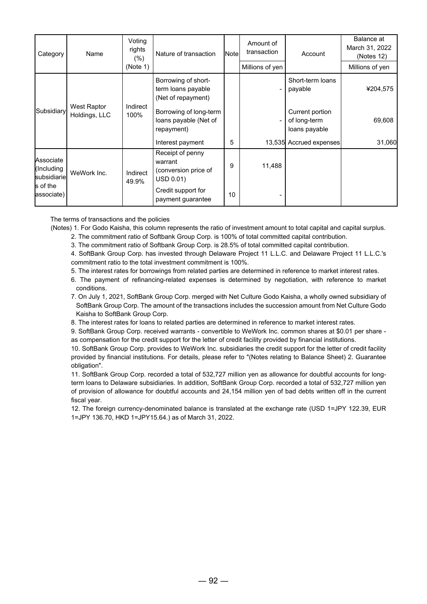| Category                               | Name                         | Voting<br>rights<br>$(\%)$ | Nature of transaction                                            | <b>Note</b> | Amount of<br>transaction | Account                                          | Balance at<br>March 31, 2022<br>(Notes 12) |
|----------------------------------------|------------------------------|----------------------------|------------------------------------------------------------------|-------------|--------------------------|--------------------------------------------------|--------------------------------------------|
|                                        |                              | (Note 1)                   |                                                                  |             | Millions of yen          |                                                  | Millions of yen                            |
|                                        | West Raptor<br>Holdings, LLC | Indirect<br>100%           | Borrowing of short-<br>term loans payable<br>(Net of repayment)  |             |                          | Short-term loans<br>payable                      | ¥204,575                                   |
| Subsidiary                             |                              |                            | Borrowing of long-term<br>loans payable (Net of<br>repayment)    |             | $\overline{\phantom{a}}$ | Current portion<br>of long-term<br>loans payable | 69,608                                     |
|                                        |                              |                            | Interest payment                                                 | 5           |                          | 13,535 Accrued expenses                          | 31,060                                     |
| Associate<br>(Including<br>subsidiarie | WeWork Inc.                  | Indirect<br>49.9%          | Receipt of penny<br>warrant<br>(conversion price of<br>USD 0.01) | 9           | 11,488                   |                                                  |                                            |
| s of the<br>associate)                 |                              |                            | Credit support for<br>payment guarantee                          | 10          |                          |                                                  |                                            |

The terms of transactions and the policies

(Notes) 1. For Godo Kaisha, this column represents the ratio of investment amount to total capital and capital surplus.

2. The commitment ratio of Softbank Group Corp. is 100% of total committed capital contribution.

3. The commitment ratio of Softbank Group Corp. is 28.5% of total committed capital contribution. 4. SoftBank Group Corp. has invested through Delaware Project 11 L.L.C. and Delaware Project 11 L.L.C.'s

- commitment ratio to the total investment commitment is 100%.
- 5. The interest rates for borrowings from related parties are determined in reference to market interest rates.
- 6. The payment of refinancing-related expenses is determined by negotiation, with reference to market conditions.
- 7. On July 1, 2021, SoftBank Group Corp. merged with Net Culture Godo Kaisha, a wholly owned subsidiary of SoftBank Group Corp. The amount of the transactions includes the succession amount from Net Culture Godo Kaisha to SoftBank Group Corp.
- 8. The interest rates for loans to related parties are determined in reference to market interest rates.

9. SoftBank Group Corp. received warrants - convertible to WeWork Inc. common shares at \$0.01 per share as compensation for the credit support for the letter of credit facility provided by financial institutions.

10. SoftBank Group Corp. provides to WeWork Inc. subsidiaries the credit support for the letter of credit facility provided by financial institutions. For details, please refer to "(Notes relating to Balance Sheet) 2. Guarantee obligation".

11. SoftBank Group Corp. recorded a total of 532,727 million yen as allowance for doubtful accounts for longterm loans to Delaware subsidiaries. In addition, SoftBank Group Corp. recorded a total of 532,727 million yen of provision of allowance for doubtful accounts and 24,154 million yen of bad debts written off in the current fiscal year.

12. The foreign currency-denominated balance is translated at the exchange rate (USD 1=JPY 122.39, EUR 1=JPY 136.70, HKD 1=JPY15.64.) as of March 31, 2022.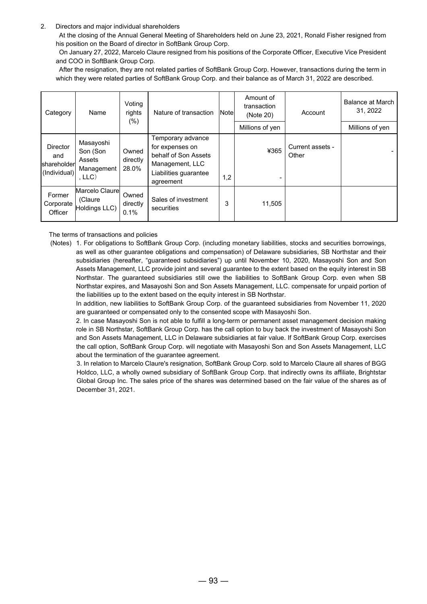## 2. Directors and major individual shareholders

At the closing of the Annual General Meeting of Shareholders held on June 23, 2021, Ronald Fisher resigned from his position on the Board of director in SoftBank Group Corp.

On January 27, 2022, Marcelo Claure resigned from his positions of the Corporate Officer, Executive Vice President and COO in SoftBank Group Corp.

After the resignation, they are not related parties of SoftBank Group Corp. However, transactions during the term in which they were related parties of SoftBank Group Corp. and their balance as of March 31, 2022 are described.

| Category                                       | Name                                                   | Voting<br>rights<br>$(\%)$ | Nature of transaction                                                                                                 | <b>Note</b> | Amount of<br>transaction<br>(Note 20) | Account                   | Balance at March<br>31, 2022 |
|------------------------------------------------|--------------------------------------------------------|----------------------------|-----------------------------------------------------------------------------------------------------------------------|-------------|---------------------------------------|---------------------------|------------------------------|
|                                                |                                                        |                            |                                                                                                                       |             | Millions of yen                       |                           | Millions of yen              |
| Director<br>and<br>shareholder<br>(Individual) | Masayoshi<br>Son (Son<br>Assets<br>Management<br>, LLC | Owned<br>directly<br>28.0% | Temporary advance<br>for expenses on<br>behalf of Son Assets<br>Management, LLC<br>Liabilities guarantee<br>agreement | 1,2         | ¥365<br>$\overline{\phantom{0}}$      | Current assets -<br>Other |                              |
| Former<br>Corporate<br>Officer                 | Marcelo Claure<br>(Claure<br>Holdings LLC)             | Owned<br>directly<br>0.1%  | Sales of investment<br>securities                                                                                     | 3           | 11,505                                |                           |                              |

The terms of transactions and policies

(Notes) 1. For obligations to SoftBank Group Corp. (including monetary liabilities, stocks and securities borrowings, as well as other guarantee obligations and compensation) of Delaware subsidiaries, SB Northstar and their subsidiaries (hereafter, "guaranteed subsidiaries") up until November 10, 2020, Masayoshi Son and Son Assets Management, LLC provide joint and several guarantee to the extent based on the equity interest in SB Northstar. The guaranteed subsidiaries still owe the liabilities to SoftBank Group Corp. even when SB Northstar expires, and Masayoshi Son and Son Assets Management, LLC. compensate for unpaid portion of the liabilities up to the extent based on the equity interest in SB Northstar.

 In addition, new liabilities to SoftBank Group Corp. of the guaranteed subsidiaries from November 11, 2020 are guaranteed or compensated only to the consented scope with Masayoshi Son.

 2. In case Masayoshi Son is not able to fulfill a long-term or permanent asset management decision making role in SB Northstar, SoftBank Group Corp. has the call option to buy back the investment of Masayoshi Son and Son Assets Management, LLC in Delaware subsidiaries at fair value. If SoftBank Group Corp. exercises the call option, SoftBank Group Corp. will negotiate with Masayoshi Son and Son Assets Management, LLC about the termination of the guarantee agreement.

3. In relation to Marcelo Claure's resignation, SoftBank Group Corp. sold to Marcelo Claure all shares of BGG Holdco, LLC, a wholly owned subsidiary of SoftBank Group Corp. that indirectly owns its affiliate, Brightstar Global Group Inc. The sales price of the shares was determined based on the fair value of the shares as of December 31, 2021.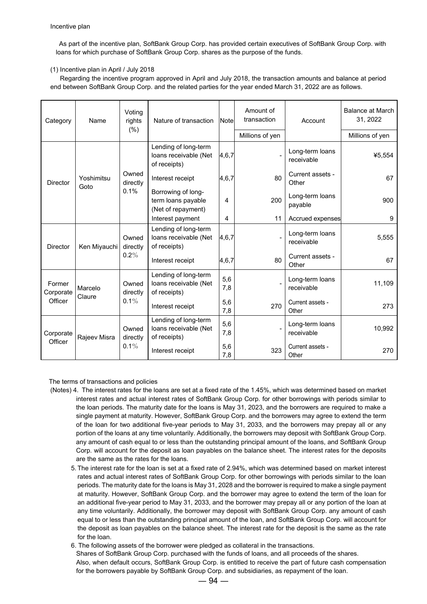As part of the incentive plan, SoftBank Group Corp. has provided certain executives of SoftBank Group Corp. with loans for which purchase of SoftBank Group Corp. shares as the purpose of the funds.

### (1) Incentive plan in April / July 2018

Regarding the incentive program approved in April and July 2018, the transaction amounts and balance at period end between SoftBank Group Corp. and the related parties for the year ended March 31, 2022 are as follows.

| Category                                            | Name               | Voting<br>rights<br>(% )                                       | Nature of transaction                                         | <b>Note</b> | Amount of<br>transaction      | Account                       | <b>Balance at March</b><br>31, 2022 |
|-----------------------------------------------------|--------------------|----------------------------------------------------------------|---------------------------------------------------------------|-------------|-------------------------------|-------------------------------|-------------------------------------|
|                                                     |                    |                                                                |                                                               |             | Millions of yen               |                               | Millions of yen                     |
|                                                     |                    |                                                                | Lending of long-term<br>loans receivable (Net<br>of receipts) | 4,6,7       |                               | Long-term loans<br>receivable | ¥5,554                              |
| <b>Director</b>                                     | Yoshimitsu<br>Goto | Owned<br>directly                                              | Interest receipt                                              | 4,6,7       | 80                            | Current assets -<br>Other     | 67                                  |
|                                                     | 0.1%               | Borrowing of long-<br>term loans payable<br>(Net of repayment) | 4                                                             | 200         | Long-term loans<br>payable    | 900                           |                                     |
|                                                     |                    |                                                                | Interest payment                                              | 4           | 11                            | Accrued expenses              | 9                                   |
| <b>Director</b>                                     | Ken Miyauchi       | Owned<br>directly<br>$0.2\%$                                   | Lending of long-term<br>loans receivable (Net<br>of receipts) | 4,6,7       |                               | Long-term loans<br>receivable | 5,555                               |
|                                                     |                    |                                                                | Interest receipt                                              | 4,6,7       | 80                            | Current assets -<br>Other     | 67                                  |
| Former<br>Marcelo<br>Corporate<br>Claure<br>Officer | Owned<br>directly  | Lending of long-term<br>loans receivable (Net<br>of receipts)  | 5,6<br>7,8                                                    |             | Long-term loans<br>receivable | 11,109                        |                                     |
|                                                     |                    | $0.1\%$                                                        | Interest receipt                                              | 5,6<br>7,8  | 270                           | Current assets -<br>Other     | 273                                 |
| Corporate<br>Rajeev Misra<br>Officer                |                    | Owned<br>directly<br>$0.1\%$                                   | Lending of long-term<br>loans receivable (Net<br>of receipts) | 5,6<br>7,8  |                               | Long-term loans<br>receivable | 10,992                              |
|                                                     |                    |                                                                | Interest receipt                                              | 5,6<br>7,8  | 323                           | Current assets -<br>Other     | 270                                 |

### The terms of transactions and policies

- (Notes) 4. The interest rates for the loans are set at a fixed rate of the 1.45%, which was determined based on market interest rates and actual interest rates of SoftBank Group Corp. for other borrowings with periods similar to the loan periods. The maturity date for the loans is May 31, 2023, and the borrowers are required to make a single payment at maturity. However, SoftBank Group Corp. and the borrowers may agree to extend the term of the loan for two additional five-year periods to May 31, 2033, and the borrowers may prepay all or any portion of the loans at any time voluntarily. Additionally, the borrowers may deposit with SoftBank Group Corp. any amount of cash equal to or less than the outstanding principal amount of the loans, and SoftBank Group Corp. will account for the deposit as loan payables on the balance sheet. The interest rates for the deposits are the same as the rates for the loans.
	- 5. The interest rate for the loan is set at a fixed rate of 2.94%, which was determined based on market interest rates and actual interest rates of SoftBank Group Corp. for other borrowings with periods similar to the loan periods. The maturity date for the loans is May 31, 2028 and the borrower is required to make a single payment at maturity. However, SoftBank Group Corp. and the borrower may agree to extend the term of the loan for an additional five-year period to May 31, 2033, and the borrower may prepay all or any portion of the loan at any time voluntarily. Additionally, the borrower may deposit with SoftBank Group Corp. any amount of cash equal to or less than the outstanding principal amount of the loan, and SoftBank Group Corp. will account for the deposit as loan payables on the balance sheet. The interest rate for the deposit is the same as the rate for the loan.

6. The following assets of the borrower were pledged as collateral in the transactions.

Shares of SoftBank Group Corp. purchased with the funds of loans, and all proceeds of the shares. Also, when default occurs, SoftBank Group Corp. is entitled to receive the part of future cash compensation for the borrowers payable by SoftBank Group Corp. and subsidiaries, as repayment of the loan.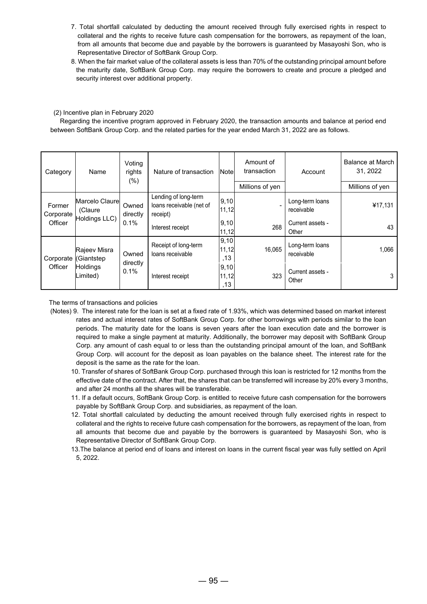- 7. Total shortfall calculated by deducting the amount received through fully exercised rights in respect to collateral and the rights to receive future cash compensation for the borrowers, as repayment of the loan, from all amounts that become due and payable by the borrowers is guaranteed by Masayoshi Son, who is Representative Director of SoftBank Group Corp.
- 8. When the fair market value of the collateral assets is less than 70% of the outstanding principal amount before the maturity date, SoftBank Group Corp. may require the borrowers to create and procure a pledged and security interest over additional property.

## (2) Incentive plan in February 2020

Regarding the incentive program approved in February 2020, the transaction amounts and balance at period end between SoftBank Group Corp. and the related parties for the year ended March 31, 2022 are as follows.

| Category            | Name                                       | Voting<br>rights<br>$(\%)$ | Nature of transaction                                        | <b>Note</b>          | Amount of<br>transaction<br>Millions of yen | Account                       | Balance at March<br>31, 2022<br>Millions of yen |
|---------------------|--------------------------------------------|----------------------------|--------------------------------------------------------------|----------------------|---------------------------------------------|-------------------------------|-------------------------------------------------|
| Former<br>Corporate | Marcelo Claure<br>(Claure<br>Holdings LLC) | Owned<br>directly          | Lending of long-term<br>loans receivable (net of<br>receipt) | 9,10<br>11,12        |                                             | Long-term loans<br>receivable | ¥17,131                                         |
| Officer             |                                            | 0.1%                       | Interest receipt                                             | 9,10<br>11,12        | 268                                         | Current assets -<br>Other     | 43                                              |
| Corporate           | Rajeev Misra<br>(Giantstep                 | Owned                      | Receipt of long-term<br>loans receivable                     | 9,10<br>11,12<br>,13 | 16,065                                      | Long-term loans<br>receivable | 1.066                                           |
| Officer             | <b>Holdings</b><br>Limited)                | directly<br>0.1%           | Interest receipt                                             | 9,10<br>11,12<br>,13 | 323                                         | Current assets -<br>Other     | 3                                               |

The terms of transactions and policies

- (Notes) 9. The interest rate for the loan is set at a fixed rate of 1.93%, which was determined based on market interest rates and actual interest rates of SoftBank Group Corp. for other borrowings with periods similar to the loan periods. The maturity date for the loans is seven years after the loan execution date and the borrower is required to make a single payment at maturity. Additionally, the borrower may deposit with SoftBank Group Corp. any amount of cash equal to or less than the outstanding principal amount of the loan, and SoftBank Group Corp. will account for the deposit as loan payables on the balance sheet. The interest rate for the deposit is the same as the rate for the loan.
	- 10. Transfer of shares of SoftBank Group Corp. purchased through this loan is restricted for 12 months from the effective date of the contract. After that, the shares that can be transferred will increase by 20% every 3 months, and after 24 months all the shares will be transferable.
	- 11. If a default occurs, SoftBank Group Corp. is entitled to receive future cash compensation for the borrowers payable by SoftBank Group Corp. and subsidiaries, as repayment of the loan.
	- 12. Total shortfall calculated by deducting the amount received through fully exercised rights in respect to collateral and the rights to receive future cash compensation for the borrowers, as repayment of the loan, from all amounts that become due and payable by the borrowers is guaranteed by Masayoshi Son, who is Representative Director of SoftBank Group Corp.
	- 13.The balance at period end of loans and interest on loans in the current fiscal year was fully settled on April 5, 2022.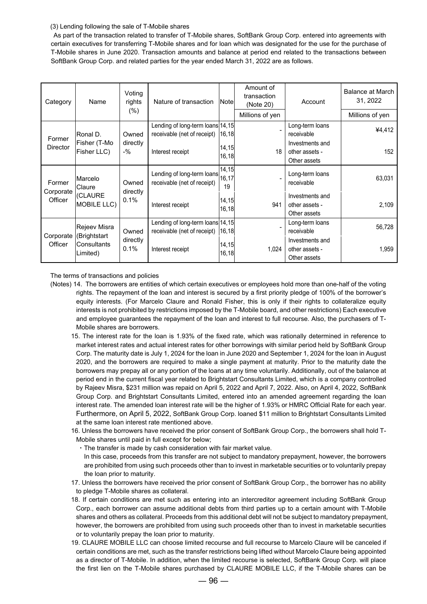(3) Lending following the sale of T-Mobile shares

 As part of the transaction related to transfer of T-Mobile shares, SoftBank Group Corp. entered into agreements with certain executives for transferring T-Mobile shares and for loan which was designated for the use for the purchase of T-Mobile shares in June 2020. Transaction amounts and balance at period end related to the transactions between SoftBank Group Corp. and related parties for the year ended March 31, 2022 are as follows.

| Category                                                 | Name                         | Voting<br>rights | Nature of transaction                                           | <b>Note</b>           | Amount of<br>transaction<br>(Note 20)             | Account                                           | Balance at March<br>31, 2022 |
|----------------------------------------------------------|------------------------------|------------------|-----------------------------------------------------------------|-----------------------|---------------------------------------------------|---------------------------------------------------|------------------------------|
|                                                          |                              | $(\% )$          |                                                                 |                       | Millions of yen                                   |                                                   | Millions of yen              |
|                                                          | Ronal D.                     | Owned            | Lending of long-term loans 14,15<br>receivable (net of receipt) | 16,18                 |                                                   | Long-term loans<br>receivable                     | ¥4,412                       |
| Former<br>Fisher (T-Mo<br><b>Director</b><br>Fisher LLC) | directly<br>-%               | Interest receipt | 14, 15<br>16,18                                                 | 18                    | Investments and<br>other assets -<br>Other assets | 152                                               |                              |
| Former                                                   | Marcelo<br>Claure            | Owned            | Lending of long-term loans<br>receivable (net of receipt)       | 14, 15<br>16,17<br>19 |                                                   | Long-term loans<br>receivable                     | 63,031                       |
| Corporate<br>(CLAURE<br>Officer<br><b>MOBILE LLC)</b>    |                              | directly<br>0.1% | Interest receipt                                                | 14, 15<br>16,18       | 941                                               | Investments and<br>other assets -<br>Other assets | 2,109                        |
|                                                          | Rejeev Misra<br>(Brightstart | Owned            | Lending of long-term loans 14,15<br>receivable (net of receipt) | 16,18                 |                                                   | Long-term loans<br>receivable                     | 56,728                       |
| Corporate<br>Officer                                     | Consultants<br>Limited)      | directly<br>0.1% | Interest receipt                                                | 14,15<br>16,18        | 1,024                                             | Investments and<br>other assets -<br>Other assets | 1,959                        |

The terms of transactions and policies

- (Notes) 14. The borrowers are entities of which certain executives or employees hold more than one-half of the voting rights. The repayment of the loan and interest is secured by a first priority pledge of 100% of the borrower's equity interests. (For Marcelo Claure and Ronald Fisher, this is only if their rights to collateralize equity interests is not prohibited by restrictions imposed by the T-Mobile board, and other restrictions) Each executive and employee guarantees the repayment of the loan and interest to full recourse. Also, the purchasers of T-Mobile shares are borrowers.
	- 15. The interest rate for the loan is 1.93% of the fixed rate, which was rationally determined in reference to market interest rates and actual interest rates for other borrowings with similar period held by SoftBank Group Corp. The maturity date is July 1, 2024 for the loan in June 2020 and September 1, 2024 for the loan in August 2020, and the borrowers are required to make a single payment at maturity. Prior to the maturity date the borrowers may prepay all or any portion of the loans at any time voluntarily. Additionally, out of the balance at period end in the current fiscal year related to Brightstart Consultants Limited, which is a company controlled by Rajeev Misra, \$231 million was repaid on April 5, 2022 and April 7, 2022. Also, on April 4, 2022, SoftBank Group Corp. and Brightstart Consultants Limited, entered into an amended agreement regarding the loan interest rate. The amended loan interest rate will be the higher of 1.93% or HMRC Official Rate for each year. Furthermore, on April 5, 2022, SoftBank Group Corp. loaned \$11 million to Brightstart Consultants Limited at the same loan interest rate mentioned above.
	- 16. Unless the borrowers have received the prior consent of SoftBank Group Corp., the borrowers shall hold T-Mobile shares until paid in full except for below;
		- ・The transfer is made by cash consideration with fair market value.
		- In this case, proceeds from this transfer are not subject to mandatory prepayment, however, the borrowers are prohibited from using such proceeds other than to invest in marketable securities or to voluntarily prepay the loan prior to maturity.
	- 17. Unless the borrowers have received the prior consent of SoftBank Group Corp., the borrower has no ability to pledge T-Mobile shares as collateral.
	- 18. If certain conditions are met such as entering into an intercreditor agreement including SoftBank Group Corp., each borrower can assume additional debts from third parties up to a certain amount with T-Mobile shares and others as collateral. Proceeds from this additional debt will not be subject to mandatory prepayment, however, the borrowers are prohibited from using such proceeds other than to invest in marketable securities or to voluntarily prepay the loan prior to maturity.
	- 19. CLAURE MOBILE LLC can choose limited recourse and full recourse to Marcelo Claure will be canceled if certain conditions are met, such as the transfer restrictions being lifted without Marcelo Claure being appointed as a director of T-Mobile. In addition, when the limited recourse is selected, SoftBank Group Corp. will place the first lien on the T-Mobile shares purchased by CLAURE MOBILE LLC, if the T-Mobile shares can be